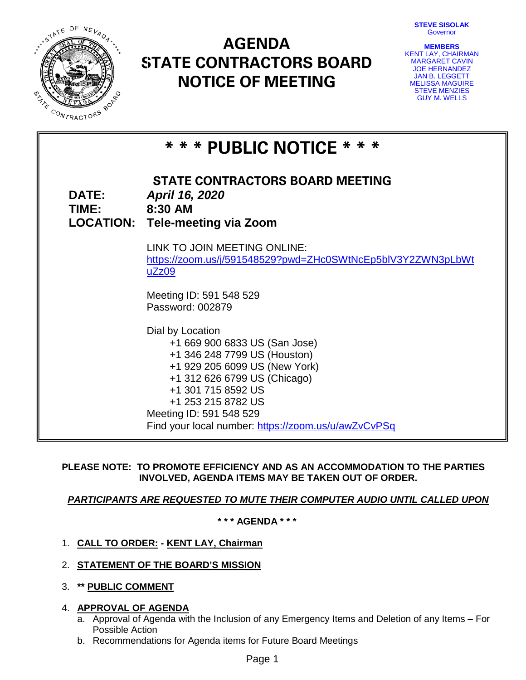**STEVE SISOLAK** Governor



# **AGENDA STATE CONTRACTORS BOARD NOTICE OF MEETING**

| <b>MEMBERS</b>         |  |
|------------------------|--|
| KENT LAY, CHAIRMAN     |  |
| <b>MARGARET CAVIN</b>  |  |
| <b>JOE HERNANDEZ</b>   |  |
| <b>JAN B. LEGGETT</b>  |  |
| <b>MELISSA MAGUIRE</b> |  |
| <b>STEVE MENZIES</b>   |  |
| <b>GUY M. WELLS</b>    |  |

| * * * PUBLIC NOTICE * * *     |                                                                                                                                                                                                                                                                                  |  |  |  |
|-------------------------------|----------------------------------------------------------------------------------------------------------------------------------------------------------------------------------------------------------------------------------------------------------------------------------|--|--|--|
| <b>DATE:</b><br>TIME: 8:30 AM | <b>STATE CONTRACTORS BOARD MEETING</b><br>April 16, 2020<br><b>LOCATION: Tele-meeting via Zoom</b>                                                                                                                                                                               |  |  |  |
|                               | LINK TO JOIN MEETING ONLINE:<br>https://zoom.us/j/591548529?pwd=ZHc0SWtNcEp5blV3Y2ZWN3pLbWt<br>uZz09                                                                                                                                                                             |  |  |  |
|                               | Meeting ID: 591 548 529<br>Password: 002879                                                                                                                                                                                                                                      |  |  |  |
|                               | Dial by Location<br>+1 669 900 6833 US (San Jose)<br>+1 346 248 7799 US (Houston)<br>+1 929 205 6099 US (New York)<br>+1 312 626 6799 US (Chicago)<br>+1 301 715 8592 US<br>+1 253 215 8782 US<br>Meeting ID: 591 548 529<br>Find your local number: https://zoom.us/u/awZvCvPSq |  |  |  |

# **PLEASE NOTE: TO PROMOTE EFFICIENCY AND AS AN ACCOMMODATION TO THE PARTIES INVOLVED, AGENDA ITEMS MAY BE TAKEN OUT OF ORDER.**

# *PARTICIPANTS ARE REQUESTED TO MUTE THEIR COMPUTER AUDIO UNTIL CALLED UPON*

**\* \* \* AGENDA \* \* \***

- 1. **CALL TO ORDER: - KENT LAY, Chairman**
- 2. **STATEMENT OF THE BOARD'S MISSION**
- 3. **\*\* PUBLIC COMMENT**
- 4. **APPROVAL OF AGENDA**
	- a. Approval of Agenda with the Inclusion of any Emergency Items and Deletion of any Items For Possible Action
	- b. Recommendations for Agenda items for Future Board Meetings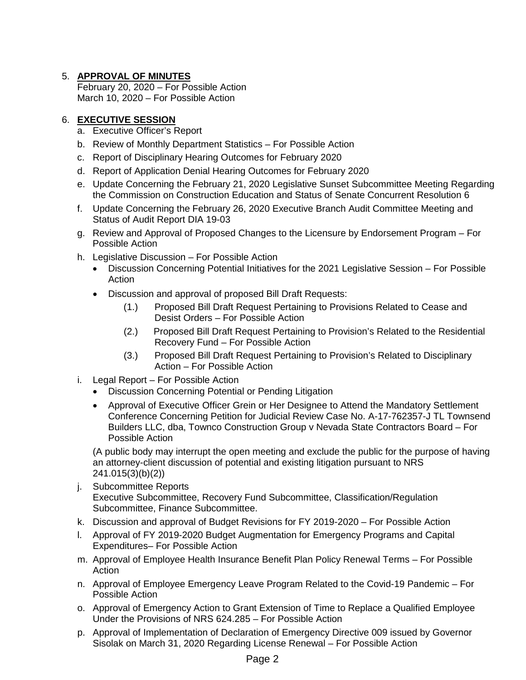# 5. **APPROVAL OF MINUTES**

February 20, 2020 – For Possible Action March 10, 2020 – For Possible Action

# 6. **EXECUTIVE SESSION**

- a. Executive Officer's Report
- b. Review of Monthly Department Statistics For Possible Action
- c. Report of Disciplinary Hearing Outcomes for February 2020
- d. Report of Application Denial Hearing Outcomes for February 2020
- e. Update Concerning the February 21, 2020 Legislative Sunset Subcommittee Meeting Regarding the Commission on Construction Education and Status of Senate Concurrent Resolution 6
- f. Update Concerning the February 26, 2020 Executive Branch Audit Committee Meeting and Status of Audit Report DIA 19-03
- g. Review and Approval of Proposed Changes to the Licensure by Endorsement Program For Possible Action
- h. Legislative Discussion For Possible Action
	- Discussion Concerning Potential Initiatives for the 2021 Legislative Session For Possible Action
	- Discussion and approval of proposed Bill Draft Requests:
		- (1.) Proposed Bill Draft Request Pertaining to Provisions Related to Cease and Desist Orders – For Possible Action
		- (2.) Proposed Bill Draft Request Pertaining to Provision's Related to the Residential Recovery Fund – For Possible Action
		- (3.) Proposed Bill Draft Request Pertaining to Provision's Related to Disciplinary Action – For Possible Action
- i. Legal Report For Possible Action
	- Discussion Concerning Potential or Pending Litigation
	- Approval of Executive Officer Grein or Her Designee to Attend the Mandatory Settlement Conference Concerning Petition for Judicial Review Case No. A-17-762357-J TL Townsend Builders LLC, dba, Townco Construction Group v Nevada State Contractors Board – For Possible Action

(A public body may interrupt the open meeting and exclude the public for the purpose of having an attorney-client discussion of potential and existing litigation pursuant to NRS 241.015(3)(b)(2))

- j. Subcommittee Reports Executive Subcommittee, Recovery Fund Subcommittee, Classification/Regulation Subcommittee, Finance Subcommittee.
- k. Discussion and approval of Budget Revisions for FY 2019-2020 For Possible Action
- l. Approval of FY 2019-2020 Budget Augmentation for Emergency Programs and Capital Expenditures– For Possible Action
- m. Approval of Employee Health Insurance Benefit Plan Policy Renewal Terms For Possible **Action**
- n. Approval of Employee Emergency Leave Program Related to the Covid-19 Pandemic For Possible Action
- o. Approval of Emergency Action to Grant Extension of Time to Replace a Qualified Employee Under the Provisions of NRS 624.285 – For Possible Action
- p. Approval of Implementation of Declaration of Emergency Directive 009 issued by Governor Sisolak on March 31, 2020 Regarding License Renewal – For Possible Action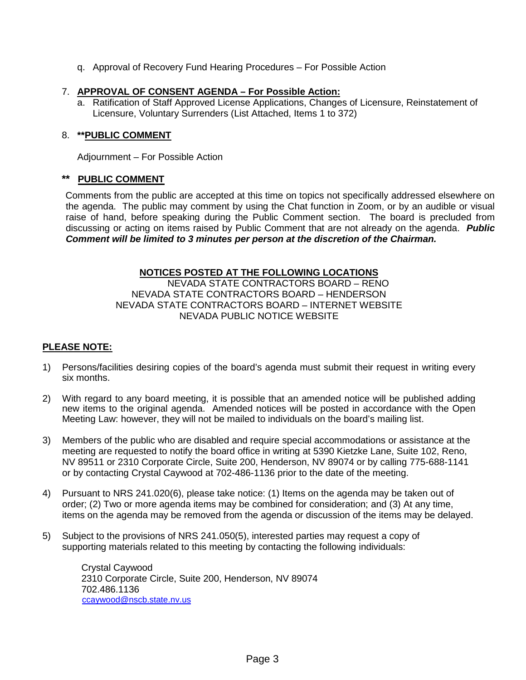q. Approval of Recovery Fund Hearing Procedures – For Possible Action

## 7. **APPROVAL OF CONSENT AGENDA – For Possible Action:**

a. Ratification of Staff Approved License Applications, Changes of Licensure, Reinstatement of Licensure, Voluntary Surrenders (List Attached, Items 1 to 372)

# 8. **\*\*PUBLIC COMMENT**

Adjournment – For Possible Action

#### **\*\* PUBLIC COMMENT**

Comments from the public are accepted at this time on topics not specifically addressed elsewhere on the agenda. The public may comment by using the Chat function in Zoom, or by an audible or visual raise of hand, before speaking during the Public Comment section. The board is precluded from discussing or acting on items raised by Public Comment that are not already on the agenda. *Public Comment will be limited to 3 minutes per person at the discretion of the Chairman.*

#### **NOTICES POSTED AT THE FOLLOWING LOCATIONS**

NEVADA STATE CONTRACTORS BOARD – RENO NEVADA STATE CONTRACTORS BOARD – HENDERSON NEVADA STATE CONTRACTORS BOARD – INTERNET WEBSITE NEVADA PUBLIC NOTICE WEBSITE

# **PLEASE NOTE:**

- 1) Persons/facilities desiring copies of the board's agenda must submit their request in writing every six months.
- 2) With regard to any board meeting, it is possible that an amended notice will be published adding new items to the original agenda. Amended notices will be posted in accordance with the Open Meeting Law: however, they will not be mailed to individuals on the board's mailing list.
- 3) Members of the public who are disabled and require special accommodations or assistance at the meeting are requested to notify the board office in writing at 5390 Kietzke Lane, Suite 102, Reno, NV 89511 or 2310 Corporate Circle, Suite 200, Henderson, NV 89074 or by calling 775-688-1141 or by contacting Crystal Caywood at 702-486-1136 prior to the date of the meeting.
- 4) Pursuant to NRS 241.020(6), please take notice: (1) Items on the agenda may be taken out of order; (2) Two or more agenda items may be combined for consideration; and (3) At any time, items on the agenda may be removed from the agenda or discussion of the items may be delayed.
- 5) Subject to the provisions of NRS 241.050(5), interested parties may request a copy of supporting materials related to this meeting by contacting the following individuals:

Crystal Caywood 2310 Corporate Circle, Suite 200, Henderson, NV 89074 702.486.1136 [ccaywood@nscb.state.nv.us](mailto:ccaywood@nscb.state.nv.us)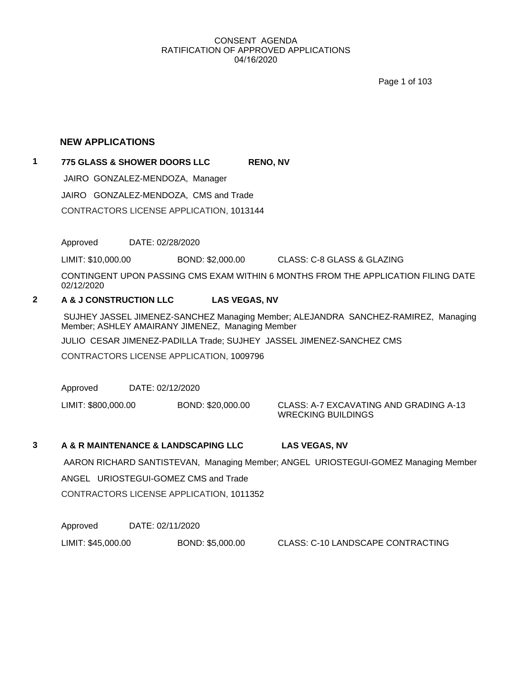Page 1 of 103

#### **NEW APPLICATIONS**

**1 775 GLASS & SHOWER DOORS LLC RENO, NV** JAIRO GONZALEZ-MENDOZA, Manager JAIRO GONZALEZ-MENDOZA, CMS and Trade CONTRACTORS LICENSE APPLICATION, 1013144

Approved DATE: 02/28/2020

LIMIT: \$10,000.00 BOND: \$2,000.00 CLASS: C-8 GLASS & GLAZING

CONTINGENT UPON PASSING CMS EXAM WITHIN 6 MONTHS FROM THE APPLICATION FILING DATE 02/12/2020

# **2 A & J CONSTRUCTION LLC LAS VEGAS, NV**

 SUJHEY JASSEL JIMENEZ-SANCHEZ Managing Member; ALEJANDRA SANCHEZ-RAMIREZ, Managing Member; ASHLEY AMAIRANY JIMENEZ, Managing Member

JULIO CESAR JIMENEZ-PADILLA Trade; SUJHEY JASSEL JIMENEZ-SANCHEZ CMS

CONTRACTORS LICENSE APPLICATION, 1009796

Approved DATE: 02/12/2020

LIMIT: \$800,000.00 BOND: \$20,000.00 CLASS: A-7 EXCAVATING AND GRADING A-13 WRECKING BUILDINGS

#### **3 A & R MAINTENANCE & LANDSCAPING LLC LAS VEGAS, NV**

 AARON RICHARD SANTISTEVAN, Managing Member; ANGEL URIOSTEGUI-GOMEZ Managing Member ANGEL URIOSTEGUI-GOMEZ CMS and Trade CONTRACTORS LICENSE APPLICATION, 1011352

Approved DATE: 02/11/2020

LIMIT: \$45,000.00 BOND: \$5,000.00 CLASS: C-10 LANDSCAPE CONTRACTING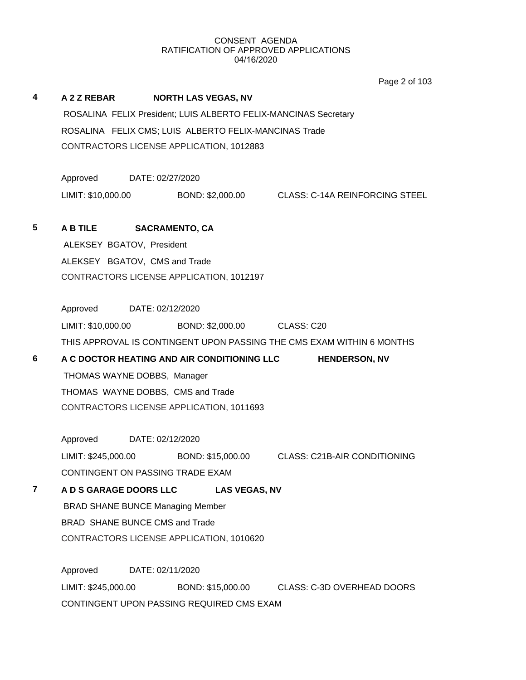Page 2 of 103

# **4 A 2 Z REBAR NORTH LAS VEGAS, NV** ROSALINA FELIX President; LUIS ALBERTO FELIX-MANCINAS Secretary ROSALINA FELIX CMS; LUIS ALBERTO FELIX-MANCINAS Trade CONTRACTORS LICENSE APPLICATION, 1012883 Approved DATE: 02/27/2020 LIMIT: \$10,000.00 BOND: \$2,000.00 CLASS: C-14A REINFORCING STEEL **5 A B TILE SACRAMENTO, CA** ALEKSEY BGATOV, President ALEKSEY BGATOV, CMS and Trade CONTRACTORS LICENSE APPLICATION, 1012197 Approved DATE: 02/12/2020 LIMIT: \$10,000.00 BOND: \$2,000.00 CLASS: C20 THIS APPROVAL IS CONTINGENT UPON PASSING THE CMS EXAM WITHIN 6 MONTHS **6 A C DOCTOR HEATING AND AIR CONDITIONING LLC HENDERSON, NV** THOMAS WAYNE DOBBS, Manager THOMAS WAYNE DOBBS, CMS and Trade CONTRACTORS LICENSE APPLICATION, 1011693 Approved DATE: 02/12/2020 LIMIT: \$245,000.00 BOND: \$15,000.00 CLASS: C21B-AIR CONDITIONING CONTINGENT ON PASSING TRADE EXAM **7 A D S GARAGE DOORS LLC LAS VEGAS, NV** BRAD SHANE BUNCE Managing Member BRAD SHANE BUNCE CMS and Trade CONTRACTORS LICENSE APPLICATION, 1010620 Approved DATE: 02/11/2020 LIMIT: \$245,000.00 BOND: \$15,000.00 CLASS: C-3D OVERHEAD DOORS CONTINGENT UPON PASSING REQUIRED CMS EXAM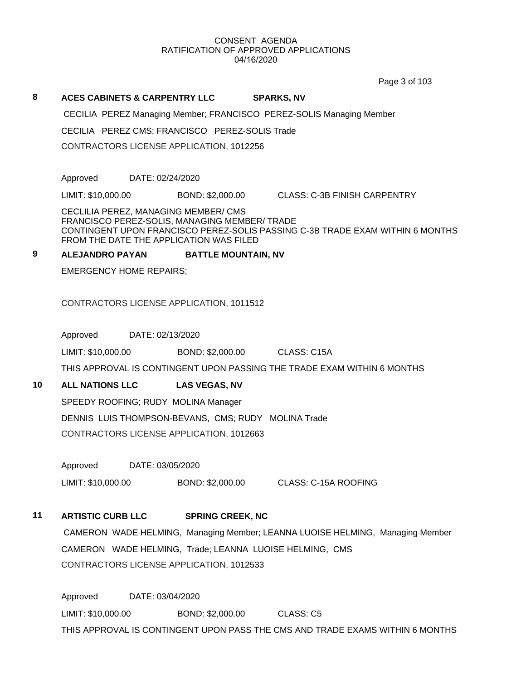Page 3 of 103

#### **8 ACES CABINETS & CARPENTRY LLC SPARKS, NV**

CECILIA PEREZ Managing Member; FRANCISCO PEREZ-SOLIS Managing Member

CECILIA PEREZ CMS; FRANCISCO PEREZ-SOLIS Trade

CONTRACTORS LICENSE APPLICATION, 1012256

Approved DATE: 02/24/2020

LIMIT: \$10,000.00 BOND: \$2,000.00 CLASS: C-3B FINISH CARPENTRY

CECLILIA PEREZ, MANAGING MEMBER/ CMS FRANCISCO PEREZ-SOLIS, MANAGING MEMBER/ TRADE CONTINGENT UPON FRANCISCO PEREZ-SOLIS PASSING C-3B TRADE EXAM WITHIN 6 MONTHS FROM THE DATE THE APPLICATION WAS FILED

### **9 ALEJANDRO PAYAN BATTLE MOUNTAIN, NV**

EMERGENCY HOME REPAIRS;

CONTRACTORS LICENSE APPLICATION, 1011512

Approved DATE: 02/13/2020

LIMIT: \$10,000.00 BOND: \$2,000.00 CLASS: C15A

THIS APPROVAL IS CONTINGENT UPON PASSING THE TRADE EXAM WITHIN 6 MONTHS

#### **10 ALL NATIONS LLC LAS VEGAS, NV**

SPEEDY ROOFING; RUDY MOLINA Manager DENNIS LUIS THOMPSON-BEVANS, CMS; RUDY MOLINA Trade CONTRACTORS LICENSE APPLICATION, 1012663

Approved DATE: 03/05/2020

LIMIT: \$10,000.00 BOND: \$2,000.00 CLASS: C-15A ROOFING

# **11 ARTISTIC CURB LLC SPRING CREEK, NC**

 CAMERON WADE HELMING, Managing Member; LEANNA LUOISE HELMING, Managing Member CAMERON WADE HELMING, Trade; LEANNA LUOISE HELMING, CMS CONTRACTORS LICENSE APPLICATION, 1012533

Approved DATE: 03/04/2020 LIMIT: \$10,000.00 BOND: \$2,000.00 CLASS: C5 THIS APPROVAL IS CONTINGENT UPON PASS THE CMS AND TRADE EXAMS WITHIN 6 MONTHS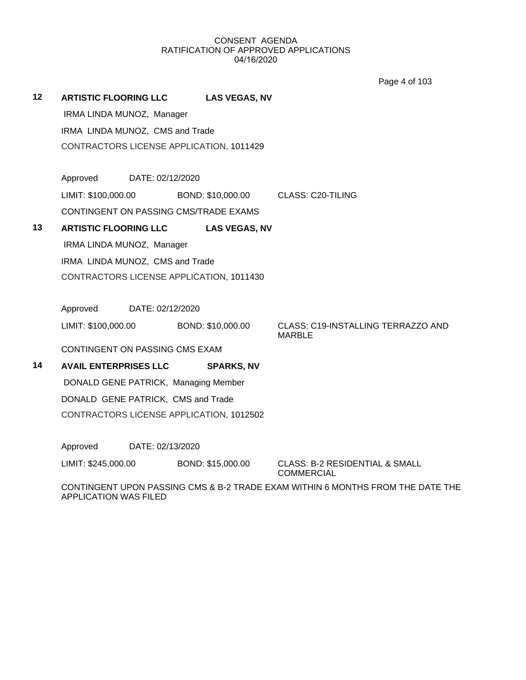Page 4 of 103

**12 ARTISTIC FLOORING LLC LAS VEGAS, NV** IRMA LINDA MUNOZ, Manager IRMA LINDA MUNOZ, CMS and Trade CONTRACTORS LICENSE APPLICATION, 1011429 Approved DATE: 02/12/2020 LIMIT: \$100,000.00 BOND: \$10,000.00 CLASS: C20-TILING CONTINGENT ON PASSING CMS/TRADE EXAMS **13 ARTISTIC FLOORING LLC LAS VEGAS, NV** IRMA LINDA MUNOZ, Manager IRMA LINDA MUNOZ, CMS and Trade CONTRACTORS LICENSE APPLICATION, 1011430 Approved DATE: 02/12/2020 LIMIT: \$100,000.00 BOND: \$10,000.00 CLASS: C19-INSTALLING TERRAZZO AND MARBLE CONTINGENT ON PASSING CMS EXAM **14 AVAIL ENTERPRISES LLC SPARKS, NV** DONALD GENE PATRICK, Managing Member DONALD GENE PATRICK, CMS and Trade CONTRACTORS LICENSE APPLICATION, 1012502

Approved DATE: 02/13/2020

LIMIT: \$245,000.00 BOND: \$15,000.00 CLASS: B-2 RESIDENTIAL & SMALL

COMMERCIAL

CONTINGENT UPON PASSING CMS & B-2 TRADE EXAM WITHIN 6 MONTHS FROM THE DATE THE APPLICATION WAS FILED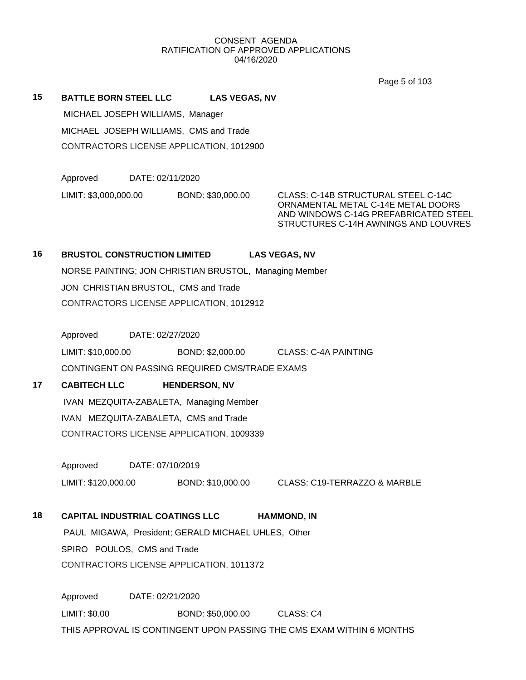Page 5 of 103

**15 BATTLE BORN STEEL LLC LAS VEGAS, NV**

 MICHAEL JOSEPH WILLIAMS, Manager MICHAEL JOSEPH WILLIAMS, CMS and Trade CONTRACTORS LICENSE APPLICATION, 1012900

Approved DATE: 02/11/2020 LIMIT: \$3,000,000.00 BOND: \$30,000.00 CLASS: C-14B STRUCTURAL STEEL C-14C

ORNAMENTAL METAL C-14E METAL DOORS AND WINDOWS C-14G PREFABRICATED STEEL STRUCTURES C-14H AWNINGS AND LOUVRES

# **16 BRUSTOL CONSTRUCTION LIMITED LAS VEGAS, NV**

NORSE PAINTING; JON CHRISTIAN BRUSTOL, Managing Member JON CHRISTIAN BRUSTOL, CMS and Trade CONTRACTORS LICENSE APPLICATION, 1012912

Approved DATE: 02/27/2020

LIMIT: \$10,000.00 BOND: \$2,000.00 CLASS: C-4A PAINTING

CONTINGENT ON PASSING REQUIRED CMS/TRADE EXAMS

# **17 CABITECH LLC HENDERSON, NV**

 IVAN MEZQUITA-ZABALETA, Managing Member IVAN MEZQUITA-ZABALETA, CMS and Trade CONTRACTORS LICENSE APPLICATION, 1009339

Approved DATE: 07/10/2019

LIMIT: \$120,000.00 BOND: \$10,000.00 CLASS: C19-TERRAZZO & MARBLE

# **18 CAPITAL INDUSTRIAL COATINGS LLC HAMMOND, IN**

 PAUL MIGAWA, President; GERALD MICHAEL UHLES, Other SPIRO POULOS, CMS and Trade CONTRACTORS LICENSE APPLICATION, 1011372

Approved DATE: 02/21/2020 LIMIT: \$0.00 BOND: \$50,000.00 CLASS: C4 THIS APPROVAL IS CONTINGENT UPON PASSING THE CMS EXAM WITHIN 6 MONTHS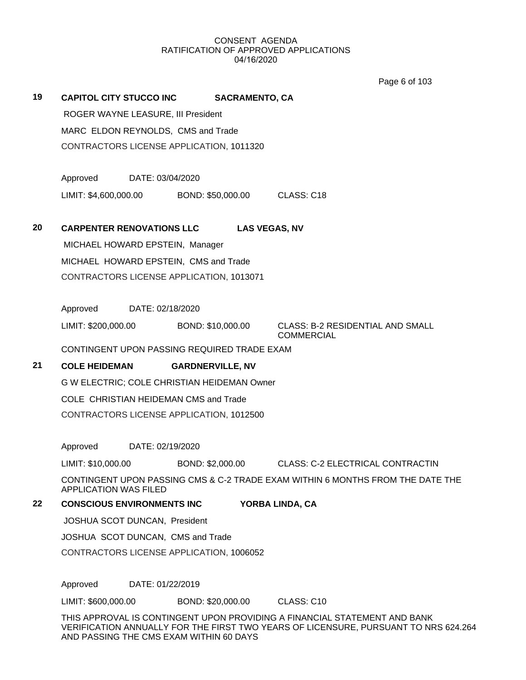Page 6 of 103

**19 CAPITOL CITY STUCCO INC SACRAMENTO, CA**

 ROGER WAYNE LEASURE, III President MARC ELDON REYNOLDS, CMS and Trade CONTRACTORS LICENSE APPLICATION, 1011320

Approved DATE: 03/04/2020 LIMIT: \$4,600,000.00 BOND: \$50,000.00 CLASS: C18

**20 CARPENTER RENOVATIONS LLC LAS VEGAS, NV**

 MICHAEL HOWARD EPSTEIN, Manager MICHAEL HOWARD EPSTEIN, CMS and Trade CONTRACTORS LICENSE APPLICATION, 1013071

Approved DATE: 02/18/2020

LIMIT: \$200,000.00 BOND: \$10,000.00 CLASS: B-2 RESIDENTIAL AND SMALL

COMMERCIAL

CONTINGENT UPON PASSING REQUIRED TRADE EXAM

# **21 COLE HEIDEMAN GARDNERVILLE, NV**

G W ELECTRIC; COLE CHRISTIAN HEIDEMAN Owner

COLE CHRISTIAN HEIDEMAN CMS and Trade

CONTRACTORS LICENSE APPLICATION, 1012500

Approved DATE: 02/19/2020

LIMIT: \$10,000.00 BOND: \$2,000.00 CLASS: C-2 ELECTRICAL CONTRACTIN

CONTINGENT UPON PASSING CMS & C-2 TRADE EXAM WITHIN 6 MONTHS FROM THE DATE THE APPLICATION WAS FILED

# **22 CONSCIOUS ENVIRONMENTS INC YORBA LINDA, CA**

JOSHUA SCOT DUNCAN, President

JOSHUA SCOT DUNCAN, CMS and Trade

CONTRACTORS LICENSE APPLICATION, 1006052

Approved DATE: 01/22/2019

LIMIT: \$600,000.00 BOND: \$20,000.00 CLASS: C10

THIS APPROVAL IS CONTINGENT UPON PROVIDING A FINANCIAL STATEMENT AND BANK VERIFICATION ANNUALLY FOR THE FIRST TWO YEARS OF LICENSURE, PURSUANT TO NRS 624.264 AND PASSING THE CMS EXAM WITHIN 60 DAYS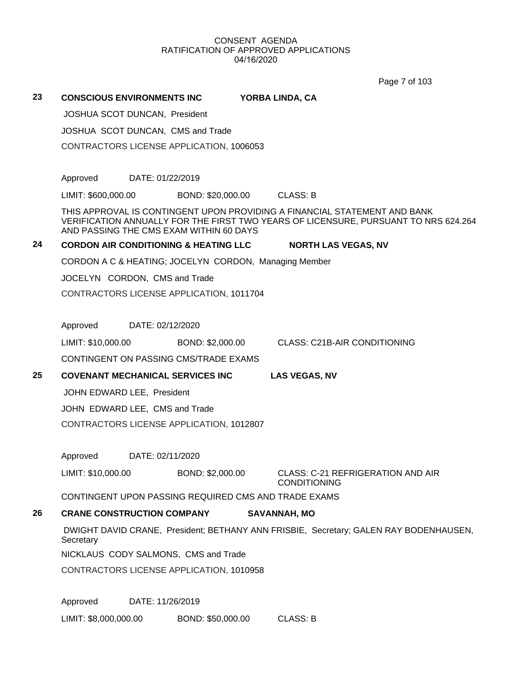Page 7 of 103

| 23 | <b>CONSCIOUS ENVIRONMENTS INC</b>                                                                                    | YORBA LINDA, CA                                                                       |
|----|----------------------------------------------------------------------------------------------------------------------|---------------------------------------------------------------------------------------|
|    | JOSHUA SCOT DUNCAN, President                                                                                        |                                                                                       |
|    | JOSHUA SCOT DUNCAN, CMS and Trade                                                                                    |                                                                                       |
|    | CONTRACTORS LICENSE APPLICATION, 1006053                                                                             |                                                                                       |
|    |                                                                                                                      |                                                                                       |
|    | Approved<br>DATE: 01/22/2019                                                                                         |                                                                                       |
|    | LIMIT: \$600,000.00<br>BOND: \$20,000.00 CLASS: B                                                                    |                                                                                       |
|    | THIS APPROVAL IS CONTINGENT UPON PROVIDING A FINANCIAL STATEMENT AND BANK<br>AND PASSING THE CMS EXAM WITHIN 60 DAYS | VERIFICATION ANNUALLY FOR THE FIRST TWO YEARS OF LICENSURE, PURSUANT TO NRS 624.264   |
| 24 | <b>CORDON AIR CONDITIONING &amp; HEATING LLC</b>                                                                     | <b>NORTH LAS VEGAS, NV</b>                                                            |
|    | CORDON A C & HEATING; JOCELYN CORDON, Managing Member                                                                |                                                                                       |
|    | JOCELYN CORDON, CMS and Trade                                                                                        |                                                                                       |
|    | CONTRACTORS LICENSE APPLICATION, 1011704                                                                             |                                                                                       |
|    |                                                                                                                      |                                                                                       |
|    | Approved DATE: 02/12/2020                                                                                            |                                                                                       |
|    | LIMIT: \$10,000.00<br>BOND: \$2,000.00                                                                               | <b>CLASS: C21B-AIR CONDITIONING</b>                                                   |
|    | CONTINGENT ON PASSING CMS/TRADE EXAMS                                                                                |                                                                                       |
| 25 | <b>COVENANT MECHANICAL SERVICES INC</b>                                                                              | <b>LAS VEGAS, NV</b>                                                                  |
|    | JOHN EDWARD LEE, President                                                                                           |                                                                                       |
|    | JOHN EDWARD LEE, CMS and Trade                                                                                       |                                                                                       |
|    | CONTRACTORS LICENSE APPLICATION, 1012807                                                                             |                                                                                       |
|    |                                                                                                                      |                                                                                       |
|    | Approved<br>DATE: 02/11/2020                                                                                         |                                                                                       |
|    | LIMIT: \$10,000.00                                                                                                   | BOND: \$2,000.00 CLASS: C-21 REFRIGERATION AND AIR<br><b>CONDITIONING</b>             |
|    | CONTINGENT UPON PASSING REQUIRED CMS AND TRADE EXAMS                                                                 |                                                                                       |
| 26 | <b>CRANE CONSTRUCTION COMPANY</b>                                                                                    | <b>SAVANNAH, MO</b>                                                                   |
|    | Secretary                                                                                                            | DWIGHT DAVID CRANE, President; BETHANY ANN FRISBIE, Secretary; GALEN RAY BODENHAUSEN, |
|    | NICKLAUS CODY SALMONS, CMS and Trade                                                                                 |                                                                                       |
|    | CONTRACTORS LICENSE APPLICATION, 1010958                                                                             |                                                                                       |
|    | Approved<br>DATE: 11/26/2019                                                                                         |                                                                                       |
|    | LIMIT: \$8,000,000.00<br>BOND: \$50,000.00                                                                           | <b>CLASS: B</b>                                                                       |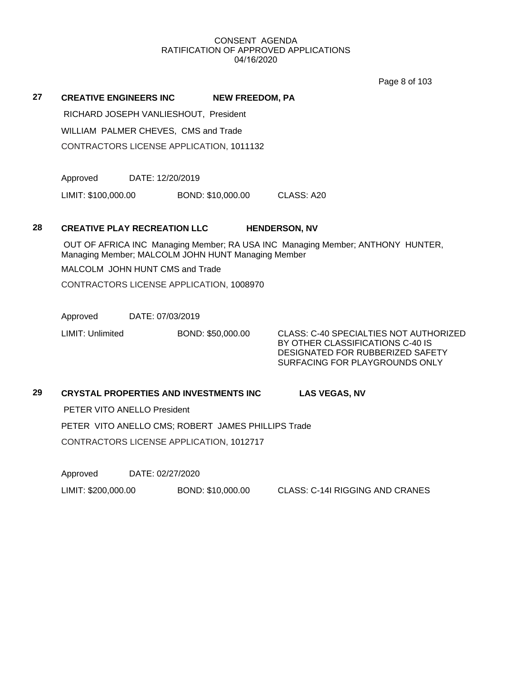Page 8 of 103

#### **27 CREATIVE ENGINEERS INC NEW FREEDOM, PA**

RICHARD JOSEPH VANLIESHOUT, President

WILLIAM PALMER CHEVES, CMS and Trade

CONTRACTORS LICENSE APPLICATION, 1011132

Approved DATE: 12/20/2019

LIMIT: \$100,000.00 BOND: \$10,000.00 CLASS: A20

#### **28 CREATIVE PLAY RECREATION LLC HENDERSON, NV**

 OUT OF AFRICA INC Managing Member; RA USA INC Managing Member; ANTHONY HUNTER, Managing Member; MALCOLM JOHN HUNT Managing Member

MALCOLM JOHN HUNT CMS and Trade

CONTRACTORS LICENSE APPLICATION, 1008970

Approved DATE: 07/03/2019

LIMIT: Unlimited BOND: \$50,000.00 CLASS: C-40 SPECIALTIES NOT AUTHORIZED

BY OTHER CLASSIFICATIONS C-40 IS DESIGNATED FOR RUBBERIZED SAFETY SURFACING FOR PLAYGROUNDS ONLY

# **29 CRYSTAL PROPERTIES AND INVESTMENTS INC LAS VEGAS, NV**

PETER VITO ANELLO President

PETER VITO ANELLO CMS; ROBERT JAMES PHILLIPS Trade

CONTRACTORS LICENSE APPLICATION, 1012717

Approved DATE: 02/27/2020

LIMIT: \$200,000.00 BOND: \$10,000.00 CLASS: C-14I RIGGING AND CRANES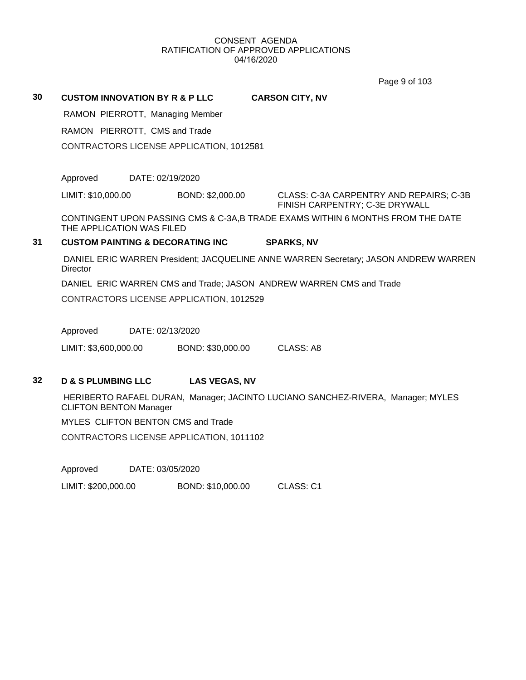Page 9 of 103

**30 CUSTOM INNOVATION BY R & P LLC CARSON CITY, NV** RAMON PIERROTT, Managing Member RAMON PIERROTT, CMS and Trade CONTRACTORS LICENSE APPLICATION, 1012581 Approved DATE: 02/19/2020 LIMIT: \$10,000.00 BOND: \$2,000.00 CLASS: C-3A CARPENTRY AND REPAIRS; C-3B FINISH CARPENTRY; C-3E DRYWALL CONTINGENT UPON PASSING CMS & C-3A,B TRADE EXAMS WITHIN 6 MONTHS FROM THE DATE THE APPLICATION WAS FILED **31 CUSTOM PAINTING & DECORATING INC SPARKS, NV** DANIEL ERIC WARREN President; JACQUELINE ANNE WARREN Secretary; JASON ANDREW WARREN **Director** DANIEL ERIC WARREN CMS and Trade; JASON ANDREW WARREN CMS and Trade CONTRACTORS LICENSE APPLICATION, 1012529

Approved DATE: 02/13/2020

LIMIT: \$3,600,000.00 BOND: \$30,000.00 CLASS: A8

#### **32 D & S PLUMBING LLC LAS VEGAS, NV**

 HERIBERTO RAFAEL DURAN, Manager; JACINTO LUCIANO SANCHEZ-RIVERA, Manager; MYLES CLIFTON BENTON Manager

MYLES CLIFTON BENTON CMS and Trade

CONTRACTORS LICENSE APPLICATION, 1011102

Approved DATE: 03/05/2020

LIMIT: \$200,000.00 BOND: \$10,000.00 CLASS: C1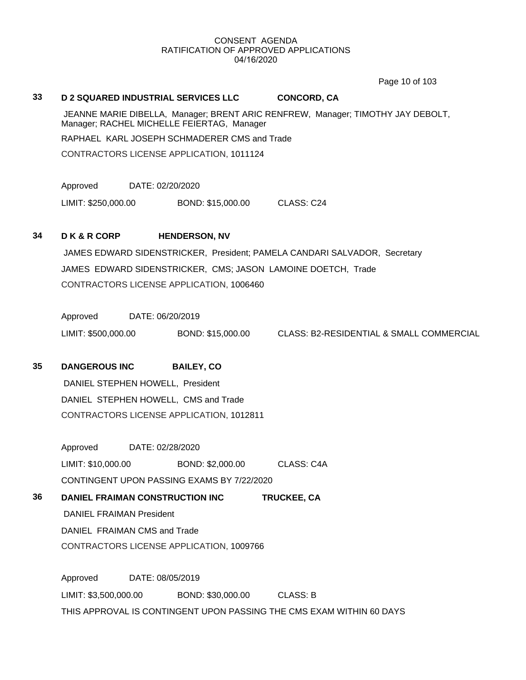Page 10 of 103

#### **33 D 2 SQUARED INDUSTRIAL SERVICES LLC CONCORD, CA**

 JEANNE MARIE DIBELLA, Manager; BRENT ARIC RENFREW, Manager; TIMOTHY JAY DEBOLT, Manager; RACHEL MICHELLE FEIERTAG, Manager

RAPHAEL KARL JOSEPH SCHMADERER CMS and Trade

CONTRACTORS LICENSE APPLICATION, 1011124

Approved DATE: 02/20/2020

LIMIT: \$250,000.00 BOND: \$15,000.00 CLASS: C24

#### **34 D K & R CORP HENDERSON, NV**

 JAMES EDWARD SIDENSTRICKER, President; PAMELA CANDARI SALVADOR, Secretary JAMES EDWARD SIDENSTRICKER, CMS; JASON LAMOINE DOETCH, Trade CONTRACTORS LICENSE APPLICATION, 1006460

Approved DATE: 06/20/2019

LIMIT: \$500,000.00 BOND: \$15,000.00 CLASS: B2-RESIDENTIAL & SMALL COMMERCIAL

#### **35 DANGEROUS INC BAILEY, CO**

 DANIEL STEPHEN HOWELL, President DANIEL STEPHEN HOWELL, CMS and Trade CONTRACTORS LICENSE APPLICATION, 1012811

Approved DATE: 02/28/2020 LIMIT: \$10,000.00 BOND: \$2,000.00 CLASS: C4A CONTINGENT UPON PASSING EXAMS BY 7/22/2020

**36 DANIEL FRAIMAN CONSTRUCTION INC TRUCKEE, CA** DANIEL FRAIMAN President DANIEL FRAIMAN CMS and Trade CONTRACTORS LICENSE APPLICATION, 1009766

Approved DATE: 08/05/2019 LIMIT: \$3,500,000.00 BOND: \$30,000.00 CLASS: B THIS APPROVAL IS CONTINGENT UPON PASSING THE CMS EXAM WITHIN 60 DAYS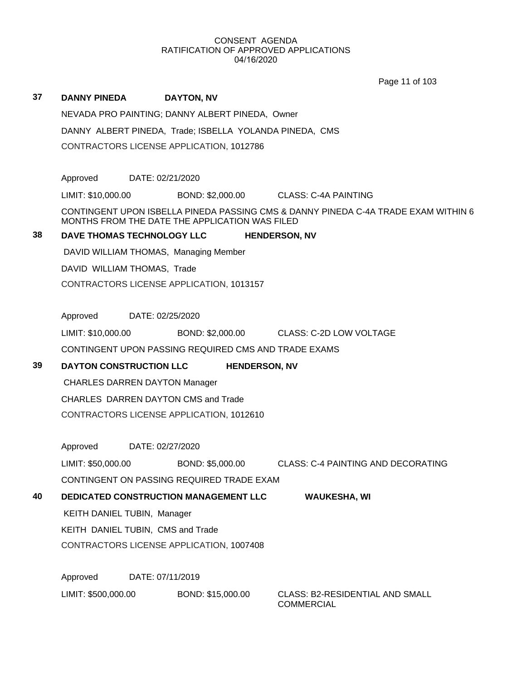Page 11 of 103

| 37 | <b>DANNY PINEDA</b>                                     | <b>DAYTON, NV</b>                                    |                      |                                                                                    |  |  |
|----|---------------------------------------------------------|------------------------------------------------------|----------------------|------------------------------------------------------------------------------------|--|--|
|    |                                                         | NEVADA PRO PAINTING; DANNY ALBERT PINEDA, Owner      |                      |                                                                                    |  |  |
|    | DANNY ALBERT PINEDA, Trade; ISBELLA YOLANDA PINEDA, CMS |                                                      |                      |                                                                                    |  |  |
|    |                                                         |                                                      |                      |                                                                                    |  |  |
|    |                                                         |                                                      |                      |                                                                                    |  |  |
|    | Approved                                                | DATE: 02/21/2020                                     |                      |                                                                                    |  |  |
|    | LIMIT: \$10,000.00                                      |                                                      |                      | BOND: \$2,000.00 CLASS: C-4A PAINTING                                              |  |  |
|    |                                                         | MONTHS FROM THE DATE THE APPLICATION WAS FILED       |                      | CONTINGENT UPON ISBELLA PINEDA PASSING CMS & DANNY PINEDA C-4A TRADE EXAM WITHIN 6 |  |  |
| 38 |                                                         | DAVE THOMAS TECHNOLOGY LLC                           |                      | <b>HENDERSON, NV</b>                                                               |  |  |
|    |                                                         | DAVID WILLIAM THOMAS, Managing Member                |                      |                                                                                    |  |  |
|    |                                                         | DAVID WILLIAM THOMAS, Trade                          |                      |                                                                                    |  |  |
|    |                                                         | CONTRACTORS LICENSE APPLICATION, 1013157             |                      |                                                                                    |  |  |
|    |                                                         |                                                      |                      |                                                                                    |  |  |
|    | Approved                                                | DATE: 02/25/2020                                     |                      |                                                                                    |  |  |
|    |                                                         |                                                      |                      | LIMIT: \$10,000.00 BOND: \$2,000.00 CLASS: C-2D LOW VOLTAGE                        |  |  |
|    |                                                         | CONTINGENT UPON PASSING REQUIRED CMS AND TRADE EXAMS |                      |                                                                                    |  |  |
| 39 |                                                         | <b>DAYTON CONSTRUCTION LLC</b>                       | <b>HENDERSON, NV</b> |                                                                                    |  |  |
|    |                                                         | <b>CHARLES DARREN DAYTON Manager</b>                 |                      |                                                                                    |  |  |
|    |                                                         | CHARLES DARREN DAYTON CMS and Trade                  |                      |                                                                                    |  |  |
|    |                                                         | CONTRACTORS LICENSE APPLICATION, 1012610             |                      |                                                                                    |  |  |
|    |                                                         |                                                      |                      |                                                                                    |  |  |
|    | Approved                                                | DATE: 02/27/2020                                     |                      |                                                                                    |  |  |
|    | LIMIT: \$50,000.00                                      |                                                      | BOND: \$5,000.00     | <b>CLASS: C-4 PAINTING AND DECORATING</b>                                          |  |  |
|    |                                                         | CONTINGENT ON PASSING REQUIRED TRADE EXAM            |                      |                                                                                    |  |  |
| 40 |                                                         | <b>DEDICATED CONSTRUCTION MANAGEMENT LLC</b>         |                      | <b>WAUKESHA, WI</b>                                                                |  |  |
|    | KEITH DANIEL TUBIN, Manager                             |                                                      |                      |                                                                                    |  |  |
|    |                                                         | KEITH DANIEL TUBIN, CMS and Trade                    |                      |                                                                                    |  |  |
|    |                                                         | CONTRACTORS LICENSE APPLICATION, 1007408             |                      |                                                                                    |  |  |
|    |                                                         |                                                      |                      |                                                                                    |  |  |
|    | Approved                                                | DATE: 07/11/2019                                     |                      |                                                                                    |  |  |
|    | LIMIT: \$500,000.00                                     |                                                      | BOND: \$15,000.00    | <b>CLASS: B2-RESIDENTIAL AND SMALL</b><br><b>COMMERCIAL</b>                        |  |  |
|    |                                                         |                                                      |                      |                                                                                    |  |  |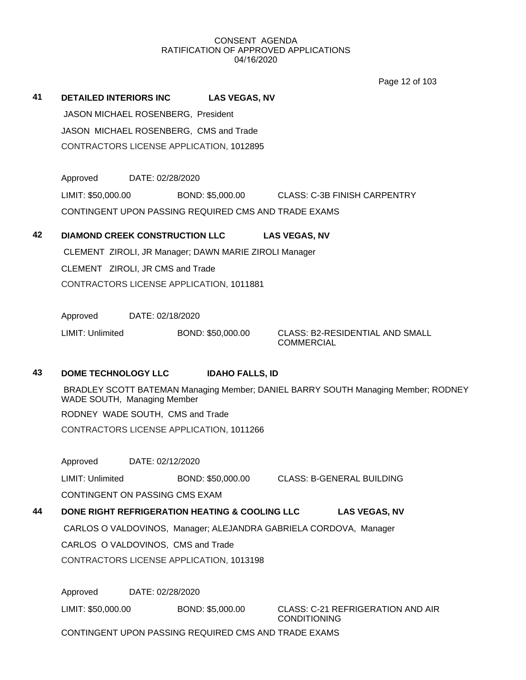Page 12 of 103

|    |                                                       |                        | 0.901100                                                                          |
|----|-------------------------------------------------------|------------------------|-----------------------------------------------------------------------------------|
| 41 | <b>DETAILED INTERIORS INC</b>                         | <b>LAS VEGAS, NV</b>   |                                                                                   |
|    | JASON MICHAEL ROSENBERG, President                    |                        |                                                                                   |
|    | JASON MICHAEL ROSENBERG, CMS and Trade                |                        |                                                                                   |
|    | CONTRACTORS LICENSE APPLICATION, 1012895              |                        |                                                                                   |
|    |                                                       |                        |                                                                                   |
|    | Approved<br>DATE: 02/28/2020                          |                        |                                                                                   |
|    | LIMIT: \$50,000.00                                    | BOND: \$5,000.00       | CLASS: C-3B FINISH CARPENTRY                                                      |
|    | CONTINGENT UPON PASSING REQUIRED CMS AND TRADE EXAMS  |                        |                                                                                   |
| 42 | <b>DIAMOND CREEK CONSTRUCTION LLC</b>                 |                        | <b>LAS VEGAS, NV</b>                                                              |
|    | CLEMENT ZIROLI, JR Manager; DAWN MARIE ZIROLI Manager |                        |                                                                                   |
|    | CLEMENT ZIROLI, JR CMS and Trade                      |                        |                                                                                   |
|    | CONTRACTORS LICENSE APPLICATION, 1011881              |                        |                                                                                   |
|    |                                                       |                        |                                                                                   |
|    | Approved<br>DATE: 02/18/2020                          |                        |                                                                                   |
|    | LIMIT: Unlimited                                      | BOND: \$50,000.00      | <b>CLASS: B2-RESIDENTIAL AND SMALL</b><br><b>COMMERCIAL</b>                       |
|    |                                                       |                        |                                                                                   |
| 43 | <b>DOME TECHNOLOGY LLC</b>                            | <b>IDAHO FALLS, ID</b> |                                                                                   |
|    | WADE SOUTH, Managing Member                           |                        | BRADLEY SCOTT BATEMAN Managing Member; DANIEL BARRY SOUTH Managing Member; RODNEY |
|    | RODNEY WADE SOUTH, CMS and Trade                      |                        |                                                                                   |
|    | CONTRACTORS LICENSE APPLICATION, 1011266              |                        |                                                                                   |
|    |                                                       |                        |                                                                                   |
|    | DATE: 02/12/2020<br>Approved                          |                        |                                                                                   |
|    | LIMIT: Unlimited                                      | BOND: \$50,000.00      | <b>CLASS: B-GENERAL BUILDING</b>                                                  |
|    | CONTINGENT ON PASSING CMS EXAM                        |                        |                                                                                   |
| 44 | DONE RIGHT REFRIGERATION HEATING & COOLING LLC        |                        | <b>LAS VEGAS, NV</b>                                                              |
|    |                                                       |                        | CARLOS O VALDOVINOS, Manager; ALEJANDRA GABRIELA CORDOVA, Manager                 |
|    | CARLOS O VALDOVINOS, CMS and Trade                    |                        |                                                                                   |

CONTRACTORS LICENSE APPLICATION, 1013198

Approved DATE: 02/28/2020

LIMIT: \$50,000.00 BOND: \$5,000.00 CLASS: C-21 REFRIGERATION AND AIR CONDITIONING

CONTINGENT UPON PASSING REQUIRED CMS AND TRADE EXAMS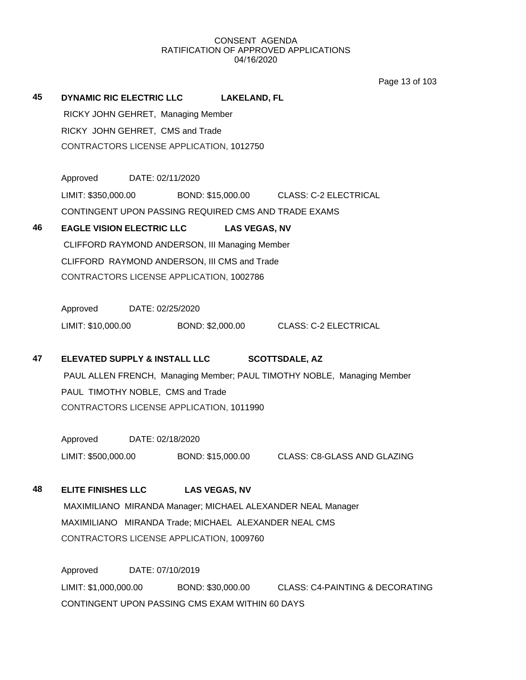Page 13 of 103

| 45 | <b>DYNAMIC RIC ELECTRIC LLC</b>          | LAKELAND, FL |
|----|------------------------------------------|--------------|
|    | RICKY JOHN GEHRET, Managing Member       |              |
|    | RICKY JOHN GEHRET, CMS and Trade         |              |
|    | CONTRACTORS LICENSE APPLICATION, 1012750 |              |
|    |                                          |              |

Approved DATE: 02/11/2020 LIMIT: \$350,000.00 BOND: \$15,000.00 CLASS: C-2 ELECTRICAL CONTINGENT UPON PASSING REQUIRED CMS AND TRADE EXAMS

# **46 EAGLE VISION ELECTRIC LLC LAS VEGAS, NV** CLIFFORD RAYMOND ANDERSON, III Managing Member CLIFFORD RAYMOND ANDERSON, III CMS and Trade

CONTRACTORS LICENSE APPLICATION, 1002786

Approved DATE: 02/25/2020 LIMIT: \$10,000.00 BOND: \$2,000.00 CLASS: C-2 ELECTRICAL

# **47 ELEVATED SUPPLY & INSTALL LLC SCOTTSDALE, AZ**

 PAUL ALLEN FRENCH, Managing Member; PAUL TIMOTHY NOBLE, Managing Member PAUL TIMOTHY NOBLE, CMS and Trade CONTRACTORS LICENSE APPLICATION, 1011990

Approved DATE: 02/18/2020 LIMIT: \$500,000.00 BOND: \$15,000.00 CLASS: C8-GLASS AND GLAZING

**48 ELITE FINISHES LLC LAS VEGAS, NV**

 MAXIMILIANO MIRANDA Manager; MICHAEL ALEXANDER NEAL Manager MAXIMILIANO MIRANDA Trade; MICHAEL ALEXANDER NEAL CMS CONTRACTORS LICENSE APPLICATION, 1009760

Approved DATE: 07/10/2019 LIMIT: \$1,000,000.00 BOND: \$30,000.00 CLASS: C4-PAINTING & DECORATING CONTINGENT UPON PASSING CMS EXAM WITHIN 60 DAYS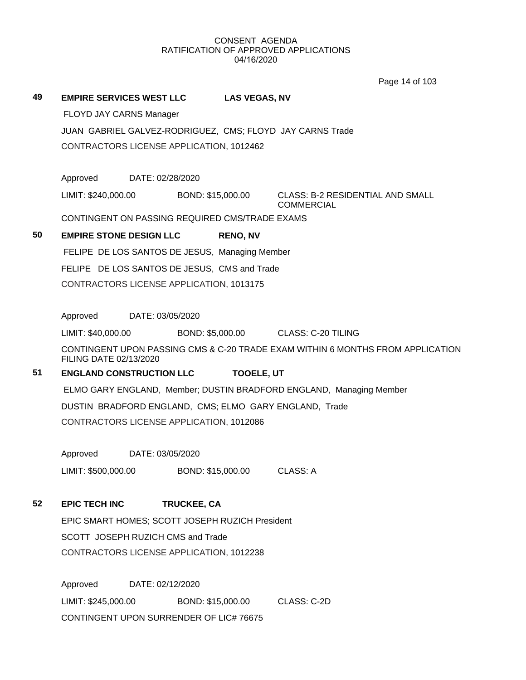Page 14 of 103

#### **49 EMPIRE SERVICES WEST LLC LAS VEGAS, NV**

FLOYD JAY CARNS Manager

JUAN GABRIEL GALVEZ-RODRIGUEZ, CMS; FLOYD JAY CARNS Trade CONTRACTORS LICENSE APPLICATION, 1012462

Approved DATE: 02/28/2020

LIMIT: \$240,000.00 BOND: \$15,000.00 CLASS: B-2 RESIDENTIAL AND SMALL **COMMERCIAL** 

CONTINGENT ON PASSING REQUIRED CMS/TRADE EXAMS

# **50 EMPIRE STONE DESIGN LLC RENO, NV**

FELIPE DE LOS SANTOS DE JESUS, Managing Member

FELIPE DE LOS SANTOS DE JESUS, CMS and Trade

CONTRACTORS LICENSE APPLICATION, 1013175

Approved DATE: 03/05/2020

LIMIT: \$40,000.00 BOND: \$5,000.00 CLASS: C-20 TILING

CONTINGENT UPON PASSING CMS & C-20 TRADE EXAM WITHIN 6 MONTHS FROM APPLICATION FILING DATE 02/13/2020

# **51 ENGLAND CONSTRUCTION LLC TOOELE, UT**

 ELMO GARY ENGLAND, Member; DUSTIN BRADFORD ENGLAND, Managing Member DUSTIN BRADFORD ENGLAND, CMS; ELMO GARY ENGLAND, Trade CONTRACTORS LICENSE APPLICATION, 1012086

Approved DATE: 03/05/2020

LIMIT: \$500,000.00 BOND: \$15,000.00 CLASS: A

# **52 EPIC TECH INC TRUCKEE, CA**

EPIC SMART HOMES; SCOTT JOSEPH RUZICH President SCOTT JOSEPH RUZICH CMS and Trade CONTRACTORS LICENSE APPLICATION, 1012238

Approved DATE: 02/12/2020 LIMIT: \$245,000.00 BOND: \$15,000.00 CLASS: C-2D CONTINGENT UPON SURRENDER OF LIC# 76675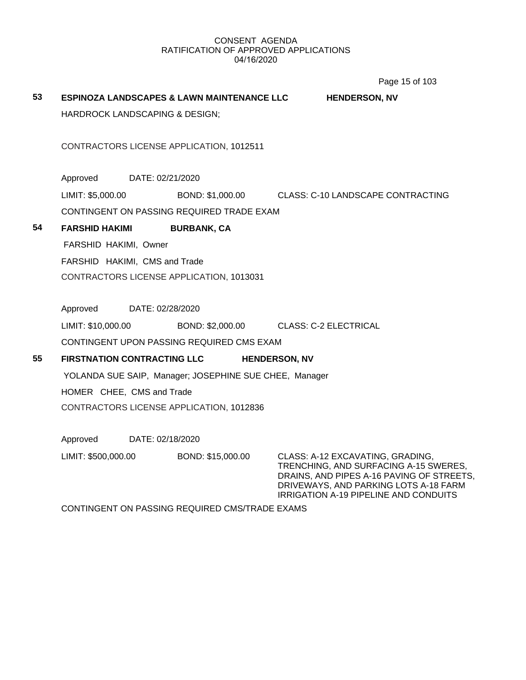Page 15 of 103

| 53 |                                           | <b>ESPINOZA LANDSCAPES &amp; LAWN MAINTENANCE LLC</b>     | <b>HENDERSON, NV</b>                                                               |
|----|-------------------------------------------|-----------------------------------------------------------|------------------------------------------------------------------------------------|
|    | <b>HARDROCK LANDSCAPING &amp; DESIGN;</b> |                                                           |                                                                                    |
|    |                                           |                                                           |                                                                                    |
|    |                                           | CONTRACTORS LICENSE APPLICATION, 1012511                  |                                                                                    |
|    |                                           |                                                           |                                                                                    |
|    | Approved                                  | DATE: 02/21/2020                                          |                                                                                    |
|    |                                           |                                                           | LIMIT: \$5,000.00 BOND: \$1,000.00 CLASS: C-10 LANDSCAPE CONTRACTING               |
|    |                                           | CONTINGENT ON PASSING REQUIRED TRADE EXAM                 |                                                                                    |
| 54 | <b>FARSHID HAKIMI</b>                     | <b>BURBANK, CA</b>                                        |                                                                                    |
|    | FARSHID HAKIMI, Owner                     |                                                           |                                                                                    |
|    | FARSHID HAKIMI, CMS and Trade             |                                                           |                                                                                    |
|    |                                           | CONTRACTORS LICENSE APPLICATION, 1013031                  |                                                                                    |
|    |                                           |                                                           |                                                                                    |
|    | Approved DATE: 02/28/2020                 |                                                           |                                                                                    |
|    |                                           | LIMIT: \$10,000.00 BOND: \$2,000.00 CLASS: C-2 ELECTRICAL |                                                                                    |
|    |                                           | CONTINGENT UPON PASSING REQUIRED CMS EXAM                 |                                                                                    |
| 55 |                                           | FIRSTNATION CONTRACTING LLC                               | <b>HENDERSON, NV</b>                                                               |
|    |                                           | YOLANDA SUE SAIP, Manager; JOSEPHINE SUE CHEE, Manager    |                                                                                    |
|    | HOMER CHEE, CMS and Trade                 |                                                           |                                                                                    |
|    |                                           | CONTRACTORS LICENSE APPLICATION, 1012836                  |                                                                                    |
|    |                                           |                                                           |                                                                                    |
|    | Approved DATE: 02/18/2020                 |                                                           |                                                                                    |
|    |                                           | LIMIT: \$500,000.00 BOND: \$15,000.00                     | CLASS: A-12 EXCAVATING, GRADING,<br>TRENCHING, AND SURFACING A-15 SWERES,          |
|    |                                           |                                                           | DRAINS, AND PIPES A-16 PAVING OF STREETS,<br>DRIVEWAYS, AND PARKING LOTS A-18 FARM |
|    |                                           |                                                           | <b>IRRIGATION A-19 PIPELINE AND CONDUITS</b>                                       |
|    |                                           | CONTINGENT ON PASSING REQUIRED CMS/TRADE EXAMS            |                                                                                    |
|    |                                           |                                                           |                                                                                    |
|    |                                           |                                                           |                                                                                    |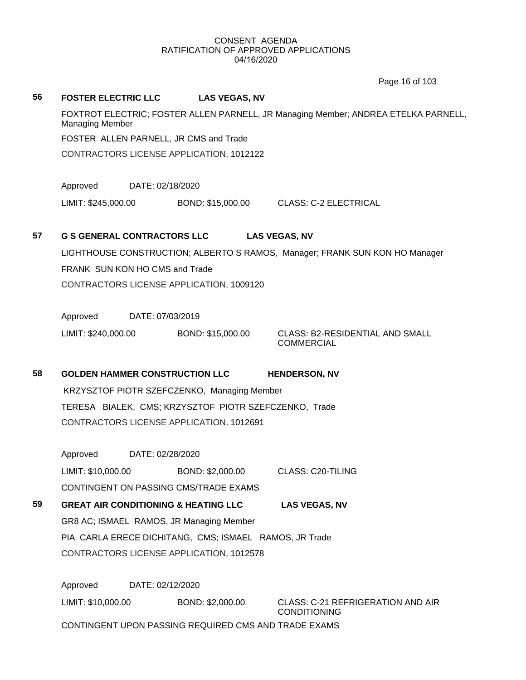# **56 FOSTER ELECTRIC LLC LAS VEGAS, NV** FOXTROT ELECTRIC; FOSTER ALLEN PARNELL, JR Managing Member; ANDREA ETELKA PARNELL, Managing Member FOSTER ALLEN PARNELL, JR CMS and Trade CONTRACTORS LICENSE APPLICATION, 1012122 Approved DATE: 02/18/2020 LIMIT: \$245,000.00 BOND: \$15,000.00 CLASS: C-2 ELECTRICAL **57 G S GENERAL CONTRACTORS LLC LAS VEGAS, NV** LIGHTHOUSE CONSTRUCTION; ALBERTO S RAMOS, Manager; FRANK SUN KON HO Manager FRANK SUN KON HO CMS and Trade CONTRACTORS LICENSE APPLICATION, 1009120 Approved DATE: 07/03/2019 LIMIT: \$240,000.00 BOND: \$15,000.00 CLASS: B2-RESIDENTIAL AND SMALL COMMERCIAL **58 GOLDEN HAMMER CONSTRUCTION LLC HENDERSON, NV** KRZYSZTOF PIOTR SZEFCZENKO, Managing Member TERESA BIALEK, CMS; KRZYSZTOF PIOTR SZEFCZENKO, Trade CONTRACTORS LICENSE APPLICATION, 1012691 Approved DATE: 02/28/2020 LIMIT: \$10,000.00 BOND: \$2,000.00 CLASS: C20-TILING CONTINGENT ON PASSING CMS/TRADE EXAMS **59 GREAT AIR CONDITIONING & HEATING LLC LAS VEGAS, NV** GR8 AC; ISMAEL RAMOS, JR Managing Member PIA CARLA ERECE DICHITANG, CMS; ISMAEL RAMOS, JR Trade CONTRACTORS LICENSE APPLICATION, 1012578 Approved DATE: 02/12/2020 LIMIT: \$10,000.00 BOND: \$2,000.00 CLASS: C-21 REFRIGERATION AND AIR CONDITIONING CONTINGENT UPON PASSING REQUIRED CMS AND TRADE EXAMS Page 16 of 103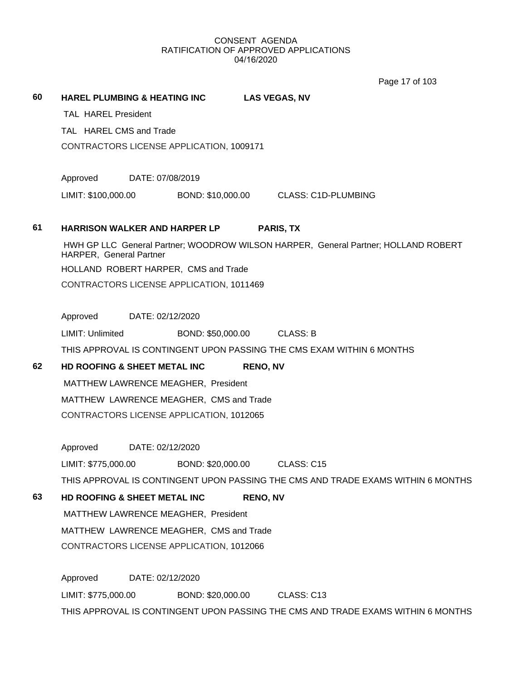Page 17 of 103

|    |                                                                                                               | Page 17 or 103             |
|----|---------------------------------------------------------------------------------------------------------------|----------------------------|
| 60 | <b>HAREL PLUMBING &amp; HEATING INC</b><br><b>LAS VEGAS, NV</b>                                               |                            |
|    | <b>TAL HAREL President</b>                                                                                    |                            |
|    | TAL HAREL CMS and Trade                                                                                       |                            |
|    | CONTRACTORS LICENSE APPLICATION, 1009171                                                                      |                            |
|    |                                                                                                               |                            |
|    | Approved<br>DATE: 07/08/2019                                                                                  |                            |
|    | LIMIT: \$100,000.00<br>BOND: \$10,000.00                                                                      | <b>CLASS: C1D-PLUMBING</b> |
| 61 | HARRISON WALKER AND HARPER LP<br><b>PARIS, TX</b>                                                             |                            |
|    | HWH GP LLC General Partner; WOODROW WILSON HARPER, General Partner; HOLLAND ROBERT<br>HARPER, General Partner |                            |
|    | HOLLAND ROBERT HARPER, CMS and Trade                                                                          |                            |
|    | CONTRACTORS LICENSE APPLICATION, 1011469                                                                      |                            |
|    |                                                                                                               |                            |
|    | Approved<br>DATE: 02/12/2020                                                                                  |                            |
|    | LIMIT: Unlimited<br>BOND: \$50,000.00<br>CLASS: B                                                             |                            |
|    | THIS APPROVAL IS CONTINGENT UPON PASSING THE CMS EXAM WITHIN 6 MONTHS                                         |                            |
| 62 | HD ROOFING & SHEET METAL INC<br><b>RENO, NV</b>                                                               |                            |
|    | MATTHEW LAWRENCE MEAGHER, President                                                                           |                            |
|    | MATTHEW LAWRENCE MEAGHER, CMS and Trade                                                                       |                            |
|    | CONTRACTORS LICENSE APPLICATION, 1012065                                                                      |                            |
|    | Approved<br>DATE: 02/12/2020                                                                                  |                            |
|    | LIMIT: \$775.000.00<br>BOND: \$20,000.00<br>CLASS: C15                                                        |                            |
|    | THIS APPROVAL IS CONTINGENT UPON PASSING THE CMS AND TRADE EXAMS WITHIN 6 MONTHS                              |                            |
| 63 | HD ROOFING & SHEET METAL INC<br><b>RENO, NV</b>                                                               |                            |
|    | MATTHEW LAWRENCE MEAGHER, President                                                                           |                            |
|    | MATTHEW LAWRENCE MEAGHER, CMS and Trade                                                                       |                            |
|    | CONTRACTORS LICENSE APPLICATION, 1012066                                                                      |                            |
|    | Approved<br>DATE: 02/12/2020                                                                                  |                            |
|    | LIMIT: \$775,000.00<br>BOND: \$20,000.00<br>CLASS: C13                                                        |                            |
|    | THIS APPROVAL IS CONTINGENT UPON PASSING THE CMS AND TRADE EXAMS WITHIN 6 MONTHS                              |                            |
|    |                                                                                                               |                            |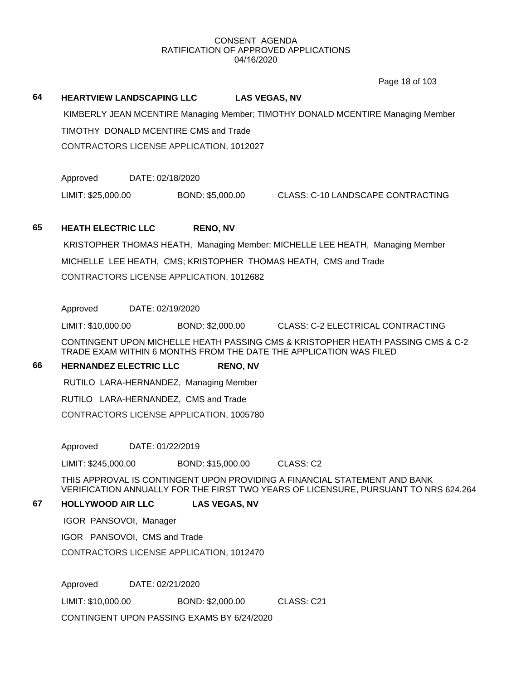Page 18 of 103

#### **64 HEARTVIEW LANDSCAPING LLC LAS VEGAS, NV**

 KIMBERLY JEAN MCENTIRE Managing Member; TIMOTHY DONALD MCENTIRE Managing Member TIMOTHY DONALD MCENTIRE CMS and Trade CONTRACTORS LICENSE APPLICATION, 1012027

Approved DATE: 02/18/2020

LIMIT: \$25,000.00 BOND: \$5,000.00 CLASS: C-10 LANDSCAPE CONTRACTING

#### **65 HEATH ELECTRIC LLC RENO, NV**

 KRISTOPHER THOMAS HEATH, Managing Member; MICHELLE LEE HEATH, Managing Member MICHELLE LEE HEATH, CMS; KRISTOPHER THOMAS HEATH, CMS and Trade CONTRACTORS LICENSE APPLICATION, 1012682

Approved DATE: 02/19/2020

LIMIT: \$10,000.00 BOND: \$2,000.00 CLASS: C-2 ELECTRICAL CONTRACTING

CONTINGENT UPON MICHELLE HEATH PASSING CMS & KRISTOPHER HEATH PASSING CMS & C-2 TRADE EXAM WITHIN 6 MONTHS FROM THE DATE THE APPLICATION WAS FILED

#### **66 HERNANDEZ ELECTRIC LLC RENO, NV**

RUTILO LARA-HERNANDEZ, Managing Member

RUTILO LARA-HERNANDEZ, CMS and Trade

CONTRACTORS LICENSE APPLICATION, 1005780

Approved DATE: 01/22/2019

LIMIT: \$245,000.00 BOND: \$15,000.00 CLASS: C2

THIS APPROVAL IS CONTINGENT UPON PROVIDING A FINANCIAL STATEMENT AND BANK VERIFICATION ANNUALLY FOR THE FIRST TWO YEARS OF LICENSURE, PURSUANT TO NRS 624.264

#### **67 HOLLYWOOD AIR LLC LAS VEGAS, NV**

IGOR PANSOVOI, Manager

IGOR PANSOVOI, CMS and Trade

CONTRACTORS LICENSE APPLICATION, 1012470

Approved DATE: 02/21/2020

LIMIT: \$10,000.00 BOND: \$2,000.00 CLASS: C21

CONTINGENT UPON PASSING EXAMS BY 6/24/2020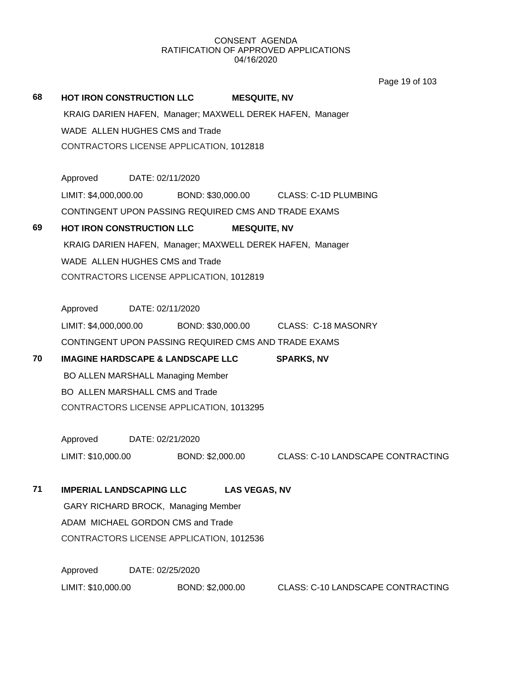Page 19 of 103

| 68 | HOT IRON CONSTRUCTION LLC                    |                  |                  | <b>MESQUITE, NV</b>  |                                                           |
|----|----------------------------------------------|------------------|------------------|----------------------|-----------------------------------------------------------|
|    |                                              |                  |                  |                      | KRAIG DARIEN HAFEN, Manager; MAXWELL DEREK HAFEN, Manager |
|    | WADE ALLEN HUGHES CMS and Trade              |                  |                  |                      |                                                           |
|    | CONTRACTORS LICENSE APPLICATION, 1012818     |                  |                  |                      |                                                           |
|    | Approved DATE: 02/11/2020                    |                  |                  |                      |                                                           |
|    | LIMIT: \$4,000,000.00                        |                  |                  |                      | BOND: \$30,000.00 CLASS: C-1D PLUMBING                    |
|    |                                              |                  |                  |                      | CONTINGENT UPON PASSING REQUIRED CMS AND TRADE EXAMS      |
| 69 | HOT IRON CONSTRUCTION LLC                    |                  |                  | <b>MESQUITE, NV</b>  |                                                           |
|    |                                              |                  |                  |                      | KRAIG DARIEN HAFEN, Manager; MAXWELL DEREK HAFEN, Manager |
|    | WADE ALLEN HUGHES CMS and Trade              |                  |                  |                      |                                                           |
|    | CONTRACTORS LICENSE APPLICATION, 1012819     |                  |                  |                      |                                                           |
|    |                                              |                  |                  |                      |                                                           |
|    | Approved DATE: 02/11/2020                    |                  |                  |                      |                                                           |
|    | LIMIT: \$4,000,000.00                        |                  |                  |                      | BOND: \$30,000.00 CLASS: C-18 MASONRY                     |
|    |                                              |                  |                  |                      | CONTINGENT UPON PASSING REQUIRED CMS AND TRADE EXAMS      |
| 70 | <b>IMAGINE HARDSCAPE &amp; LANDSCAPE LLC</b> |                  |                  |                      | <b>SPARKS, NV</b>                                         |
|    | <b>BO ALLEN MARSHALL Managing Member</b>     |                  |                  |                      |                                                           |
|    | BO ALLEN MARSHALL CMS and Trade              |                  |                  |                      |                                                           |
|    | CONTRACTORS LICENSE APPLICATION, 1013295     |                  |                  |                      |                                                           |
|    | Approved DATE: 02/21/2020                    |                  |                  |                      |                                                           |
|    | LIMIT: \$10,000.00                           |                  | BOND: \$2,000.00 |                      | <b>CLASS: C-10 LANDSCAPE CONTRACTING</b>                  |
| 71 | <b>IMPERIAL LANDSCAPING LLC</b>              |                  |                  | <b>LAS VEGAS, NV</b> |                                                           |
|    | GARY RICHARD BROCK, Managing Member          |                  |                  |                      |                                                           |
|    | ADAM MICHAEL GORDON CMS and Trade            |                  |                  |                      |                                                           |
|    | CONTRACTORS LICENSE APPLICATION, 1012536     |                  |                  |                      |                                                           |
|    |                                              |                  |                  |                      |                                                           |
|    | Approved                                     | DATE: 02/25/2020 |                  |                      |                                                           |
|    | LIMIT: \$10,000.00                           |                  | BOND: \$2,000.00 |                      | <b>CLASS: C-10 LANDSCAPE CONTRACTING</b>                  |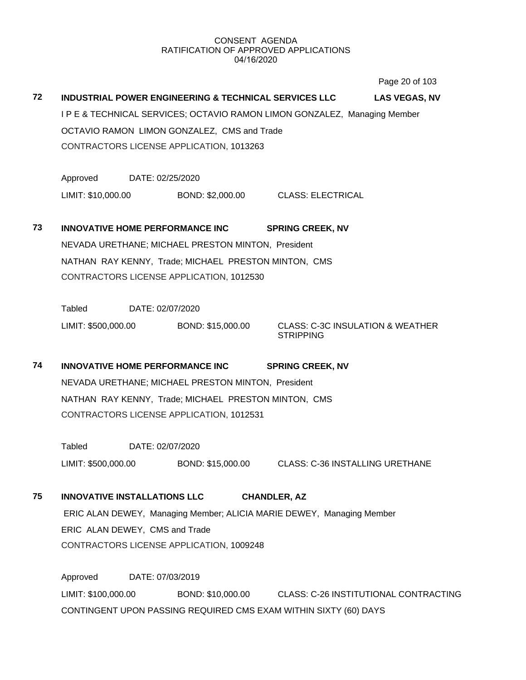Page 20 of 103

# **72 INDUSTRIAL POWER ENGINEERING & TECHNICAL SERVICES LLC LAS VEGAS, NV** I P E & TECHNICAL SERVICES; OCTAVIO RAMON LIMON GONZALEZ, Managing Member OCTAVIO RAMON LIMON GONZALEZ, CMS and Trade CONTRACTORS LICENSE APPLICATION, 1013263 Approved DATE: 02/25/2020 LIMIT: \$10,000.00 BOND: \$2,000.00 CLASS: ELECTRICAL **73 INNOVATIVE HOME PERFORMANCE INC SPRING CREEK, NV**

NEVADA URETHANE; MICHAEL PRESTON MINTON, President NATHAN RAY KENNY, Trade; MICHAEL PRESTON MINTON, CMS CONTRACTORS LICENSE APPLICATION, 1012530

Tabled DATE: 02/07/2020 LIMIT: \$500,000.00 BOND: \$15,000.00 CLASS: C-3C INSULATION & WEATHER

**STRIPPING** 

**74 INNOVATIVE HOME PERFORMANCE INC SPRING CREEK, NV** NEVADA URETHANE; MICHAEL PRESTON MINTON, President NATHAN RAY KENNY, Trade; MICHAEL PRESTON MINTON, CMS CONTRACTORS LICENSE APPLICATION, 1012531

Tabled DATE: 02/07/2020 LIMIT: \$500,000.00 BOND: \$15,000.00 CLASS: C-36 INSTALLING URETHANE

# **75 INNOVATIVE INSTALLATIONS LLC CHANDLER, AZ** ERIC ALAN DEWEY, Managing Member; ALICIA MARIE DEWEY, Managing Member ERIC ALAN DEWEY, CMS and Trade CONTRACTORS LICENSE APPLICATION, 1009248

Approved DATE: 07/03/2019 LIMIT: \$100,000.00 BOND: \$10,000.00 CLASS: C-26 INSTITUTIONAL CONTRACTING CONTINGENT UPON PASSING REQUIRED CMS EXAM WITHIN SIXTY (60) DAYS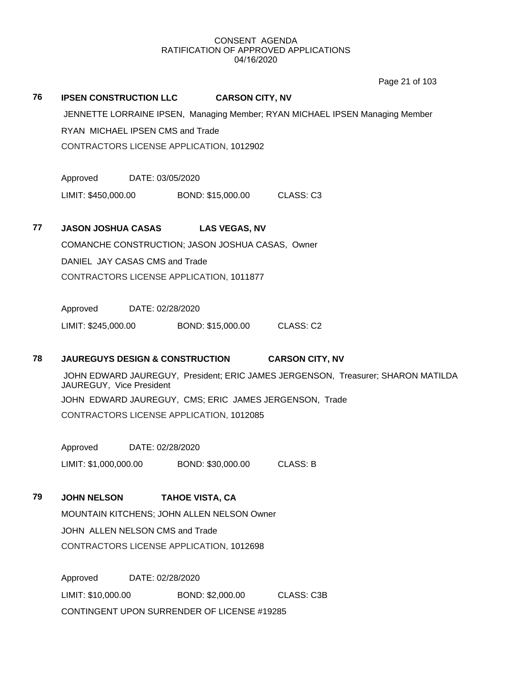Page 21 of 103

#### **76 IPSEN CONSTRUCTION LLC CARSON CITY, NV**

 JENNETTE LORRAINE IPSEN, Managing Member; RYAN MICHAEL IPSEN Managing Member RYAN MICHAEL IPSEN CMS and Trade CONTRACTORS LICENSE APPLICATION, 1012902

Approved DATE: 03/05/2020

LIMIT: \$450,000.00 BOND: \$15,000.00 CLASS: C3

#### **77 JASON JOSHUA CASAS LAS VEGAS, NV**

COMANCHE CONSTRUCTION; JASON JOSHUA CASAS, Owner DANIEL JAY CASAS CMS and Trade CONTRACTORS LICENSE APPLICATION, 1011877

Approved DATE: 02/28/2020

LIMIT: \$245,000.00 BOND: \$15,000.00 CLASS: C2

#### **78 JAUREGUYS DESIGN & CONSTRUCTION CARSON CITY, NV**

 JOHN EDWARD JAUREGUY, President; ERIC JAMES JERGENSON, Treasurer; SHARON MATILDA JAUREGUY, Vice President JOHN EDWARD JAUREGUY, CMS; ERIC JAMES JERGENSON, Trade CONTRACTORS LICENSE APPLICATION, 1012085

Approved DATE: 02/28/2020 LIMIT: \$1,000,000.00 BOND: \$30,000.00 CLASS: B

#### **79 JOHN NELSON TAHOE VISTA, CA**

MOUNTAIN KITCHENS; JOHN ALLEN NELSON Owner JOHN ALLEN NELSON CMS and Trade CONTRACTORS LICENSE APPLICATION, 1012698

Approved DATE: 02/28/2020 LIMIT: \$10,000.00 BOND: \$2,000.00 CLASS: C3B CONTINGENT UPON SURRENDER OF LICENSE #19285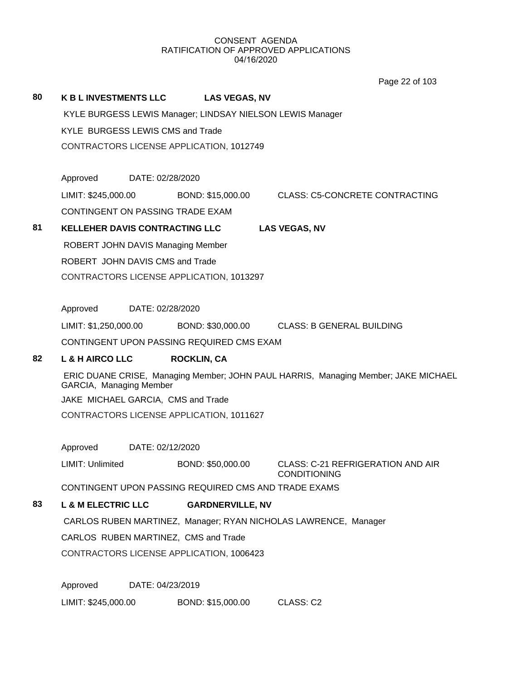# **80 K B L INVESTMENTS LLC LAS VEGAS, NV** KYLE BURGESS LEWIS Manager; LINDSAY NIELSON LEWIS Manager KYLE BURGESS LEWIS CMS and Trade CONTRACTORS LICENSE APPLICATION, 1012749 Approved DATE: 02/28/2020 LIMIT: \$245,000.00 BOND: \$15,000.00 CLASS: C5-CONCRETE CONTRACTING CONTINGENT ON PASSING TRADE EXAM **81 KELLEHER DAVIS CONTRACTING LLC LAS VEGAS, NV** ROBERT JOHN DAVIS Managing Member ROBERT JOHN DAVIS CMS and Trade CONTRACTORS LICENSE APPLICATION, 1013297 Approved DATE: 02/28/2020 LIMIT: \$1,250,000.00 BOND: \$30,000.00 CLASS: B GENERAL BUILDING CONTINGENT UPON PASSING REQUIRED CMS EXAM **82 L & H AIRCO LLC ROCKLIN, CA** ERIC DUANE CRISE, Managing Member; JOHN PAUL HARRIS, Managing Member; JAKE MICHAEL GARCIA, Managing Member JAKE MICHAEL GARCIA, CMS and Trade CONTRACTORS LICENSE APPLICATION, 1011627 Approved DATE: 02/12/2020 LIMIT: Unlimited BOND: \$50,000.00 CLASS: C-21 REFRIGERATION AND AIR CONDITIONING CONTINGENT UPON PASSING REQUIRED CMS AND TRADE EXAMS **83 L & M ELECTRIC LLC GARDNERVILLE, NV** CARLOS RUBEN MARTINEZ, Manager; RYAN NICHOLAS LAWRENCE, Manager CARLOS RUBEN MARTINEZ, CMS and Trade CONTRACTORS LICENSE APPLICATION, 1006423 Approved DATE: 04/23/2019 LIMIT: \$245,000.00 BOND: \$15,000.00 CLASS: C2 Page 22 of 103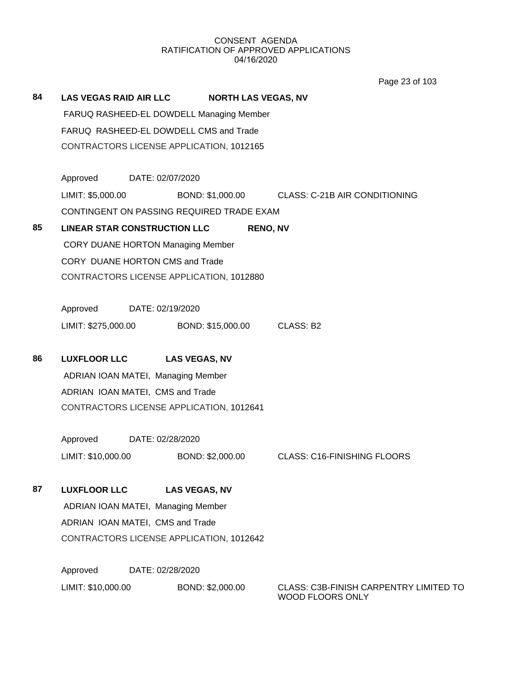Page 23 of 103

| 84 | <b>LAS VEGAS RAID AIR LLC</b>             | <b>NORTH LAS VEGAS, NV</b> |                                                |
|----|-------------------------------------------|----------------------------|------------------------------------------------|
|    | FARUQ RASHEED-EL DOWDELL Managing Member  |                            |                                                |
|    | FARUQ RASHEED-EL DOWDELL CMS and Trade    |                            |                                                |
|    | CONTRACTORS LICENSE APPLICATION, 1012165  |                            |                                                |
|    | Approved<br>DATE: 02/07/2020              |                            |                                                |
|    | LIMIT: \$5,000.00                         |                            | BOND: \$1,000.00 CLASS: C-21B AIR CONDITIONING |
|    | CONTINGENT ON PASSING REQUIRED TRADE EXAM |                            |                                                |
| 85 | <b>LINEAR STAR CONSTRUCTION LLC</b>       | <b>RENO, NV</b>            |                                                |
|    | <b>CORY DUANE HORTON Managing Member</b>  |                            |                                                |
|    | CORY DUANE HORTON CMS and Trade           |                            |                                                |
|    | CONTRACTORS LICENSE APPLICATION, 1012880  |                            |                                                |
|    |                                           |                            |                                                |
|    | Approved<br>DATE: 02/19/2020              |                            |                                                |
|    | LIMIT: \$275,000.00                       | BOND: \$15,000.00          | CLASS: B2                                      |
| 86 | <b>LUXFLOOR LLC</b>                       | <b>LAS VEGAS, NV</b>       |                                                |
|    | ADRIAN IOAN MATEI, Managing Member        |                            |                                                |
|    | ADRIAN IOAN MATEI, CMS and Trade          |                            |                                                |
|    | CONTRACTORS LICENSE APPLICATION, 1012641  |                            |                                                |
|    |                                           |                            |                                                |
|    | Approved<br>DATE: 02/28/2020              |                            |                                                |
|    | LIMIT: \$10,000.00                        | BOND: \$2,000.00           | CLASS: C16-FINISHING FLOORS                    |
| 87 | <b>LUXFLOOR LLC</b>                       | <b>LAS VEGAS, NV</b>       |                                                |
|    | ADRIAN IOAN MATEI, Managing Member        |                            |                                                |
|    | ADRIAN IOAN MATEI, CMS and Trade          |                            |                                                |
|    | CONTRACTORS LICENSE APPLICATION, 1012642  |                            |                                                |
|    | Approved<br>DATE: 02/28/2020              |                            |                                                |
|    | LIMIT: \$10,000.00                        | BOND: \$2,000.00           | CLASS: C3B-FINISH CARPENTRY LIMITED TO         |

WOOD FLOORS ONLY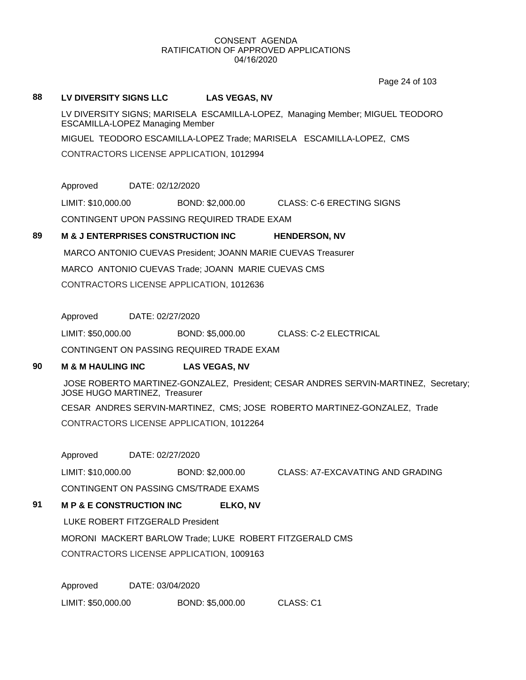Page 24 of 103

#### **88 LV DIVERSITY SIGNS LLC LAS VEGAS, NV**

LV DIVERSITY SIGNS; MARISELA ESCAMILLA-LOPEZ, Managing Member; MIGUEL TEODORO ESCAMILLA-LOPEZ Managing Member

MIGUEL TEODORO ESCAMILLA-LOPEZ Trade; MARISELA ESCAMILLA-LOPEZ, CMS

CONTRACTORS LICENSE APPLICATION, 1012994

Approved DATE: 02/12/2020

LIMIT: \$10,000.00 BOND: \$2,000.00 CLASS: C-6 ERECTING SIGNS

CONTINGENT UPON PASSING REQUIRED TRADE EXAM

## **89 M & J ENTERPRISES CONSTRUCTION INC HENDERSON, NV**

 MARCO ANTONIO CUEVAS President; JOANN MARIE CUEVAS Treasurer MARCO ANTONIO CUEVAS Trade; JOANN MARIE CUEVAS CMS CONTRACTORS LICENSE APPLICATION, 1012636

Approved DATE: 02/27/2020

LIMIT: \$50,000.00 BOND: \$5,000.00 CLASS: C-2 ELECTRICAL

CONTINGENT ON PASSING REQUIRED TRADE EXAM

## **90 M & M HAULING INC LAS VEGAS, NV**

 JOSE ROBERTO MARTINEZ-GONZALEZ, President; CESAR ANDRES SERVIN-MARTINEZ, Secretary; JOSE HUGO MARTINEZ, Treasurer

CESAR ANDRES SERVIN-MARTINEZ, CMS; JOSE ROBERTO MARTINEZ-GONZALEZ, Trade CONTRACTORS LICENSE APPLICATION, 1012264

Approved DATE: 02/27/2020

LIMIT: \$10,000.00 BOND: \$2,000.00 CLASS: A7-EXCAVATING AND GRADING CONTINGENT ON PASSING CMS/TRADE EXAMS

**91 M P & E CONSTRUCTION INC ELKO, NV**

LUKE ROBERT FITZGERALD President

MORONI MACKERT BARLOW Trade; LUKE ROBERT FITZGERALD CMS

CONTRACTORS LICENSE APPLICATION, 1009163

Approved DATE: 03/04/2020

LIMIT: \$50,000.00 BOND: \$5,000.00 CLASS: C1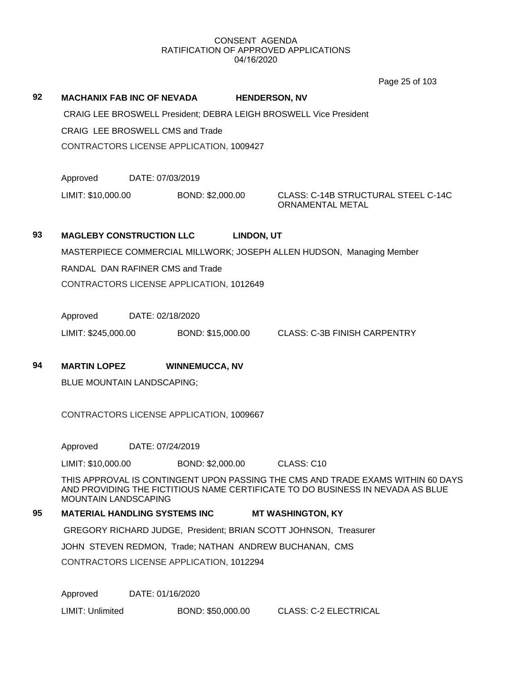Page 25 of 103

# 92 **MACHANIX FAB INC OF NEVADA HENDERSON, NV**

 CRAIG LEE BROSWELL President; DEBRA LEIGH BROSWELL Vice President CRAIG LEE BROSWELL CMS and Trade

CONTRACTORS LICENSE APPLICATION, 1009427

Approved DATE: 07/03/2019

LIMIT: \$10,000.00 BOND: \$2,000.00 CLASS: C-14B STRUCTURAL STEEL C-14C

ORNAMENTAL METAL

# **93 MAGLEBY CONSTRUCTION LLC LINDON, UT**

MASTERPIECE COMMERCIAL MILLWORK; JOSEPH ALLEN HUDSON, Managing Member

RANDAL DAN RAFINER CMS and Trade

CONTRACTORS LICENSE APPLICATION, 1012649

Approved DATE: 02/18/2020

LIMIT: \$245,000.00 BOND: \$15,000.00 CLASS: C-3B FINISH CARPENTRY

#### **94 MARTIN LOPEZ WINNEMUCCA, NV**

BLUE MOUNTAIN LANDSCAPING;

CONTRACTORS LICENSE APPLICATION, 1009667

Approved DATE: 07/24/2019

LIMIT: \$10,000.00 BOND: \$2,000.00 CLASS: C10

THIS APPROVAL IS CONTINGENT UPON PASSING THE CMS AND TRADE EXAMS WITHIN 60 DAYS AND PROVIDING THE FICTITIOUS NAME CERTIFICATE TO DO BUSINESS IN NEVADA AS BLUE MOUNTAIN LANDSCAPING

#### **95 MATERIAL HANDLING SYSTEMS INC MT WASHINGTON, KY**

GREGORY RICHARD JUDGE, President; BRIAN SCOTT JOHNSON, Treasurer

JOHN STEVEN REDMON, Trade; NATHAN ANDREW BUCHANAN, CMS

CONTRACTORS LICENSE APPLICATION, 1012294

Approved DATE: 01/16/2020

LIMIT: Unlimited BOND: \$50,000.00 CLASS: C-2 ELECTRICAL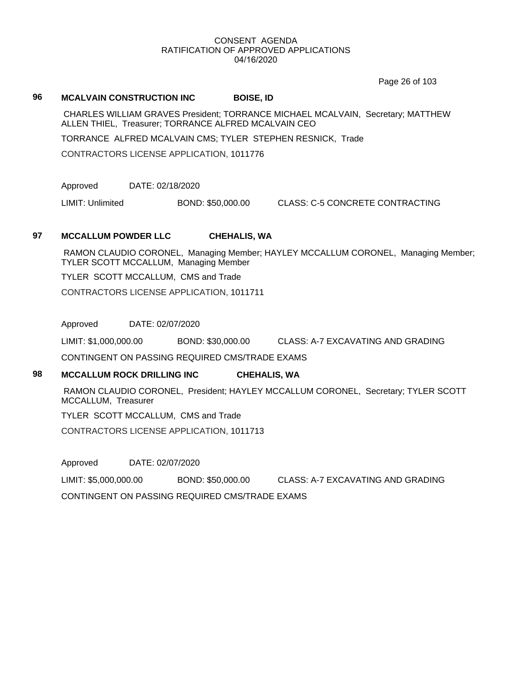Page 26 of 103

#### **96 MCALVAIN CONSTRUCTION INC BOISE, ID**

 CHARLES WILLIAM GRAVES President; TORRANCE MICHAEL MCALVAIN, Secretary; MATTHEW ALLEN THIEL, Treasurer; TORRANCE ALFRED MCALVAIN CEO

TORRANCE ALFRED MCALVAIN CMS; TYLER STEPHEN RESNICK, Trade

CONTRACTORS LICENSE APPLICATION, 1011776

Approved DATE: 02/18/2020

LIMIT: Unlimited BOND: \$50,000.00 CLASS: C-5 CONCRETE CONTRACTING

#### **97 MCCALLUM POWDER LLC CHEHALIS, WA**

 RAMON CLAUDIO CORONEL, Managing Member; HAYLEY MCCALLUM CORONEL, Managing Member; TYLER SCOTT MCCALLUM, Managing Member

TYLER SCOTT MCCALLUM, CMS and Trade

CONTRACTORS LICENSE APPLICATION, 1011711

Approved DATE: 02/07/2020

LIMIT: \$1,000,000.00 BOND: \$30,000.00 CLASS: A-7 EXCAVATING AND GRADING

CONTINGENT ON PASSING REQUIRED CMS/TRADE EXAMS

# **98 MCCALLUM ROCK DRILLING INC CHEHALIS, WA**

 RAMON CLAUDIO CORONEL, President; HAYLEY MCCALLUM CORONEL, Secretary; TYLER SCOTT MCCALLUM, Treasurer

TYLER SCOTT MCCALLUM, CMS and Trade

CONTRACTORS LICENSE APPLICATION, 1011713

Approved DATE: 02/07/2020

LIMIT: \$5,000,000.00 BOND: \$50,000.00 CLASS: A-7 EXCAVATING AND GRADING

CONTINGENT ON PASSING REQUIRED CMS/TRADE EXAMS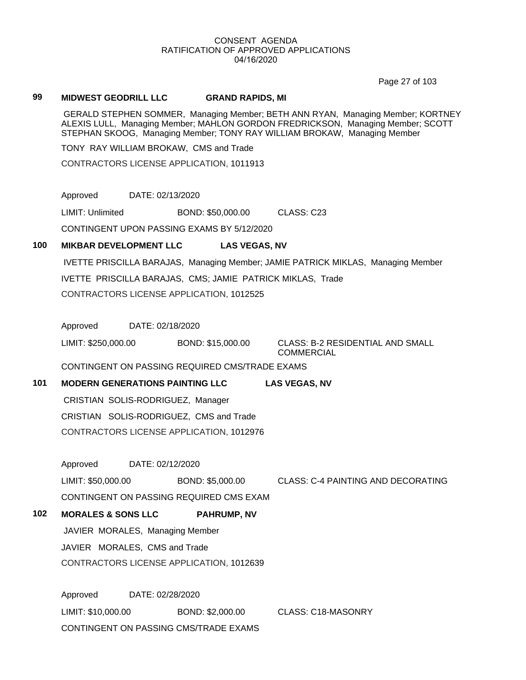Page 27 of 103

#### **99 MIDWEST GEODRILL LLC GRAND RAPIDS, MI**

 GERALD STEPHEN SOMMER, Managing Member; BETH ANN RYAN, Managing Member; KORTNEY ALEXIS LULL, Managing Member; MAHLON GORDON FREDRICKSON, Managing Member; SCOTT STEPHAN SKOOG, Managing Member; TONY RAY WILLIAM BROKAW, Managing Member

TONY RAY WILLIAM BROKAW, CMS and Trade

CONTRACTORS LICENSE APPLICATION, 1011913

Approved DATE: 02/13/2020

LIMIT: Unlimited BOND: \$50,000.00 CLASS: C23

CONTINGENT UPON PASSING EXAMS BY 5/12/2020

#### **100 MIKBAR DEVELOPMENT LLC LAS VEGAS, NV**

 IVETTE PRISCILLA BARAJAS, Managing Member; JAMIE PATRICK MIKLAS, Managing Member IVETTE PRISCILLA BARAJAS, CMS; JAMIE PATRICK MIKLAS, Trade CONTRACTORS LICENSE APPLICATION, 1012525

Approved DATE: 02/18/2020

LIMIT: \$250,000.00 BOND: \$15,000.00 CLASS: B-2 RESIDENTIAL AND SMALL COMMERCIAL

## CONTINGENT ON PASSING REQUIRED CMS/TRADE EXAMS

**101 MODERN GENERATIONS PAINTING LLC LAS VEGAS, NV** CRISTIAN SOLIS-RODRIGUEZ, Manager CRISTIAN SOLIS-RODRIGUEZ, CMS and Trade

Approved DATE: 02/12/2020

LIMIT: \$50,000.00 BOND: \$5,000.00 CLASS: C-4 PAINTING AND DECORATING

CONTINGENT ON PASSING REQUIRED CMS EXAM

CONTRACTORS LICENSE APPLICATION, 1012976

## **102 MORALES & SONS LLC PAHRUMP, NV**

 JAVIER MORALES, Managing Member JAVIER MORALES, CMS and Trade

CONTRACTORS LICENSE APPLICATION, 1012639

Approved DATE: 02/28/2020 LIMIT: \$10,000.00 BOND: \$2,000.00 CLASS: C18-MASONRY CONTINGENT ON PASSING CMS/TRADE EXAMS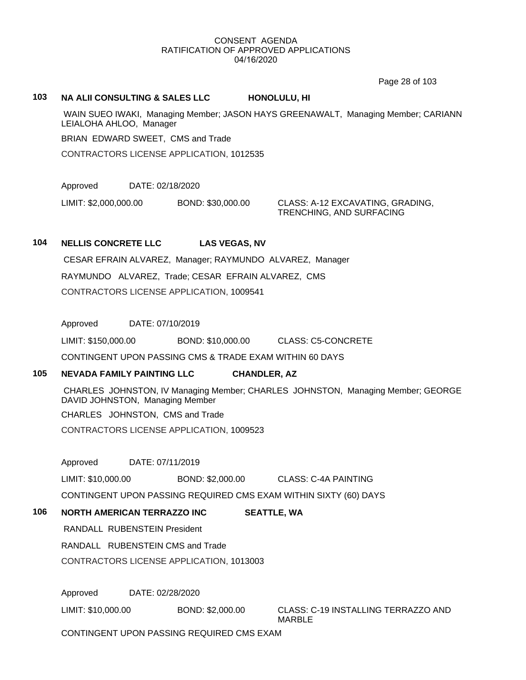Page 28 of 103

#### **103 NA ALII CONSULTING & SALES LLC HONOLULU, HI**

 WAIN SUEO IWAKI, Managing Member; JASON HAYS GREENAWALT, Managing Member; CARIANN LEIALOHA AHLOO, Manager

BRIAN EDWARD SWEET, CMS and Trade

CONTRACTORS LICENSE APPLICATION, 1012535

Approved DATE: 02/18/2020

LIMIT: \$2,000,000.00 BOND: \$30,000.00 CLASS: A-12 EXCAVATING, GRADING,

TRENCHING, AND SURFACING

#### **104 NELLIS CONCRETE LLC LAS VEGAS, NV**

 CESAR EFRAIN ALVAREZ, Manager; RAYMUNDO ALVAREZ, Manager RAYMUNDO ALVAREZ, Trade; CESAR EFRAIN ALVAREZ, CMS CONTRACTORS LICENSE APPLICATION, 1009541

Approved DATE: 07/10/2019

LIMIT: \$150,000.00 BOND: \$10,000.00 CLASS: C5-CONCRETE

CONTINGENT UPON PASSING CMS & TRADE EXAM WITHIN 60 DAYS

# **105 NEVADA FAMILY PAINTING LLC CHANDLER, AZ**

 CHARLES JOHNSTON, IV Managing Member; CHARLES JOHNSTON, Managing Member; GEORGE DAVID JOHNSTON, Managing Member

CHARLES JOHNSTON, CMS and Trade

CONTRACTORS LICENSE APPLICATION, 1009523

Approved DATE: 07/11/2019

LIMIT: \$10,000.00 BOND: \$2,000.00 CLASS: C-4A PAINTING

CONTINGENT UPON PASSING REQUIRED CMS EXAM WITHIN SIXTY (60) DAYS

# **106 NORTH AMERICAN TERRAZZO INC SEATTLE, WA**

RANDALL RUBENSTEIN President

RANDALL RUBENSTEIN CMS and Trade

CONTRACTORS LICENSE APPLICATION, 1013003

Approved DATE: 02/28/2020

LIMIT: \$10,000.00 BOND: \$2,000.00 CLASS: C-19 INSTALLING TERRAZZO AND MARBLE

CONTINGENT UPON PASSING REQUIRED CMS EXAM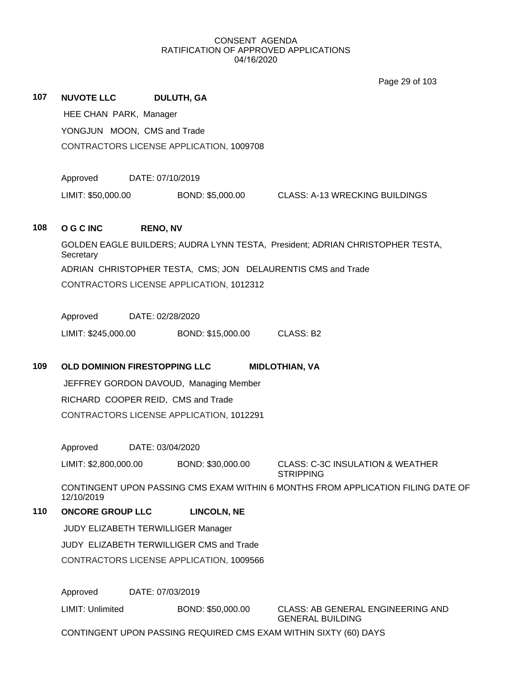|     |                                          |                  |                                          | Page 29 of 103                                                                   |  |  |
|-----|------------------------------------------|------------------|------------------------------------------|----------------------------------------------------------------------------------|--|--|
| 107 | NUVOTE LLC DULUTH, GA                    |                  |                                          |                                                                                  |  |  |
|     | HEE CHAN PARK, Manager                   |                  |                                          |                                                                                  |  |  |
|     | YONGJUN MOON, CMS and Trade              |                  |                                          |                                                                                  |  |  |
|     | CONTRACTORS LICENSE APPLICATION, 1009708 |                  |                                          |                                                                                  |  |  |
|     |                                          |                  |                                          |                                                                                  |  |  |
|     | Approved DATE: 07/10/2019                |                  |                                          |                                                                                  |  |  |
|     | LIMIT: \$50,000.00                       |                  |                                          | BOND: \$5,000.00 CLASS: A-13 WRECKING BUILDINGS                                  |  |  |
|     |                                          |                  |                                          |                                                                                  |  |  |
| 108 | O G C INC                                | <b>RENO, NV</b>  |                                          |                                                                                  |  |  |
|     | Secretary                                |                  |                                          | GOLDEN EAGLE BUILDERS; AUDRA LYNN TESTA, President; ADRIAN CHRISTOPHER TESTA,    |  |  |
|     |                                          |                  |                                          | ADRIAN CHRISTOPHER TESTA, CMS; JON DELAURENTIS CMS and Trade                     |  |  |
|     |                                          |                  | CONTRACTORS LICENSE APPLICATION, 1012312 |                                                                                  |  |  |
|     |                                          |                  |                                          |                                                                                  |  |  |
|     | Approved DATE: 02/28/2020                |                  |                                          |                                                                                  |  |  |
|     | LIMIT: \$245,000.00                      |                  | BOND: \$15,000.00 CLASS: B2              |                                                                                  |  |  |
|     |                                          |                  |                                          |                                                                                  |  |  |
| 109 |                                          |                  | OLD DOMINION FIRESTOPPING LLC            | <b>MIDLOTHIAN, VA</b>                                                            |  |  |
|     |                                          |                  |                                          |                                                                                  |  |  |
|     |                                          |                  | JEFFREY GORDON DAVOUD, Managing Member   |                                                                                  |  |  |
|     |                                          |                  | RICHARD COOPER REID, CMS and Trade       |                                                                                  |  |  |
|     |                                          |                  | CONTRACTORS LICENSE APPLICATION, 1012291 |                                                                                  |  |  |
|     |                                          |                  |                                          |                                                                                  |  |  |
|     | Approved                                 | DATE: 03/04/2020 |                                          |                                                                                  |  |  |
|     | LIMIT: \$2,800,000.00                    |                  | BOND: \$30,000.00                        | <b>CLASS: C-3C INSULATION &amp; WEATHER</b><br><b>STRIPPING</b>                  |  |  |
|     | 12/10/2019                               |                  |                                          | CONTINGENT UPON PASSING CMS EXAM WITHIN 6 MONTHS FROM APPLICATION FILING DATE OF |  |  |
| 110 | <b>ONCORE GROUP LLC</b>                  |                  | <b>LINCOLN, NE</b>                       |                                                                                  |  |  |
|     |                                          |                  | JUDY ELIZABETH TERWILLIGER Manager       |                                                                                  |  |  |
|     |                                          |                  | JUDY ELIZABETH TERWILLIGER CMS and Trade |                                                                                  |  |  |
|     |                                          |                  | CONTRACTORS LICENSE APPLICATION, 1009566 |                                                                                  |  |  |
|     |                                          |                  |                                          |                                                                                  |  |  |
|     | Approved<br>LIMIT: Unlimited             | DATE: 07/03/2019 | BOND: \$50,000.00                        |                                                                                  |  |  |

CONTINGENT UPON PASSING REQUIRED CMS EXAM WITHIN SIXTY (60) DAYS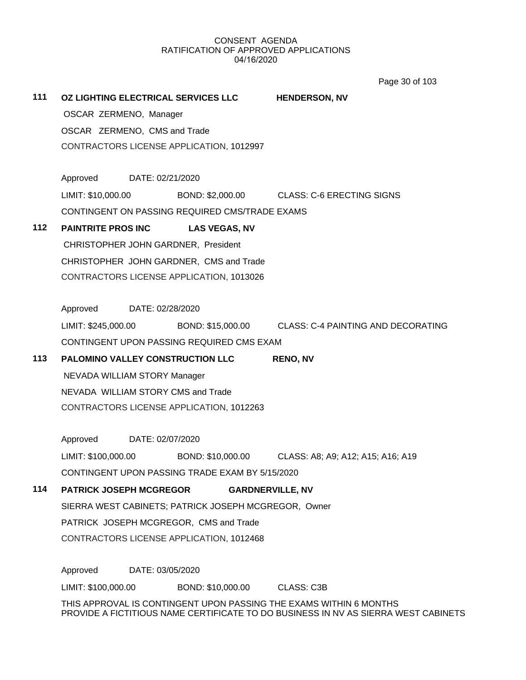Page 30 of 103

**111 OZ LIGHTING ELECTRICAL SERVICES LLC HENDERSON, NV** OSCAR ZERMENO, Manager OSCAR ZERMENO, CMS and Trade CONTRACTORS LICENSE APPLICATION, 1012997 Approved DATE: 02/21/2020 LIMIT: \$10,000.00 BOND: \$2,000.00 CLASS: C-6 ERECTING SIGNS CONTINGENT ON PASSING REQUIRED CMS/TRADE EXAMS **112 PAINTRITE PROS INC LAS VEGAS, NV** CHRISTOPHER JOHN GARDNER, President CHRISTOPHER JOHN GARDNER, CMS and Trade CONTRACTORS LICENSE APPLICATION, 1013026 Approved DATE: 02/28/2020 LIMIT: \$245,000.00 BOND: \$15,000.00 CLASS: C-4 PAINTING AND DECORATING CONTINGENT UPON PASSING REQUIRED CMS EXAM **113 PALOMINO VALLEY CONSTRUCTION LLC RENO, NV** NEVADA WILLIAM STORY Manager NEVADA WILLIAM STORY CMS and Trade CONTRACTORS LICENSE APPLICATION, 1012263 Approved DATE: 02/07/2020 LIMIT: \$100,000.00 BOND: \$10,000.00 CLASS: A8; A9; A12; A15; A16; A19 CONTINGENT UPON PASSING TRADE EXAM BY 5/15/2020 **114 PATRICK JOSEPH MCGREGOR GARDNERVILLE, NV** SIERRA WEST CABINETS; PATRICK JOSEPH MCGREGOR, Owner PATRICK JOSEPH MCGREGOR, CMS and Trade CONTRACTORS LICENSE APPLICATION, 1012468 Approved DATE: 03/05/2020 LIMIT: \$100,000.00 BOND: \$10,000.00 CLASS: C3B THIS APPROVAL IS CONTINGENT UPON PASSING THE EXAMS WITHIN 6 MONTHS PROVIDE A FICTITIOUS NAME CERTIFICATE TO DO BUSINESS IN NV AS SIERRA WEST CABINETS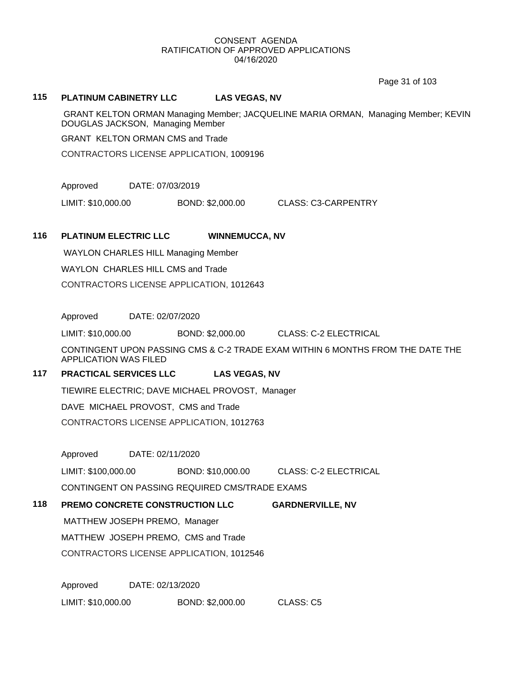Page 31 of 103

#### **115 PLATINUM CABINETRY LLC LAS VEGAS, NV**

 GRANT KELTON ORMAN Managing Member; JACQUELINE MARIA ORMAN, Managing Member; KEVIN DOUGLAS JACKSON, Managing Member

GRANT KELTON ORMAN CMS and Trade

CONTRACTORS LICENSE APPLICATION, 1009196

Approved DATE: 07/03/2019

LIMIT: \$10,000.00 BOND: \$2,000.00 CLASS: C3-CARPENTRY

#### **116 PLATINUM ELECTRIC LLC WINNEMUCCA, NV**

WAYLON CHARLES HILL Managing Member

WAYLON CHARLES HILL CMS and Trade

CONTRACTORS LICENSE APPLICATION, 1012643

Approved DATE: 02/07/2020

LIMIT: \$10,000.00 BOND: \$2,000.00 CLASS: C-2 ELECTRICAL

CONTINGENT UPON PASSING CMS & C-2 TRADE EXAM WITHIN 6 MONTHS FROM THE DATE THE APPLICATION WAS FILED

# **117 PRACTICAL SERVICES LLC LAS VEGAS, NV**

TIEWIRE ELECTRIC; DAVE MICHAEL PROVOST, Manager

DAVE MICHAEL PROVOST, CMS and Trade

CONTRACTORS LICENSE APPLICATION, 1012763

Approved DATE: 02/11/2020

LIMIT: \$100,000.00 BOND: \$10,000.00 CLASS: C-2 ELECTRICAL

CONTINGENT ON PASSING REQUIRED CMS/TRADE EXAMS

#### **118 PREMO CONCRETE CONSTRUCTION LLC GARDNERVILLE, NV**

MATTHEW JOSEPH PREMO, Manager

MATTHEW JOSEPH PREMO, CMS and Trade

CONTRACTORS LICENSE APPLICATION, 1012546

Approved DATE: 02/13/2020

LIMIT: \$10,000.00 BOND: \$2,000.00 CLASS: C5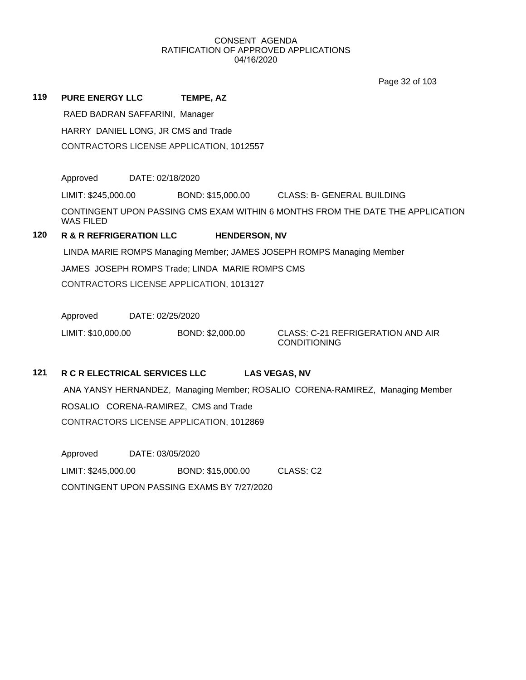Page 32 of 103

| 119 | <b>PURE ENERGY LLC</b>                          |                  | TEMPE, AZ                                |                                                                                |  |
|-----|-------------------------------------------------|------------------|------------------------------------------|--------------------------------------------------------------------------------|--|
|     | RAED BADRAN SAFFARINI, Manager                  |                  |                                          |                                                                                |  |
|     | HARRY DANIEL LONG, JR CMS and Trade             |                  |                                          |                                                                                |  |
|     |                                                 |                  | CONTRACTORS LICENSE APPLICATION, 1012557 |                                                                                |  |
|     |                                                 |                  |                                          |                                                                                |  |
|     | Approved                                        | DATE: 02/18/2020 |                                          |                                                                                |  |
|     | LIMIT: \$245,000.00                             |                  | BOND: \$15,000.00                        | <b>CLASS: B- GENERAL BUILDING</b>                                              |  |
|     | <b>WAS FILED</b>                                |                  |                                          | CONTINGENT UPON PASSING CMS EXAM WITHIN 6 MONTHS FROM THE DATE THE APPLICATION |  |
| 120 | <b>R &amp; R REFRIGERATION LLC</b>              |                  | <b>HENDERSON, NV</b>                     |                                                                                |  |
|     |                                                 |                  |                                          | LINDA MARIE ROMPS Managing Member; JAMES JOSEPH ROMPS Managing Member          |  |
|     | JAMES JOSEPH ROMPS Trade; LINDA MARIE ROMPS CMS |                  |                                          |                                                                                |  |
|     |                                                 |                  | CONTRACTORS LICENSE APPLICATION, 1013127 |                                                                                |  |
|     |                                                 |                  |                                          |                                                                                |  |
|     | Approved                                        | DATE: 02/25/2020 |                                          |                                                                                |  |
|     | LIMIT: \$10,000.00                              |                  | BOND: \$2,000.00                         | CLASS: C-21 REFRIGERATION AND AIR<br><b>CONDITIONING</b>                       |  |

# **121 R C R ELECTRICAL SERVICES LLC LAS VEGAS, NV**

 ANA YANSY HERNANDEZ, Managing Member; ROSALIO CORENA-RAMIREZ, Managing Member ROSALIO CORENA-RAMIREZ, CMS and Trade CONTRACTORS LICENSE APPLICATION, 1012869

Approved DATE: 03/05/2020 LIMIT: \$245,000.00 BOND: \$15,000.00 CLASS: C2 CONTINGENT UPON PASSING EXAMS BY 7/27/2020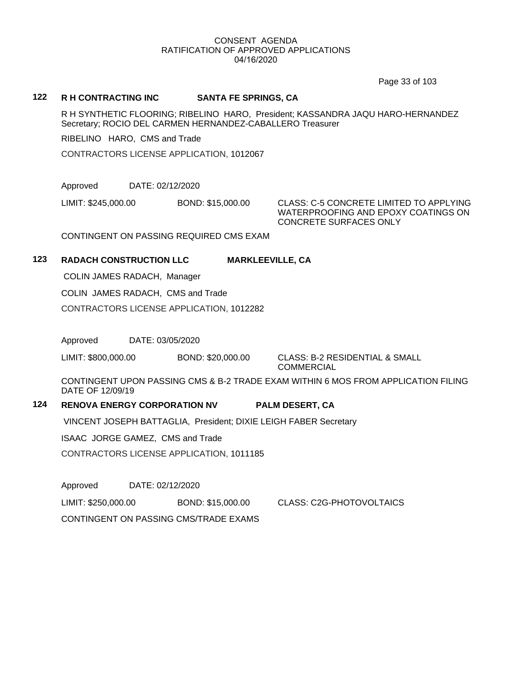Page 33 of 103

#### **122 R H CONTRACTING INC SANTA FE SPRINGS, CA**

R H SYNTHETIC FLOORING; RIBELINO HARO, President; KASSANDRA JAQU HARO-HERNANDEZ Secretary; ROCIO DEL CARMEN HERNANDEZ-CABALLERO Treasurer

RIBELINO HARO, CMS and Trade

CONTRACTORS LICENSE APPLICATION, 1012067

Approved DATE: 02/12/2020

LIMIT: \$245,000.00 BOND: \$15,000.00 CLASS: C-5 CONCRETE LIMITED TO APPLYING WATERPROOFING AND EPOXY COATINGS ON CONCRETE SURFACES ONLY

CONTINGENT ON PASSING REQUIRED CMS EXAM

# **123 RADACH CONSTRUCTION LLC MARKLEEVILLE, CA**

COLIN JAMES RADACH, Manager

COLIN JAMES RADACH, CMS and Trade

CONTRACTORS LICENSE APPLICATION, 1012282

Approved DATE: 03/05/2020

LIMIT: \$800,000.00 BOND: \$20,000.00 CLASS: B-2 RESIDENTIAL & SMALL

COMMERCIAL

CONTINGENT UPON PASSING CMS & B-2 TRADE EXAM WITHIN 6 MOS FROM APPLICATION FILING DATE OF 12/09/19

#### **124 RENOVA ENERGY CORPORATION NV PALM DESERT, CA**

VINCENT JOSEPH BATTAGLIA, President; DIXIE LEIGH FABER Secretary

ISAAC JORGE GAMEZ, CMS and Trade

CONTRACTORS LICENSE APPLICATION, 1011185

Approved DATE: 02/12/2020

LIMIT: \$250,000.00 BOND: \$15,000.00 CLASS: C2G-PHOTOVOLTAICS

CONTINGENT ON PASSING CMS/TRADE EXAMS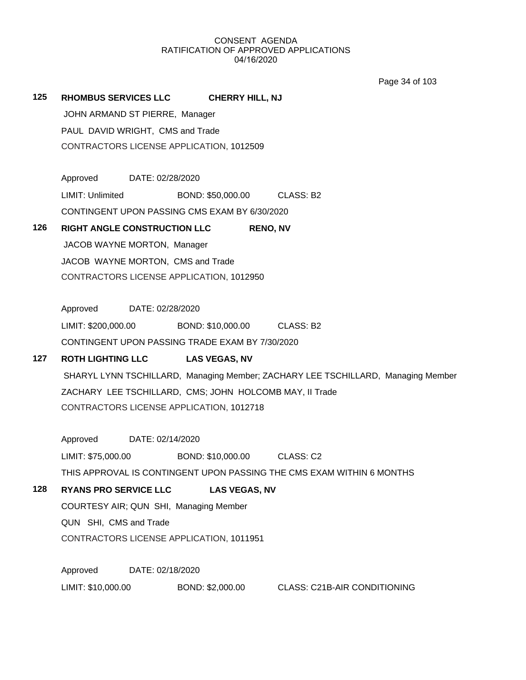Page 34 of 103

# **125 RHOMBUS SERVICES LLC CHERRY HILL, NJ**

 JOHN ARMAND ST PIERRE, Manager PAUL DAVID WRIGHT, CMS and Trade CONTRACTORS LICENSE APPLICATION, 1012509

Approved DATE: 02/28/2020 LIMIT: Unlimited BOND: \$50,000.00 CLASS: B2 CONTINGENT UPON PASSING CMS EXAM BY 6/30/2020

# **126 RIGHT ANGLE CONSTRUCTION LLC RENO, NV**

 JACOB WAYNE MORTON, Manager JACOB WAYNE MORTON, CMS and Trade CONTRACTORS LICENSE APPLICATION, 1012950

Approved DATE: 02/28/2020

LIMIT: \$200,000.00 BOND: \$10,000.00 CLASS: B2 CONTINGENT UPON PASSING TRADE EXAM BY 7/30/2020

# **127 ROTH LIGHTING LLC LAS VEGAS, NV**

 SHARYL LYNN TSCHILLARD, Managing Member; ZACHARY LEE TSCHILLARD, Managing Member ZACHARY LEE TSCHILLARD, CMS; JOHN HOLCOMB MAY, II Trade CONTRACTORS LICENSE APPLICATION, 1012718

Approved DATE: 02/14/2020

LIMIT: \$75,000.00 BOND: \$10,000.00 CLASS: C2

THIS APPROVAL IS CONTINGENT UPON PASSING THE CMS EXAM WITHIN 6 MONTHS

# **128 RYANS PRO SERVICE LLC LAS VEGAS, NV**

COURTESY AIR; QUN SHI, Managing Member

QUN SHI, CMS and Trade

CONTRACTORS LICENSE APPLICATION, 1011951

Approved DATE: 02/18/2020 LIMIT: \$10,000.00 BOND: \$2,000.00 CLASS: C21B-AIR CONDITIONING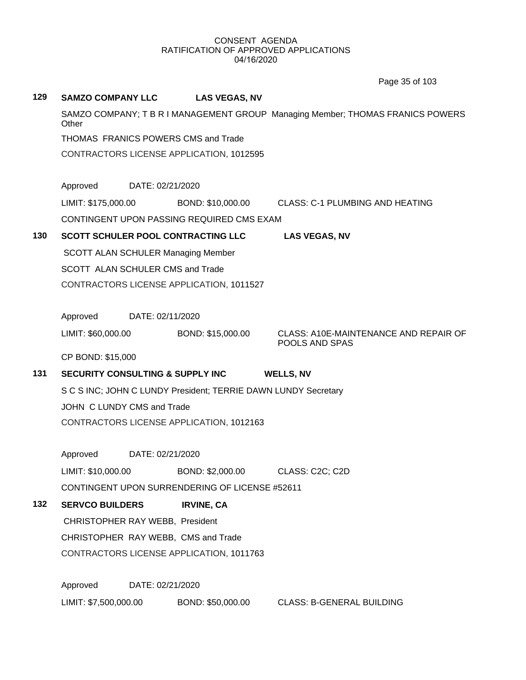**129 SAMZO COMPANY LLC LAS VEGAS, NV** SAMZO COMPANY; T B R I MANAGEMENT GROUP Managing Member; THOMAS FRANICS POWERS **Other** THOMAS FRANICS POWERS CMS and Trade CONTRACTORS LICENSE APPLICATION, 1012595 Approved DATE: 02/21/2020 LIMIT: \$175,000.00 BOND: \$10,000.00 CLASS: C-1 PLUMBING AND HEATING CONTINGENT UPON PASSING REQUIRED CMS EXAM **130 SCOTT SCHULER POOL CONTRACTING LLC LAS VEGAS, NV** SCOTT ALAN SCHULER Managing Member SCOTT ALAN SCHULER CMS and Trade CONTRACTORS LICENSE APPLICATION, 1011527 Approved DATE: 02/11/2020 LIMIT: \$60,000.00 BOND: \$15,000.00 CLASS: A10E-MAINTENANCE AND REPAIR OF POOLS AND SPAS CP BOND: \$15,000 **131 SECURITY CONSULTING & SUPPLY INC WELLS, NV** S C S INC; JOHN C LUNDY President; TERRIE DAWN LUNDY Secretary JOHN C LUNDY CMS and Trade CONTRACTORS LICENSE APPLICATION, 1012163 Approved DATE: 02/21/2020 LIMIT: \$10,000.00 BOND: \$2,000.00 CLASS: C2C; C2D CONTINGENT UPON SURRENDERING OF LICENSE #52611 **132 SERVCO BUILDERS IRVINE, CA** CHRISTOPHER RAY WEBB, President CHRISTOPHER RAY WEBB, CMS and Trade CONTRACTORS LICENSE APPLICATION, 1011763 Approved DATE: 02/21/2020 Page 35 of 103

LIMIT: \$7,500,000.00 BOND: \$50,000.00 CLASS: B-GENERAL BUILDING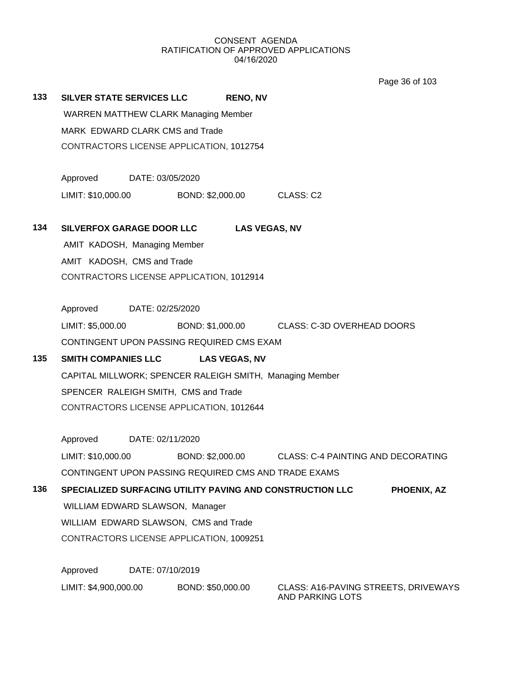Page 36 of 103

**133 SILVER STATE SERVICES LLC RENO, NV** WARREN MATTHEW CLARK Managing Member MARK EDWARD CLARK CMS and Trade CONTRACTORS LICENSE APPLICATION, 1012754 Approved DATE: 03/05/2020 LIMIT: \$10,000.00 BOND: \$2,000.00 CLASS: C2 **134 SILVERFOX GARAGE DOOR LLC LAS VEGAS, NV** AMIT KADOSH, Managing Member AMIT KADOSH, CMS and Trade CONTRACTORS LICENSE APPLICATION, 1012914 Approved DATE: 02/25/2020 LIMIT: \$5,000.00 BOND: \$1,000.00 CLASS: C-3D OVERHEAD DOORS CONTINGENT UPON PASSING REQUIRED CMS EXAM **135 SMITH COMPANIES LLC LAS VEGAS, NV** CAPITAL MILLWORK; SPENCER RALEIGH SMITH, Managing Member SPENCER RALEIGH SMITH, CMS and Trade CONTRACTORS LICENSE APPLICATION, 1012644 Approved DATE: 02/11/2020 LIMIT: \$10,000.00 BOND: \$2,000.00 CLASS: C-4 PAINTING AND DECORATING CONTINGENT UPON PASSING REQUIRED CMS AND TRADE EXAMS **136 SPECIALIZED SURFACING UTILITY PAVING AND CONSTRUCTION LLC PHOENIX, AZ** WILLIAM EDWARD SLAWSON, Manager WILLIAM EDWARD SLAWSON, CMS and Trade CONTRACTORS LICENSE APPLICATION, 1009251 Approved DATE: 07/10/2019 LIMIT: \$4,900,000.00 BOND: \$50,000.00 CLASS: A16-PAVING STREETS, DRIVEWAYS AND PARKING LOTS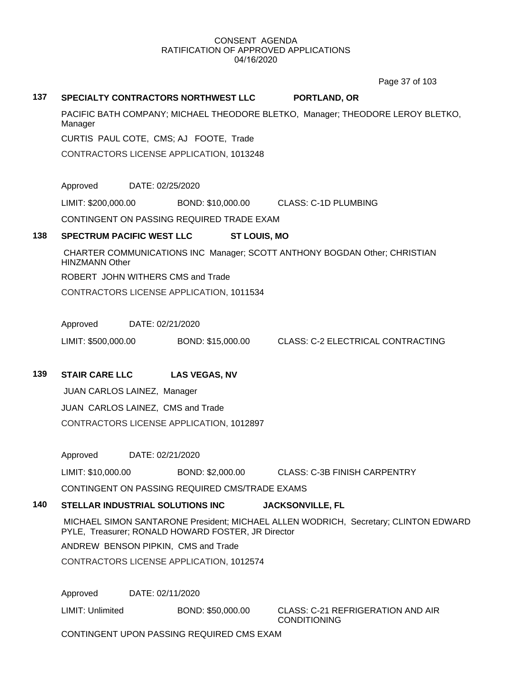Page 37 of 103

# **137 SPECIALTY CONTRACTORS NORTHWEST LLC PORTLAND, OR**

PACIFIC BATH COMPANY; MICHAEL THEODORE BLETKO, Manager; THEODORE LEROY BLETKO, Manager

CURTIS PAUL COTE, CMS; AJ FOOTE, Trade

CONTRACTORS LICENSE APPLICATION, 1013248

Approved DATE: 02/25/2020

LIMIT: \$200,000.00 BOND: \$10,000.00 CLASS: C-1D PLUMBING

CONTINGENT ON PASSING REQUIRED TRADE EXAM

# **138 SPECTRUM PACIFIC WEST LLC ST LOUIS, MO**

 CHARTER COMMUNICATIONS INC Manager; SCOTT ANTHONY BOGDAN Other; CHRISTIAN HINZMANN Other

ROBERT JOHN WITHERS CMS and Trade

CONTRACTORS LICENSE APPLICATION, 1011534

Approved DATE: 02/21/2020

LIMIT: \$500,000.00 BOND: \$15,000.00 CLASS: C-2 ELECTRICAL CONTRACTING

# **139 STAIR CARE LLC LAS VEGAS, NV**

 JUAN CARLOS LAINEZ, Manager JUAN CARLOS LAINEZ, CMS and Trade CONTRACTORS LICENSE APPLICATION, 1012897

Approved DATE: 02/21/2020

LIMIT: \$10,000.00 BOND: \$2,000.00 CLASS: C-3B FINISH CARPENTRY

CONTINGENT ON PASSING REQUIRED CMS/TRADE EXAMS

# **140 STELLAR INDUSTRIAL SOLUTIONS INC JACKSONVILLE, FL**

 MICHAEL SIMON SANTARONE President; MICHAEL ALLEN WODRICH, Secretary; CLINTON EDWARD PYLE, Treasurer; RONALD HOWARD FOSTER, JR Director

ANDREW BENSON PIPKIN, CMS and Trade

CONTRACTORS LICENSE APPLICATION, 1012574

Approved DATE: 02/11/2020

LIMIT: Unlimited BOND: \$50,000.00 CLASS: C-21 REFRIGERATION AND AIR

CONDITIONING

CONTINGENT UPON PASSING REQUIRED CMS EXAM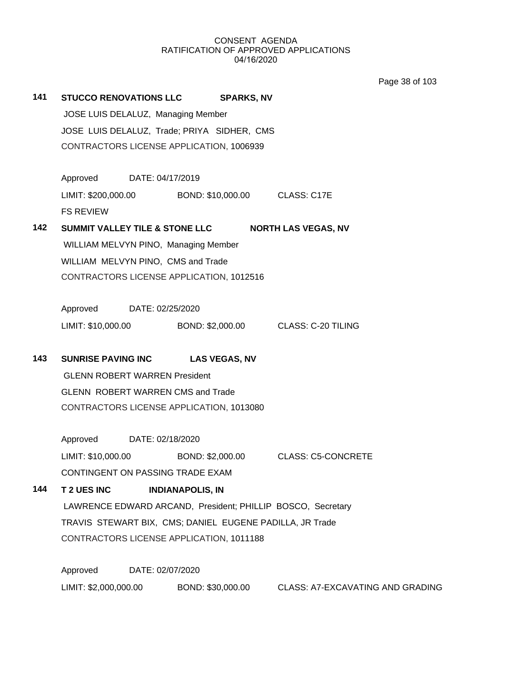Page 38 of 103

| 141 | <b>STUCCO RENOVATIONS LLC</b>                                                                         | <b>SPARKS, NV</b>                    |                                  |  |  |  |
|-----|-------------------------------------------------------------------------------------------------------|--------------------------------------|----------------------------------|--|--|--|
|     | JOSE LUIS DELALUZ, Managing Member                                                                    |                                      |                                  |  |  |  |
|     | JOSE LUIS DELALUZ, Trade; PRIYA SIDHER, CMS                                                           |                                      |                                  |  |  |  |
|     | CONTRACTORS LICENSE APPLICATION, 1006939                                                              |                                      |                                  |  |  |  |
|     |                                                                                                       |                                      |                                  |  |  |  |
|     | Approved DATE: 04/17/2019                                                                             |                                      |                                  |  |  |  |
|     | LIMIT: \$200,000.00 BOND: \$10,000.00 CLASS: C17E                                                     |                                      |                                  |  |  |  |
|     | <b>FS REVIEW</b>                                                                                      |                                      |                                  |  |  |  |
| 142 | SUMMIT VALLEY TILE & STONE LLC<br><b>NORTH LAS VEGAS, NV</b>                                          |                                      |                                  |  |  |  |
|     |                                                                                                       | WILLIAM MELVYN PINO, Managing Member |                                  |  |  |  |
|     | WILLIAM MELVYN PINO, CMS and Trade                                                                    |                                      |                                  |  |  |  |
|     | CONTRACTORS LICENSE APPLICATION, 1012516                                                              |                                      |                                  |  |  |  |
|     |                                                                                                       |                                      |                                  |  |  |  |
|     | Approved<br>DATE: 02/25/2020                                                                          |                                      |                                  |  |  |  |
|     | LIMIT: \$10,000.00 BOND: \$2,000.00 CLASS: C-20 TILING                                                |                                      |                                  |  |  |  |
|     |                                                                                                       |                                      |                                  |  |  |  |
| 143 |                                                                                                       | SUNRISE PAVING INC LAS VEGAS, NV     |                                  |  |  |  |
|     | <b>GLENN ROBERT WARREN President</b>                                                                  |                                      |                                  |  |  |  |
|     | <b>GLENN ROBERT WARREN CMS and Trade</b>                                                              |                                      |                                  |  |  |  |
|     | CONTRACTORS LICENSE APPLICATION, 1013080                                                              |                                      |                                  |  |  |  |
|     |                                                                                                       |                                      |                                  |  |  |  |
|     | Approved DATE: 02/18/2020<br>LIMIT: \$10,000.00 BOND: \$2,000.00 CLASS: C5-CONCRETE                   |                                      |                                  |  |  |  |
|     | CONTINGENT ON PASSING TRADE EXAM                                                                      |                                      |                                  |  |  |  |
| 144 |                                                                                                       |                                      |                                  |  |  |  |
|     | T 2 UES INC<br><b>INDIANAPOLIS, IN</b><br>LAWRENCE EDWARD ARCAND, President; PHILLIP BOSCO, Secretary |                                      |                                  |  |  |  |
|     | TRAVIS STEWART BIX, CMS; DANIEL EUGENE PADILLA, JR Trade                                              |                                      |                                  |  |  |  |
|     | CONTRACTORS LICENSE APPLICATION, 1011188                                                              |                                      |                                  |  |  |  |
|     |                                                                                                       |                                      |                                  |  |  |  |
|     | Approved<br>DATE: 02/07/2020                                                                          |                                      |                                  |  |  |  |
|     | LIMIT: \$2,000,000.00                                                                                 | BOND: \$30,000.00                    | CLASS: A7-EXCAVATING AND GRADING |  |  |  |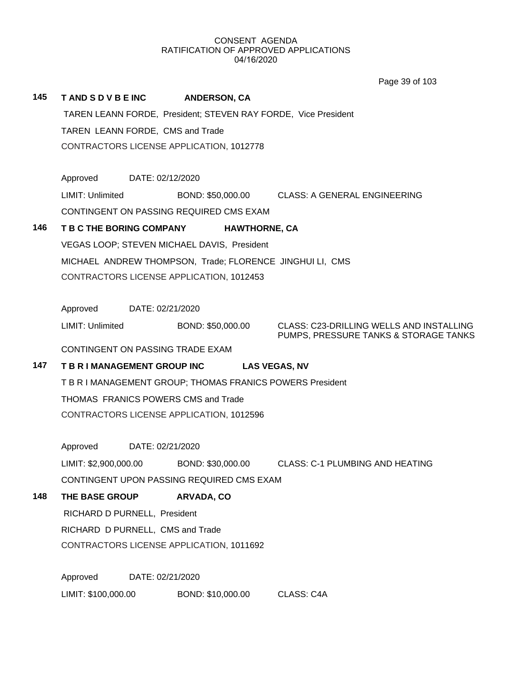Page 39 of 103

| 145 | <b>TAND S D V B E INC</b>                                      |                                                      | <b>ANDERSON, CA</b>                                       |                                                                                   |  |  |
|-----|----------------------------------------------------------------|------------------------------------------------------|-----------------------------------------------------------|-----------------------------------------------------------------------------------|--|--|
|     | TAREN LEANN FORDE, President; STEVEN RAY FORDE, Vice President |                                                      |                                                           |                                                                                   |  |  |
|     | TAREN LEANN FORDE, CMS and Trade                               |                                                      |                                                           |                                                                                   |  |  |
|     | CONTRACTORS LICENSE APPLICATION, 1012778                       |                                                      |                                                           |                                                                                   |  |  |
|     |                                                                |                                                      |                                                           |                                                                                   |  |  |
|     | Approved                                                       | DATE: 02/12/2020                                     |                                                           |                                                                                   |  |  |
|     | LIMIT: Unlimited                                               |                                                      |                                                           | BOND: \$50,000.00 CLASS: A GENERAL ENGINEERING                                    |  |  |
|     |                                                                |                                                      | CONTINGENT ON PASSING REQUIRED CMS EXAM                   |                                                                                   |  |  |
| 146 | <b>T B C THE BORING COMPANY</b><br><b>HAWTHORNE, CA</b>        |                                                      |                                                           |                                                                                   |  |  |
|     |                                                                |                                                      | VEGAS LOOP; STEVEN MICHAEL DAVIS, President               |                                                                                   |  |  |
|     |                                                                |                                                      | MICHAEL ANDREW THOMPSON, Trade; FLORENCE JINGHUI LI, CMS  |                                                                                   |  |  |
|     |                                                                |                                                      | CONTRACTORS LICENSE APPLICATION, 1012453                  |                                                                                   |  |  |
|     |                                                                |                                                      |                                                           |                                                                                   |  |  |
|     | Approved                                                       | DATE: 02/21/2020                                     |                                                           |                                                                                   |  |  |
|     | LIMIT: Unlimited                                               |                                                      | BOND: \$50,000.00                                         | CLASS: C23-DRILLING WELLS AND INSTALLING<br>PUMPS, PRESSURE TANKS & STORAGE TANKS |  |  |
|     | CONTINGENT ON PASSING TRADE EXAM                               |                                                      |                                                           |                                                                                   |  |  |
| 147 |                                                                | T B R I MANAGEMENT GROUP INC<br><b>LAS VEGAS, NV</b> |                                                           |                                                                                   |  |  |
|     |                                                                |                                                      | T B R I MANAGEMENT GROUP; THOMAS FRANICS POWERS President |                                                                                   |  |  |
|     | THOMAS FRANICS POWERS CMS and Trade                            |                                                      |                                                           |                                                                                   |  |  |
|     | CONTRACTORS LICENSE APPLICATION, 1012596                       |                                                      |                                                           |                                                                                   |  |  |
|     |                                                                |                                                      |                                                           |                                                                                   |  |  |
|     | Approved                                                       | DATE: 02/21/2020                                     |                                                           |                                                                                   |  |  |
|     | LIMIT: \$2,900,000.00                                          |                                                      | BOND: \$30,000.00                                         | <b>CLASS: C-1 PLUMBING AND HEATING</b>                                            |  |  |
|     |                                                                |                                                      | CONTINGENT UPON PASSING REQUIRED CMS EXAM                 |                                                                                   |  |  |
| 148 | THE BASE GROUP                                                 |                                                      | <b>ARVADA, CO</b>                                         |                                                                                   |  |  |
|     | RICHARD D PURNELL, President                                   |                                                      |                                                           |                                                                                   |  |  |
|     | RICHARD D PURNELL, CMS and Trade                               |                                                      |                                                           |                                                                                   |  |  |
|     |                                                                |                                                      | CONTRACTORS LICENSE APPLICATION, 1011692                  |                                                                                   |  |  |
|     |                                                                |                                                      |                                                           |                                                                                   |  |  |
|     | Approved                                                       | DATE: 02/21/2020                                     |                                                           |                                                                                   |  |  |

LIMIT: \$100,000.00 BOND: \$10,000.00 CLASS: C4A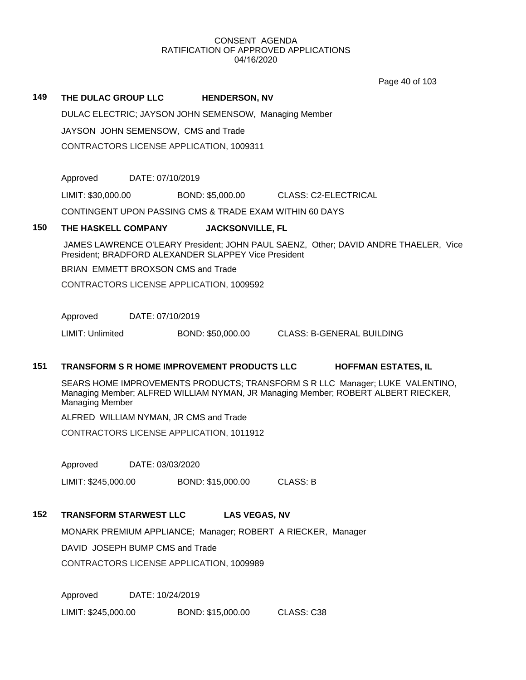Page 40 of 103

## **149 THE DULAC GROUP LLC HENDERSON, NV**

DULAC ELECTRIC; JAYSON JOHN SEMENSOW, Managing Member

JAYSON JOHN SEMENSOW, CMS and Trade

CONTRACTORS LICENSE APPLICATION, 1009311

Approved DATE: 07/10/2019

LIMIT: \$30,000.00 BOND: \$5,000.00 CLASS: C2-ELECTRICAL

CONTINGENT UPON PASSING CMS & TRADE EXAM WITHIN 60 DAYS

### **150 THE HASKELL COMPANY JACKSONVILLE, FL**

 JAMES LAWRENCE O'LEARY President; JOHN PAUL SAENZ, Other; DAVID ANDRE THAELER, Vice President; BRADFORD ALEXANDER SLAPPEY Vice President

BRIAN EMMETT BROXSON CMS and Trade

CONTRACTORS LICENSE APPLICATION, 1009592

Approved DATE: 07/10/2019

LIMIT: Unlimited BOND: \$50,000.00 CLASS: B-GENERAL BUILDING

# **151 TRANSFORM S R HOME IMPROVEMENT PRODUCTS LLC HOFFMAN ESTATES, IL**

SEARS HOME IMPROVEMENTS PRODUCTS; TRANSFORM S R LLC Manager; LUKE VALENTINO, Managing Member; ALFRED WILLIAM NYMAN, JR Managing Member; ROBERT ALBERT RIECKER, Managing Member

ALFRED WILLIAM NYMAN, JR CMS and Trade

CONTRACTORS LICENSE APPLICATION, 1011912

Approved DATE: 03/03/2020

LIMIT: \$245,000.00 BOND: \$15,000.00 CLASS: B

# **152 TRANSFORM STARWEST LLC LAS VEGAS, NV**

MONARK PREMIUM APPLIANCE; Manager; ROBERT A RIECKER, Manager

DAVID JOSEPH BUMP CMS and Trade

CONTRACTORS LICENSE APPLICATION, 1009989

Approved DATE: 10/24/2019

LIMIT: \$245,000.00 BOND: \$15,000.00 CLASS: C38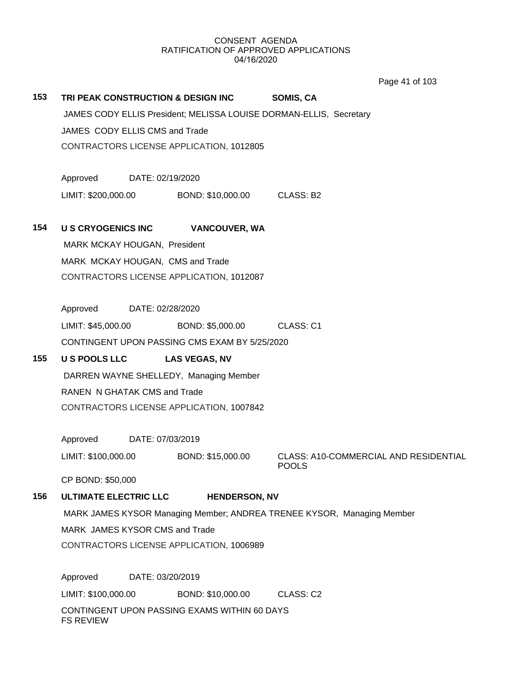Page 41 of 103

| 153 | TRI PEAK CONSTRUCTION & DESIGN INC<br>SOMIS, CA                        |                                          |                                               |                                                       |  |  |  |
|-----|------------------------------------------------------------------------|------------------------------------------|-----------------------------------------------|-------------------------------------------------------|--|--|--|
|     | JAMES CODY ELLIS President; MELISSA LOUISE DORMAN-ELLIS, Secretary     |                                          |                                               |                                                       |  |  |  |
|     |                                                                        | JAMES CODY ELLIS CMS and Trade           |                                               |                                                       |  |  |  |
|     |                                                                        | CONTRACTORS LICENSE APPLICATION, 1012805 |                                               |                                                       |  |  |  |
|     | Approved DATE: 02/19/2020                                              |                                          |                                               |                                                       |  |  |  |
|     | LIMIT: \$200,000.00                                                    |                                          | BOND: \$10,000.00 CLASS: B2                   |                                                       |  |  |  |
| 154 | <b>US CRYOGENICS INC</b>                                               |                                          | <b>VANCOUVER, WA</b>                          |                                                       |  |  |  |
|     |                                                                        | MARK MCKAY HOUGAN, President             |                                               |                                                       |  |  |  |
|     |                                                                        | MARK MCKAY HOUGAN, CMS and Trade         |                                               |                                                       |  |  |  |
|     | CONTRACTORS LICENSE APPLICATION, 1012087                               |                                          |                                               |                                                       |  |  |  |
|     |                                                                        | Approved DATE: 02/28/2020                |                                               |                                                       |  |  |  |
|     |                                                                        |                                          | LIMIT: \$45,000.00 BOND: \$5,000.00           | CLASS: C1                                             |  |  |  |
|     |                                                                        |                                          | CONTINGENT UPON PASSING CMS EXAM BY 5/25/2020 |                                                       |  |  |  |
| 155 |                                                                        |                                          | U S POOLS LLC LAS VEGAS, NV                   |                                                       |  |  |  |
|     |                                                                        | DARREN WAYNE SHELLEDY, Managing Member   |                                               |                                                       |  |  |  |
|     |                                                                        | RANEN N GHATAK CMS and Trade             |                                               |                                                       |  |  |  |
|     | CONTRACTORS LICENSE APPLICATION, 1007842                               |                                          |                                               |                                                       |  |  |  |
|     | Approved                                                               | DATE: 07/03/2019                         |                                               |                                                       |  |  |  |
|     | LIMIT: \$100,000.00                                                    |                                          | BOND: \$15,000.00                             | CLASS: A10-COMMERCIAL AND RESIDENTIAL<br><b>POOLS</b> |  |  |  |
|     | CP BOND: \$50,000                                                      |                                          |                                               |                                                       |  |  |  |
| 156 | <b>ULTIMATE ELECTRIC LLC</b>                                           |                                          | <b>HENDERSON, NV</b>                          |                                                       |  |  |  |
|     | MARK JAMES KYSOR Managing Member; ANDREA TRENEE KYSOR, Managing Member |                                          |                                               |                                                       |  |  |  |
|     | MARK JAMES KYSOR CMS and Trade                                         |                                          |                                               |                                                       |  |  |  |
|     | CONTRACTORS LICENSE APPLICATION, 1006989                               |                                          |                                               |                                                       |  |  |  |
|     | Approved<br>DATE: 03/20/2019                                           |                                          |                                               |                                                       |  |  |  |
|     | LIMIT: \$100,000.00                                                    |                                          | BOND: \$10,000.00                             | CLASS: C2                                             |  |  |  |
|     | CONTINGENT UPON PASSING EXAMS WITHIN 60 DAYS<br><b>FS REVIEW</b>       |                                          |                                               |                                                       |  |  |  |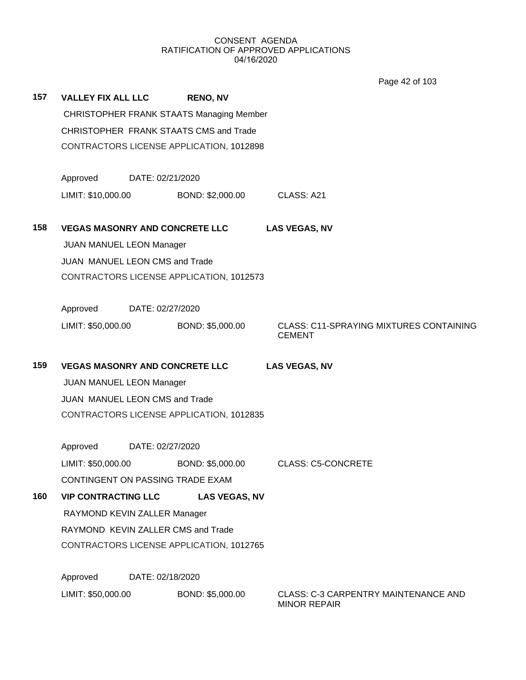Page 42 of 103

| 157 | <b>VALLEY FIX ALL LLC</b>                                     |                                          | <b>RENO, NV</b>                          |                                                                 |  |  |
|-----|---------------------------------------------------------------|------------------------------------------|------------------------------------------|-----------------------------------------------------------------|--|--|
|     | <b>CHRISTOPHER FRANK STAATS Managing Member</b>               |                                          |                                          |                                                                 |  |  |
|     | CHRISTOPHER FRANK STAATS CMS and Trade                        |                                          |                                          |                                                                 |  |  |
|     |                                                               |                                          | CONTRACTORS LICENSE APPLICATION, 1012898 |                                                                 |  |  |
|     | Approved                                                      | DATE: 02/21/2020                         |                                          |                                                                 |  |  |
|     | LIMIT: \$10,000.00                                            |                                          | BOND: \$2,000.00                         | CLASS: A21                                                      |  |  |
| 158 | <b>VEGAS MASONRY AND CONCRETE LLC</b><br><b>LAS VEGAS, NV</b> |                                          |                                          |                                                                 |  |  |
|     |                                                               | <b>JUAN MANUEL LEON Manager</b>          |                                          |                                                                 |  |  |
|     |                                                               | JUAN MANUEL LEON CMS and Trade           |                                          |                                                                 |  |  |
|     |                                                               | CONTRACTORS LICENSE APPLICATION, 1012573 |                                          |                                                                 |  |  |
|     | Approved                                                      | DATE: 02/27/2020                         |                                          |                                                                 |  |  |
|     | LIMIT: \$50,000.00                                            |                                          | BOND: \$5,000.00                         | <b>CLASS: C11-SPRAYING MIXTURES CONTAINING</b><br><b>CEMENT</b> |  |  |
| 159 | <b>VEGAS MASONRY AND CONCRETE LLC</b><br><b>LAS VEGAS, NV</b> |                                          |                                          |                                                                 |  |  |
|     |                                                               | <b>JUAN MANUEL LEON Manager</b>          |                                          |                                                                 |  |  |
|     |                                                               | JUAN MANUEL LEON CMS and Trade           |                                          |                                                                 |  |  |
|     | CONTRACTORS LICENSE APPLICATION, 1012835                      |                                          |                                          |                                                                 |  |  |
|     | Approved                                                      | DATE: 02/27/2020                         |                                          |                                                                 |  |  |
|     | LIMIT: \$50,000.00                                            |                                          | BOND: \$5,000.00                         | <b>CLASS: C5-CONCRETE</b>                                       |  |  |
|     |                                                               |                                          | CONTINGENT ON PASSING TRADE EXAM         |                                                                 |  |  |
| 160 | <b>VIP CONTRACTING LLC</b>                                    |                                          | <b>LAS VEGAS, NV</b>                     |                                                                 |  |  |
|     | RAYMOND KEVIN ZALLER Manager                                  |                                          |                                          |                                                                 |  |  |
|     | RAYMOND KEVIN ZALLER CMS and Trade                            |                                          |                                          |                                                                 |  |  |
|     | CONTRACTORS LICENSE APPLICATION, 1012765                      |                                          |                                          |                                                                 |  |  |
|     | Approved<br>DATE: 02/18/2020                                  |                                          |                                          |                                                                 |  |  |
|     | LIMIT: \$50,000.00                                            |                                          | BOND: \$5,000.00                         | CLASS: C-3 CARPENTRY MAINTENANCE AND<br><b>MINOR REPAIR</b>     |  |  |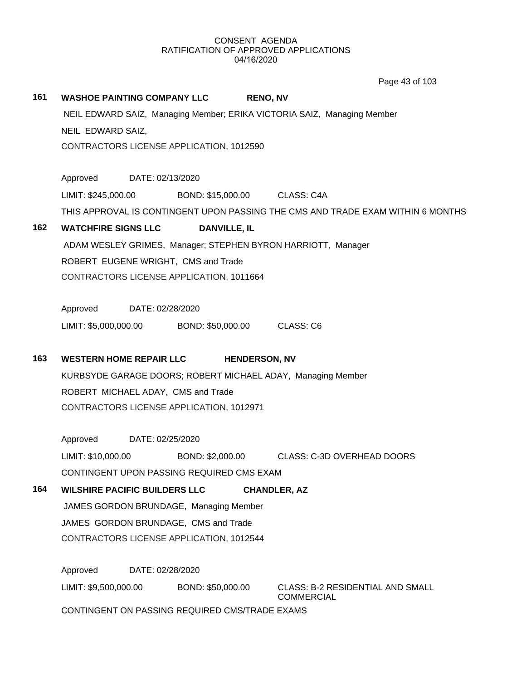Page 43 of 103

**161 WASHOE PAINTING COMPANY LLC RENO, NV** NEIL EDWARD SAIZ, Managing Member; ERIKA VICTORIA SAIZ, Managing Member NEIL EDWARD SAIZ, CONTRACTORS LICENSE APPLICATION, 1012590 Approved DATE: 02/13/2020 LIMIT: \$245,000.00 BOND: \$15,000.00 CLASS: C4A THIS APPROVAL IS CONTINGENT UPON PASSING THE CMS AND TRADE EXAM WITHIN 6 MONTHS **162 WATCHFIRE SIGNS LLC DANVILLE, IL** ADAM WESLEY GRIMES, Manager; STEPHEN BYRON HARRIOTT, Manager ROBERT EUGENE WRIGHT, CMS and Trade CONTRACTORS LICENSE APPLICATION, 1011664 Approved DATE: 02/28/2020 LIMIT: \$5,000,000.00 BOND: \$50,000.00 CLASS: C6 **163 WESTERN HOME REPAIR LLC HENDERSON, NV** KURBSYDE GARAGE DOORS; ROBERT MICHAEL ADAY, Managing Member ROBERT MICHAEL ADAY, CMS and Trade CONTRACTORS LICENSE APPLICATION, 1012971 Approved DATE: 02/25/2020 LIMIT: \$10,000.00 BOND: \$2,000.00 CLASS: C-3D OVERHEAD DOORS CONTINGENT UPON PASSING REQUIRED CMS EXAM **164 WILSHIRE PACIFIC BUILDERS LLC CHANDLER, AZ** JAMES GORDON BRUNDAGE, Managing Member JAMES GORDON BRUNDAGE, CMS and Trade CONTRACTORS LICENSE APPLICATION, 1012544 Approved DATE: 02/28/2020

LIMIT: \$9,500,000.00 BOND: \$50,000.00 CLASS: B-2 RESIDENTIAL AND SMALL COMMERCIAL CONTINGENT ON PASSING REQUIRED CMS/TRADE EXAMS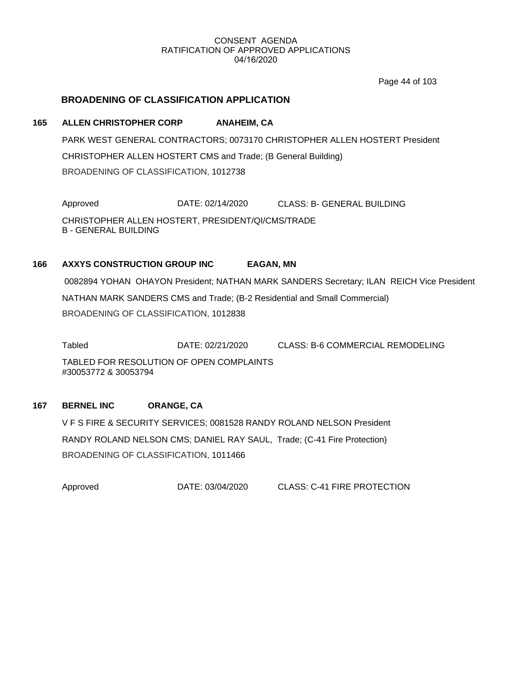Page 44 of 103

# **BROADENING OF CLASSIFICATION APPLICATION**

# **165 ALLEN CHRISTOPHER CORP ANAHEIM, CA**

PARK WEST GENERAL CONTRACTORS; 0073170 CHRISTOPHER ALLEN HOSTERT President CHRISTOPHER ALLEN HOSTERT CMS and Trade; (B General Building) BROADENING OF CLASSIFICATION, 1012738

Approved DATE: 02/14/2020 CLASS: B- GENERAL BUILDING CHRISTOPHER ALLEN HOSTERT, PRESIDENT/QI/CMS/TRADE B - GENERAL BUILDING

# **166 AXXYS CONSTRUCTION GROUP INC EAGAN, MN**

 0082894 YOHAN OHAYON President; NATHAN MARK SANDERS Secretary; ILAN REICH Vice President NATHAN MARK SANDERS CMS and Trade; (B-2 Residential and Small Commercial) BROADENING OF CLASSIFICATION, 1012838

Tabled DATE: 02/21/2020 CLASS: B-6 COMMERCIAL REMODELING TABLED FOR RESOLUTION OF OPEN COMPLAINTS #30053772 & 30053794

### **167 BERNEL INC ORANGE, CA**

V F S FIRE & SECURITY SERVICES; 0081528 RANDY ROLAND NELSON President RANDY ROLAND NELSON CMS; DANIEL RAY SAUL, Trade; (C-41 Fire Protection) BROADENING OF CLASSIFICATION, 1011466

Approved DATE: 03/04/2020 CLASS: C-41 FIRE PROTECTION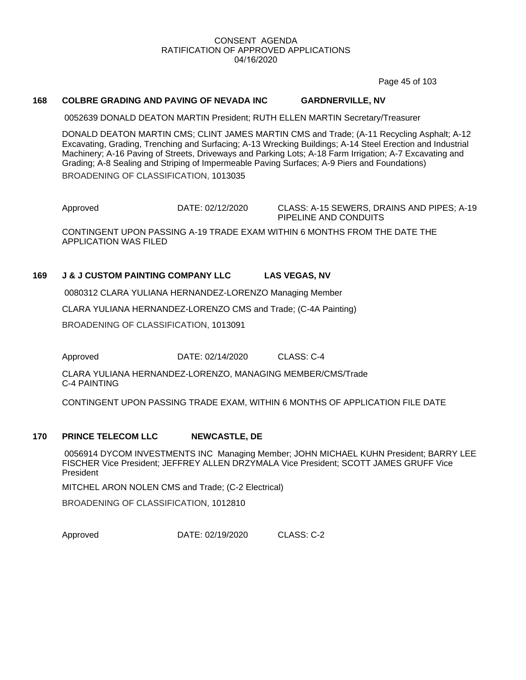Page 45 of 103

### **168 COLBRE GRADING AND PAVING OF NEVADA INC GARDNERVILLE, NV**

0052639 DONALD DEATON MARTIN President; RUTH ELLEN MARTIN Secretary/Treasurer

DONALD DEATON MARTIN CMS; CLINT JAMES MARTIN CMS and Trade; (A-11 Recycling Asphalt; A-12 Excavating, Grading, Trenching and Surfacing; A-13 Wrecking Buildings; A-14 Steel Erection and Industrial Machinery; A-16 Paving of Streets, Driveways and Parking Lots; A-18 Farm Irrigation; A-7 Excavating and Grading; A-8 Sealing and Striping of Impermeable Paving Surfaces; A-9 Piers and Foundations) BROADENING OF CLASSIFICATION, 1013035

Approved DATE: 02/12/2020 CLASS: A-15 SEWERS, DRAINS AND PIPES; A-19 PIPELINE AND CONDUITS CONTINGENT UPON PASSING A-19 TRADE EXAM WITHIN 6 MONTHS FROM THE DATE THE APPLICATION WAS FILED

# **169 J & J CUSTOM PAINTING COMPANY LLC LAS VEGAS, NV**

0080312 CLARA YULIANA HERNANDEZ-LORENZO Managing Member

CLARA YULIANA HERNANDEZ-LORENZO CMS and Trade; (C-4A Painting)

BROADENING OF CLASSIFICATION, 1013091

Approved **DATE: 02/14/2020** CLASS: C-4

CLARA YULIANA HERNANDEZ-LORENZO, MANAGING MEMBER/CMS/Trade C-4 PAINTING

CONTINGENT UPON PASSING TRADE EXAM, WITHIN 6 MONTHS OF APPLICATION FILE DATE

### **170 PRINCE TELECOM LLC NEWCASTLE, DE**

 0056914 DYCOM INVESTMENTS INC Managing Member; JOHN MICHAEL KUHN President; BARRY LEE FISCHER Vice President; JEFFREY ALLEN DRZYMALA Vice President; SCOTT JAMES GRUFF Vice President

MITCHEL ARON NOLEN CMS and Trade; (C-2 Electrical)

BROADENING OF CLASSIFICATION, 1012810

Approved DATE: 02/19/2020 CLASS: C-2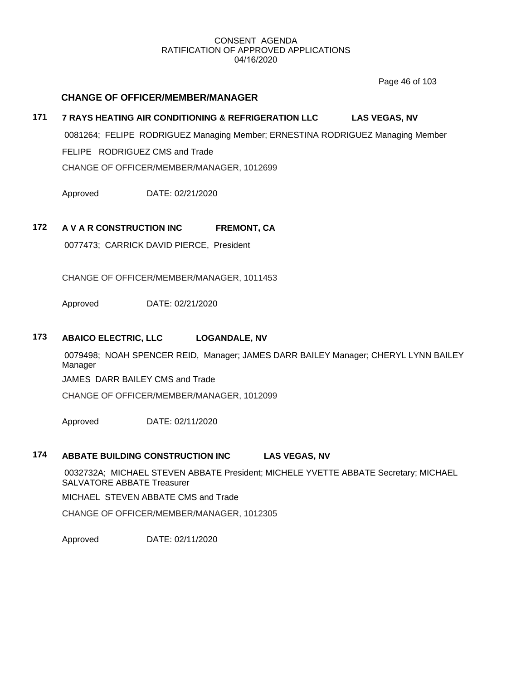Page 46 of 103

# **CHANGE OF OFFICER/MEMBER/MANAGER**

# **171 7 RAYS HEATING AIR CONDITIONING & REFRIGERATION LLC LAS VEGAS, NV**

 0081264; FELIPE RODRIGUEZ Managing Member; ERNESTINA RODRIGUEZ Managing Member FELIPE RODRIGUEZ CMS and Trade CHANGE OF OFFICER/MEMBER/MANAGER, 1012699

Approved DATE: 02/21/2020

# **172 A V A R CONSTRUCTION INC FREMONT, CA**

0077473; CARRICK DAVID PIERCE, President

CHANGE OF OFFICER/MEMBER/MANAGER, 1011453

Approved DATE: 02/21/2020

## **173 ABAICO ELECTRIC, LLC LOGANDALE, NV**

 0079498; NOAH SPENCER REID, Manager; JAMES DARR BAILEY Manager; CHERYL LYNN BAILEY Manager

JAMES DARR BAILEY CMS and Trade

CHANGE OF OFFICER/MEMBER/MANAGER, 1012099

Approved DATE: 02/11/2020

# **174 ABBATE BUILDING CONSTRUCTION INC LAS VEGAS, NV**

 0032732A; MICHAEL STEVEN ABBATE President; MICHELE YVETTE ABBATE Secretary; MICHAEL SALVATORE ABBATE Treasurer

MICHAEL STEVEN ABBATE CMS and Trade

CHANGE OF OFFICER/MEMBER/MANAGER, 1012305

Approved DATE: 02/11/2020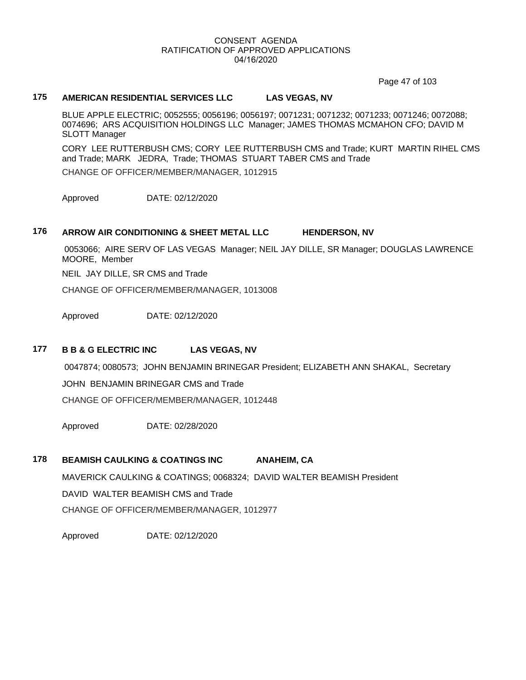Page 47 of 103

# **175 AMERICAN RESIDENTIAL SERVICES LLC LAS VEGAS, NV**

BLUE APPLE ELECTRIC; 0052555; 0056196; 0056197; 0071231; 0071232; 0071233; 0071246; 0072088; 0074696; ARS ACQUISITION HOLDINGS LLC Manager; JAMES THOMAS MCMAHON CFO; DAVID M SLOTT Manager

CORY LEE RUTTERBUSH CMS; CORY LEE RUTTERBUSH CMS and Trade; KURT MARTIN RIHEL CMS and Trade; MARK JEDRA, Trade; THOMAS STUART TABER CMS and Trade CHANGE OF OFFICER/MEMBER/MANAGER, 1012915

Approved DATE: 02/12/2020

# **176 ARROW AIR CONDITIONING & SHEET METAL LLC HENDERSON, NV**

 0053066; AIRE SERV OF LAS VEGAS Manager; NEIL JAY DILLE, SR Manager; DOUGLAS LAWRENCE MOORE, Member

NEIL JAY DILLE, SR CMS and Trade

CHANGE OF OFFICER/MEMBER/MANAGER, 1013008

Approved DATE: 02/12/2020

# **177 B B & G ELECTRIC INC LAS VEGAS, NV**

0047874; 0080573; JOHN BENJAMIN BRINEGAR President; ELIZABETH ANN SHAKAL, Secretary

JOHN BENJAMIN BRINEGAR CMS and Trade

CHANGE OF OFFICER/MEMBER/MANAGER, 1012448

Approved DATE: 02/28/2020

# **178 BEAMISH CAULKING & COATINGS INC ANAHEIM, CA**

MAVERICK CAULKING & COATINGS; 0068324; DAVID WALTER BEAMISH President DAVID WALTER BEAMISH CMS and Trade CHANGE OF OFFICER/MEMBER/MANAGER, 1012977

Approved DATE: 02/12/2020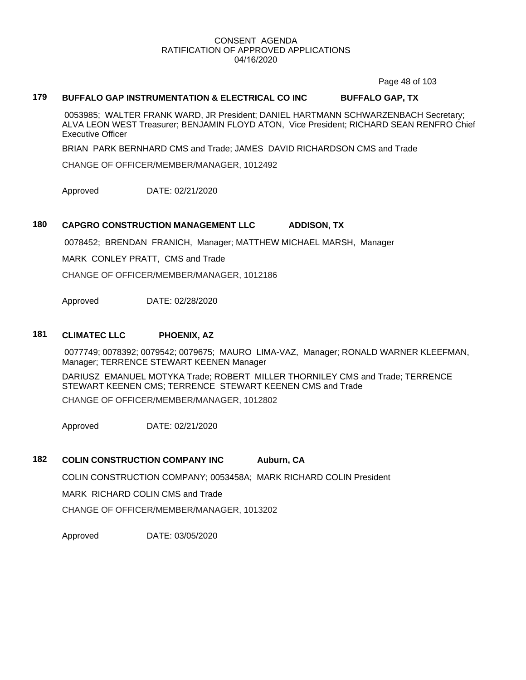Page 48 of 103

# **179 BUFFALO GAP INSTRUMENTATION & ELECTRICAL CO INC BUFFALO GAP, TX**

 0053985; WALTER FRANK WARD, JR President; DANIEL HARTMANN SCHWARZENBACH Secretary; ALVA LEON WEST Treasurer; BENJAMIN FLOYD ATON, Vice President; RICHARD SEAN RENFRO Chief Executive Officer

BRIAN PARK BERNHARD CMS and Trade; JAMES DAVID RICHARDSON CMS and Trade

CHANGE OF OFFICER/MEMBER/MANAGER, 1012492

Approved DATE: 02/21/2020

### **180 CAPGRO CONSTRUCTION MANAGEMENT LLC ADDISON, TX**

0078452; BRENDAN FRANICH, Manager; MATTHEW MICHAEL MARSH, Manager

MARK CONLEY PRATT, CMS and Trade

CHANGE OF OFFICER/MEMBER/MANAGER, 1012186

Approved DATE: 02/28/2020

### **181 CLIMATEC LLC PHOENIX, AZ**

 0077749; 0078392; 0079542; 0079675; MAURO LIMA-VAZ, Manager; RONALD WARNER KLEEFMAN, Manager; TERRENCE STEWART KEENEN Manager

DARIUSZ EMANUEL MOTYKA Trade; ROBERT MILLER THORNILEY CMS and Trade; TERRENCE STEWART KEENEN CMS; TERRENCE STEWART KEENEN CMS and Trade CHANGE OF OFFICER/MEMBER/MANAGER, 1012802

Approved DATE: 02/21/2020

# **182 COLIN CONSTRUCTION COMPANY INC Auburn, CA**

COLIN CONSTRUCTION COMPANY; 0053458A; MARK RICHARD COLIN President

MARK RICHARD COLIN CMS and Trade

CHANGE OF OFFICER/MEMBER/MANAGER, 1013202

Approved DATE: 03/05/2020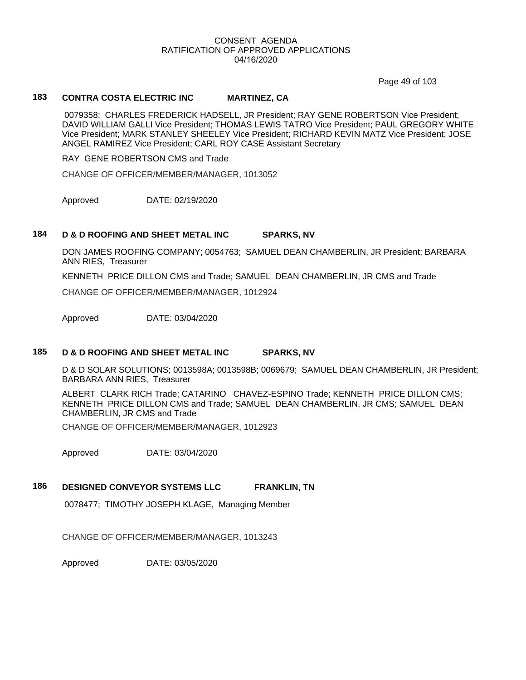Page 49 of 103

# **183 CONTRA COSTA ELECTRIC INC MARTINEZ, CA**

 0079358; CHARLES FREDERICK HADSELL, JR President; RAY GENE ROBERTSON Vice President; DAVID WILLIAM GALLI Vice President; THOMAS LEWIS TATRO Vice President; PAUL GREGORY WHITE Vice President; MARK STANLEY SHEELEY Vice President; RICHARD KEVIN MATZ Vice President; JOSE ANGEL RAMIREZ Vice President; CARL ROY CASE Assistant Secretary

RAY GENE ROBERTSON CMS and Trade

CHANGE OF OFFICER/MEMBER/MANAGER, 1013052

Approved DATE: 02/19/2020

### **184 D & D ROOFING AND SHEET METAL INC SPARKS, NV**

DON JAMES ROOFING COMPANY; 0054763; SAMUEL DEAN CHAMBERLIN, JR President; BARBARA ANN RIES, Treasurer

KENNETH PRICE DILLON CMS and Trade; SAMUEL DEAN CHAMBERLIN, JR CMS and Trade

CHANGE OF OFFICER/MEMBER/MANAGER, 1012924

Approved DATE: 03/04/2020

### **185 D & D ROOFING AND SHEET METAL INC SPARKS, NV**

D & D SOLAR SOLUTIONS; 0013598A; 0013598B; 0069679; SAMUEL DEAN CHAMBERLIN, JR President; BARBARA ANN RIES, Treasurer

ALBERT CLARK RICH Trade; CATARINO CHAVEZ-ESPINO Trade; KENNETH PRICE DILLON CMS; KENNETH PRICE DILLON CMS and Trade; SAMUEL DEAN CHAMBERLIN, JR CMS; SAMUEL DEAN CHAMBERLIN, JR CMS and Trade

CHANGE OF OFFICER/MEMBER/MANAGER, 1012923

Approved DATE: 03/04/2020

# **186 DESIGNED CONVEYOR SYSTEMS LLC FRANKLIN, TN**

0078477; TIMOTHY JOSEPH KLAGE, Managing Member

CHANGE OF OFFICER/MEMBER/MANAGER, 1013243

Approved DATE: 03/05/2020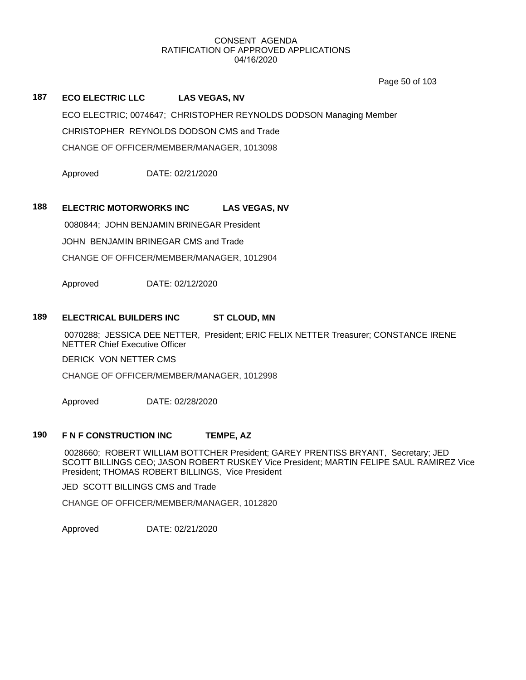Page 50 of 103

# **187 ECO ELECTRIC LLC LAS VEGAS, NV**

ECO ELECTRIC; 0074647; CHRISTOPHER REYNOLDS DODSON Managing Member CHRISTOPHER REYNOLDS DODSON CMS and Trade CHANGE OF OFFICER/MEMBER/MANAGER, 1013098

Approved DATE: 02/21/2020

# **188 ELECTRIC MOTORWORKS INC LAS VEGAS, NV**

0080844; JOHN BENJAMIN BRINEGAR President

JOHN BENJAMIN BRINEGAR CMS and Trade

CHANGE OF OFFICER/MEMBER/MANAGER, 1012904

Approved DATE: 02/12/2020

### **189 ELECTRICAL BUILDERS INC ST CLOUD, MN**

 0070288; JESSICA DEE NETTER, President; ERIC FELIX NETTER Treasurer; CONSTANCE IRENE NETTER Chief Executive Officer

DERICK VON NETTER CMS

CHANGE OF OFFICER/MEMBER/MANAGER, 1012998

Approved DATE: 02/28/2020

## **190 F N F CONSTRUCTION INC TEMPE, AZ**

 0028660; ROBERT WILLIAM BOTTCHER President; GAREY PRENTISS BRYANT, Secretary; JED SCOTT BILLINGS CEO; JASON ROBERT RUSKEY Vice President; MARTIN FELIPE SAUL RAMIREZ Vice President; THOMAS ROBERT BILLINGS, Vice President

JED SCOTT BILLINGS CMS and Trade

CHANGE OF OFFICER/MEMBER/MANAGER, 1012820

Approved DATE: 02/21/2020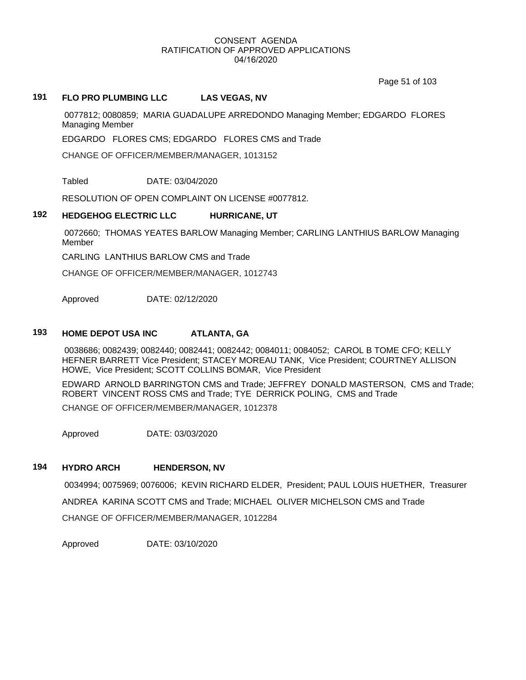Page 51 of 103

# **191 FLO PRO PLUMBING LLC LAS VEGAS, NV**

 0077812; 0080859; MARIA GUADALUPE ARREDONDO Managing Member; EDGARDO FLORES Managing Member

EDGARDO FLORES CMS; EDGARDO FLORES CMS and Trade

CHANGE OF OFFICER/MEMBER/MANAGER, 1013152

Tabled DATE: 03/04/2020

RESOLUTION OF OPEN COMPLAINT ON LICENSE #0077812.

### **192 HEDGEHOG ELECTRIC LLC HURRICANE, UT**

 0072660; THOMAS YEATES BARLOW Managing Member; CARLING LANTHIUS BARLOW Managing Member

CARLING LANTHIUS BARLOW CMS and Trade

CHANGE OF OFFICER/MEMBER/MANAGER, 1012743

Approved DATE: 02/12/2020

# **193 HOME DEPOT USA INC ATLANTA, GA**

 0038686; 0082439; 0082440; 0082441; 0082442; 0084011; 0084052; CAROL B TOME CFO; KELLY HEFNER BARRETT Vice President; STACEY MOREAU TANK, Vice President; COURTNEY ALLISON HOWE, Vice President; SCOTT COLLINS BOMAR, Vice President

EDWARD ARNOLD BARRINGTON CMS and Trade; JEFFREY DONALD MASTERSON, CMS and Trade; ROBERT VINCENT ROSS CMS and Trade; TYE DERRICK POLING, CMS and Trade CHANGE OF OFFICER/MEMBER/MANAGER, 1012378

Approved DATE: 03/03/2020

## **194 HYDRO ARCH HENDERSON, NV**

 0034994; 0075969; 0076006; KEVIN RICHARD ELDER, President; PAUL LOUIS HUETHER, Treasurer ANDREA KARINA SCOTT CMS and Trade; MICHAEL OLIVER MICHELSON CMS and Trade CHANGE OF OFFICER/MEMBER/MANAGER, 1012284

Approved DATE: 03/10/2020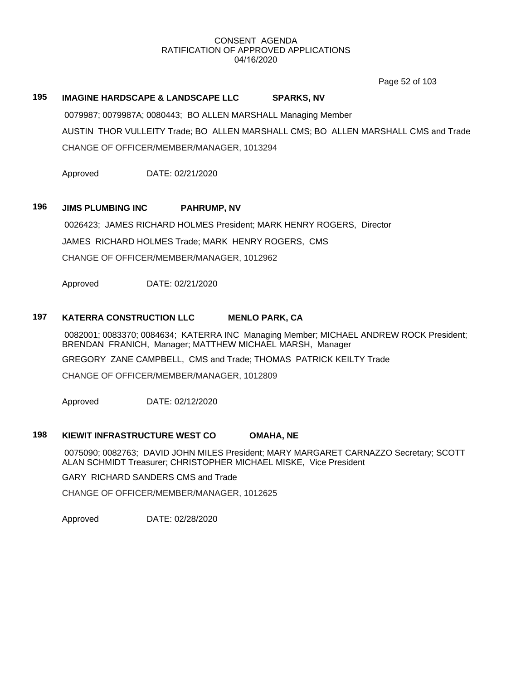Page 52 of 103

# **195 IMAGINE HARDSCAPE & LANDSCAPE LLC SPARKS, NV** 0079987; 0079987A; 0080443; BO ALLEN MARSHALL Managing Member

AUSTIN THOR VULLEITY Trade; BO ALLEN MARSHALL CMS; BO ALLEN MARSHALL CMS and Trade CHANGE OF OFFICER/MEMBER/MANAGER, 1013294

Approved DATE: 02/21/2020

# **196 JIMS PLUMBING INC PAHRUMP, NV**

 0026423; JAMES RICHARD HOLMES President; MARK HENRY ROGERS, Director JAMES RICHARD HOLMES Trade; MARK HENRY ROGERS, CMS CHANGE OF OFFICER/MEMBER/MANAGER, 1012962

Approved DATE: 02/21/2020

# **197 KATERRA CONSTRUCTION LLC MENLO PARK, CA**

 0082001; 0083370; 0084634; KATERRA INC Managing Member; MICHAEL ANDREW ROCK President; BRENDAN FRANICH, Manager; MATTHEW MICHAEL MARSH, Manager GREGORY ZANE CAMPBELL, CMS and Trade; THOMAS PATRICK KEILTY Trade CHANGE OF OFFICER/MEMBER/MANAGER, 1012809

Approved DATE: 02/12/2020

## **198 KIEWIT INFRASTRUCTURE WEST CO OMAHA, NE**

 0075090; 0082763; DAVID JOHN MILES President; MARY MARGARET CARNAZZO Secretary; SCOTT ALAN SCHMIDT Treasurer; CHRISTOPHER MICHAEL MISKE, Vice President

GARY RICHARD SANDERS CMS and Trade

CHANGE OF OFFICER/MEMBER/MANAGER, 1012625

Approved DATE: 02/28/2020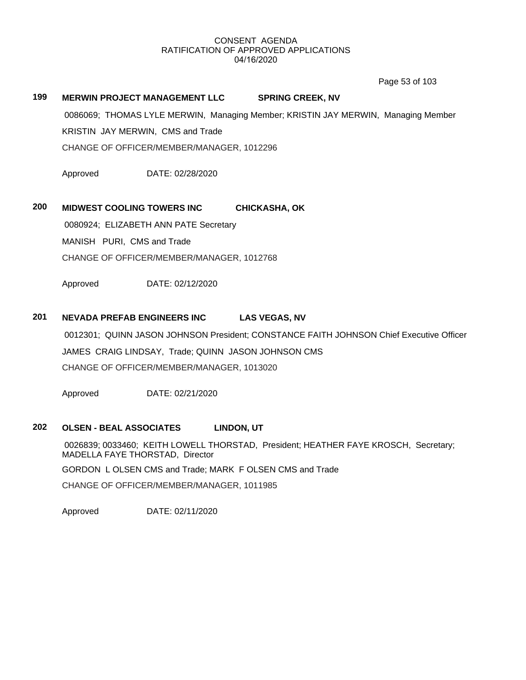Page 53 of 103

# **199 MERWIN PROJECT MANAGEMENT LLC SPRING CREEK, NV**

 0086069; THOMAS LYLE MERWIN, Managing Member; KRISTIN JAY MERWIN, Managing Member KRISTIN JAY MERWIN, CMS and Trade CHANGE OF OFFICER/MEMBER/MANAGER, 1012296

Approved DATE: 02/28/2020

# **200 MIDWEST COOLING TOWERS INC CHICKASHA, OK**

 0080924; ELIZABETH ANN PATE Secretary MANISH PURI, CMS and Trade

CHANGE OF OFFICER/MEMBER/MANAGER, 1012768

Approved DATE: 02/12/2020

# **201 NEVADA PREFAB ENGINEERS INC LAS VEGAS, NV**

 0012301; QUINN JASON JOHNSON President; CONSTANCE FAITH JOHNSON Chief Executive Officer JAMES CRAIG LINDSAY, Trade; QUINN JASON JOHNSON CMS CHANGE OF OFFICER/MEMBER/MANAGER, 1013020

Approved DATE: 02/21/2020

# **202 OLSEN - BEAL ASSOCIATES LINDON, UT**

 0026839; 0033460; KEITH LOWELL THORSTAD, President; HEATHER FAYE KROSCH, Secretary; MADELLA FAYE THORSTAD, Director GORDON L OLSEN CMS and Trade; MARK F OLSEN CMS and Trade CHANGE OF OFFICER/MEMBER/MANAGER, 1011985

Approved DATE: 02/11/2020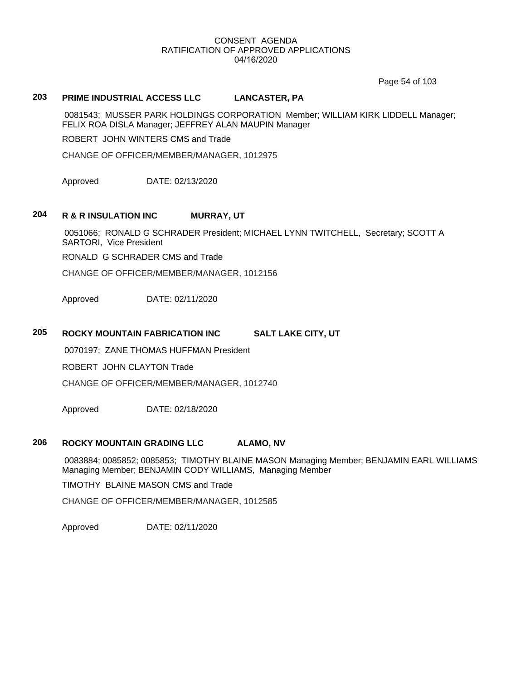Page 54 of 103

# **203 PRIME INDUSTRIAL ACCESS LLC LANCASTER, PA**

 0081543; MUSSER PARK HOLDINGS CORPORATION Member; WILLIAM KIRK LIDDELL Manager; FELIX ROA DISLA Manager; JEFFREY ALAN MAUPIN Manager

ROBERT JOHN WINTERS CMS and Trade

CHANGE OF OFFICER/MEMBER/MANAGER, 1012975

Approved DATE: 02/13/2020

# **204 R & R INSULATION INC MURRAY, UT**

 0051066; RONALD G SCHRADER President; MICHAEL LYNN TWITCHELL, Secretary; SCOTT A SARTORI, Vice President

RONALD G SCHRADER CMS and Trade

CHANGE OF OFFICER/MEMBER/MANAGER, 1012156

Approved DATE: 02/11/2020

# **205 ROCKY MOUNTAIN FABRICATION INC SALT LAKE CITY, UT**

0070197; ZANE THOMAS HUFFMAN President

ROBERT JOHN CLAYTON Trade

CHANGE OF OFFICER/MEMBER/MANAGER, 1012740

Approved DATE: 02/18/2020

# **206 ROCKY MOUNTAIN GRADING LLC ALAMO, NV**

 0083884; 0085852; 0085853; TIMOTHY BLAINE MASON Managing Member; BENJAMIN EARL WILLIAMS Managing Member; BENJAMIN CODY WILLIAMS, Managing Member

TIMOTHY BLAINE MASON CMS and Trade

CHANGE OF OFFICER/MEMBER/MANAGER, 1012585

Approved DATE: 02/11/2020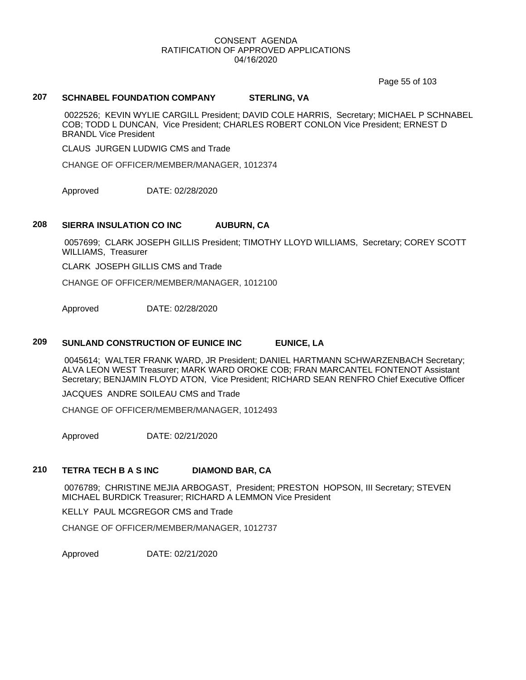Page 55 of 103

# **207 SCHNABEL FOUNDATION COMPANY STERLING, VA**

 0022526; KEVIN WYLIE CARGILL President; DAVID COLE HARRIS, Secretary; MICHAEL P SCHNABEL COB; TODD L DUNCAN, Vice President; CHARLES ROBERT CONLON Vice President; ERNEST D BRANDL Vice President

CLAUS JURGEN LUDWIG CMS and Trade

CHANGE OF OFFICER/MEMBER/MANAGER, 1012374

Approved DATE: 02/28/2020

#### **208 SIERRA INSULATION CO INC AUBURN, CA**

 0057699; CLARK JOSEPH GILLIS President; TIMOTHY LLOYD WILLIAMS, Secretary; COREY SCOTT WILLIAMS, Treasurer

CLARK JOSEPH GILLIS CMS and Trade

CHANGE OF OFFICER/MEMBER/MANAGER, 1012100

Approved DATE: 02/28/2020

# **209 SUNLAND CONSTRUCTION OF EUNICE INC EUNICE, LA**

 0045614; WALTER FRANK WARD, JR President; DANIEL HARTMANN SCHWARZENBACH Secretary; ALVA LEON WEST Treasurer; MARK WARD OROKE COB; FRAN MARCANTEL FONTENOT Assistant Secretary; BENJAMIN FLOYD ATON, Vice President; RICHARD SEAN RENFRO Chief Executive Officer

JACQUES ANDRE SOILEAU CMS and Trade

CHANGE OF OFFICER/MEMBER/MANAGER, 1012493

Approved DATE: 02/21/2020

# **210 TETRA TECH B A S INC DIAMOND BAR, CA**

 0076789; CHRISTINE MEJIA ARBOGAST, President; PRESTON HOPSON, III Secretary; STEVEN MICHAEL BURDICK Treasurer; RICHARD A LEMMON Vice President

KELLY PAUL MCGREGOR CMS and Trade

CHANGE OF OFFICER/MEMBER/MANAGER, 1012737

Approved DATE: 02/21/2020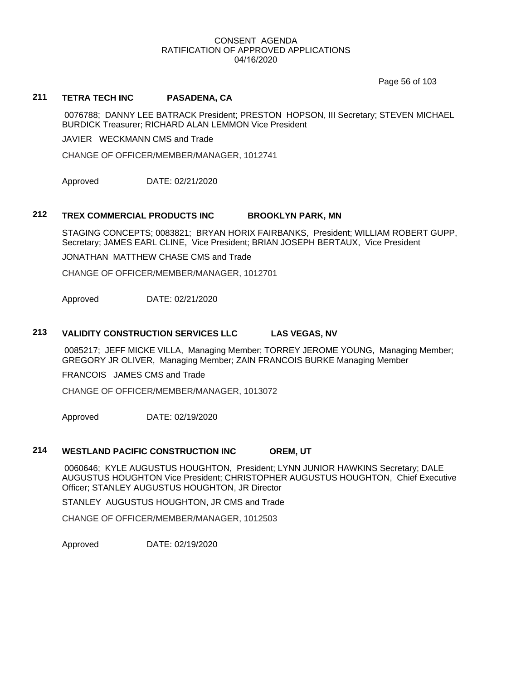Page 56 of 103

# **211 TETRA TECH INC PASADENA, CA**

 0076788; DANNY LEE BATRACK President; PRESTON HOPSON, III Secretary; STEVEN MICHAEL BURDICK Treasurer; RICHARD ALAN LEMMON Vice President

JAVIER WECKMANN CMS and Trade

CHANGE OF OFFICER/MEMBER/MANAGER, 1012741

Approved DATE: 02/21/2020

### **212 TREX COMMERCIAL PRODUCTS INC BROOKLYN PARK, MN**

STAGING CONCEPTS; 0083821; BRYAN HORIX FAIRBANKS, President; WILLIAM ROBERT GUPP, Secretary; JAMES EARL CLINE, Vice President; BRIAN JOSEPH BERTAUX, Vice President

JONATHAN MATTHEW CHASE CMS and Trade

CHANGE OF OFFICER/MEMBER/MANAGER, 1012701

Approved DATE: 02/21/2020

### **213 VALIDITY CONSTRUCTION SERVICES LLC LAS VEGAS, NV**

 0085217; JEFF MICKE VILLA, Managing Member; TORREY JEROME YOUNG, Managing Member; GREGORY JR OLIVER, Managing Member; ZAIN FRANCOIS BURKE Managing Member

FRANCOIS JAMES CMS and Trade

CHANGE OF OFFICER/MEMBER/MANAGER, 1013072

Approved DATE: 02/19/2020

### **214 WESTLAND PACIFIC CONSTRUCTION INC OREM, UT**

 0060646; KYLE AUGUSTUS HOUGHTON, President; LYNN JUNIOR HAWKINS Secretary; DALE AUGUSTUS HOUGHTON Vice President; CHRISTOPHER AUGUSTUS HOUGHTON, Chief Executive Officer; STANLEY AUGUSTUS HOUGHTON, JR Director

STANLEY AUGUSTUS HOUGHTON, JR CMS and Trade

CHANGE OF OFFICER/MEMBER/MANAGER, 1012503

Approved DATE: 02/19/2020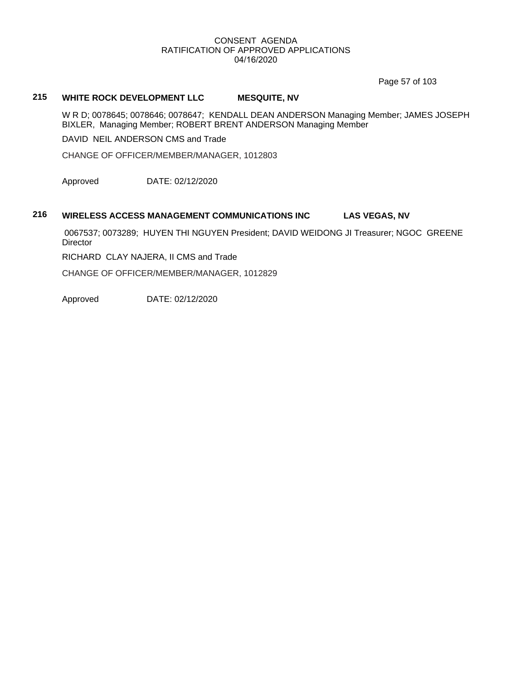Page 57 of 103

# **215 WHITE ROCK DEVELOPMENT LLC MESQUITE, NV**

W R D; 0078645; 0078646; 0078647; KENDALL DEAN ANDERSON Managing Member; JAMES JOSEPH BIXLER, Managing Member; ROBERT BRENT ANDERSON Managing Member

DAVID NEIL ANDERSON CMS and Trade

CHANGE OF OFFICER/MEMBER/MANAGER, 1012803

Approved DATE: 02/12/2020

# **216 WIRELESS ACCESS MANAGEMENT COMMUNICATIONS INC LAS VEGAS, NV**

 0067537; 0073289; HUYEN THI NGUYEN President; DAVID WEIDONG JI Treasurer; NGOC GREENE **Director** 

RICHARD CLAY NAJERA, II CMS and Trade

CHANGE OF OFFICER/MEMBER/MANAGER, 1012829

Approved DATE: 02/12/2020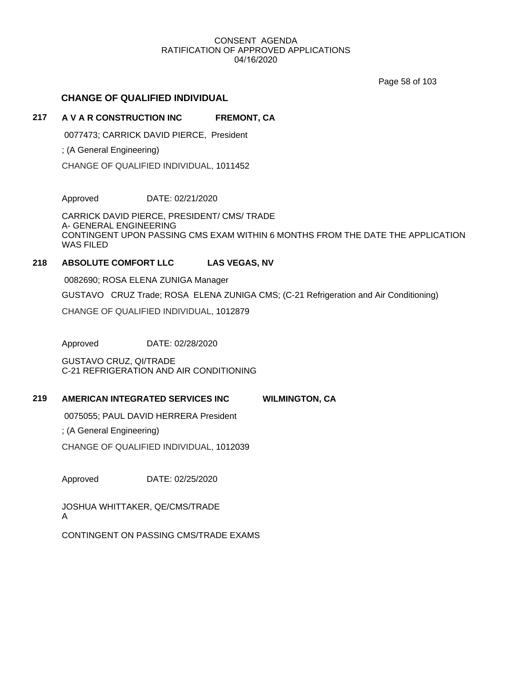Page 58 of 103

# **CHANGE OF QUALIFIED INDIVIDUAL**

# **217 A V A R CONSTRUCTION INC FREMONT, CA**

0077473; CARRICK DAVID PIERCE, President

; (A General Engineering)

CHANGE OF QUALIFIED INDIVIDUAL, 1011452

Approved DATE: 02/21/2020

CARRICK DAVID PIERCE, PRESIDENT/ CMS/ TRADE A- GENERAL ENGINEERING CONTINGENT UPON PASSING CMS EXAM WITHIN 6 MONTHS FROM THE DATE THE APPLICATION WAS FILED

# **218 ABSOLUTE COMFORT LLC LAS VEGAS, NV**

0082690; ROSA ELENA ZUNIGA Manager

GUSTAVO CRUZ Trade; ROSA ELENA ZUNIGA CMS; (C-21 Refrigeration and Air Conditioning)

CHANGE OF QUALIFIED INDIVIDUAL, 1012879

Approved DATE: 02/28/2020

GUSTAVO CRUZ, QI/TRADE C-21 REFRIGERATION AND AIR CONDITIONING

# **219 AMERICAN INTEGRATED SERVICES INC WILMINGTON, CA**

0075055; PAUL DAVID HERRERA President

; (A General Engineering)

CHANGE OF QUALIFIED INDIVIDUAL, 1012039

Approved DATE: 02/25/2020

JOSHUA WHITTAKER, QE/CMS/TRADE A

CONTINGENT ON PASSING CMS/TRADE EXAMS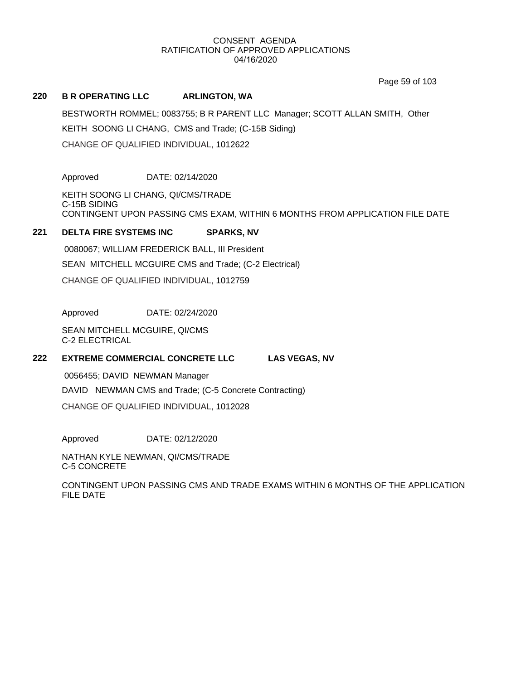Page 59 of 103

#### **220 B R OPERATING LLC ARLINGTON, WA**

BESTWORTH ROMMEL; 0083755; B R PARENT LLC Manager; SCOTT ALLAN SMITH, Other KEITH SOONG LI CHANG, CMS and Trade; (C-15B Siding) CHANGE OF QUALIFIED INDIVIDUAL, 1012622

Approved DATE: 02/14/2020

KEITH SOONG LI CHANG, QI/CMS/TRADE C-15B SIDING CONTINGENT UPON PASSING CMS EXAM, WITHIN 6 MONTHS FROM APPLICATION FILE DATE

# **221 DELTA FIRE SYSTEMS INC SPARKS, NV**

 0080067; WILLIAM FREDERICK BALL, III President SEAN MITCHELL MCGUIRE CMS and Trade; (C-2 Electrical) CHANGE OF QUALIFIED INDIVIDUAL, 1012759

Approved DATE: 02/24/2020

SEAN MITCHELL MCGUIRE, QI/CMS C-2 ELECTRICAL

# **222 EXTREME COMMERCIAL CONCRETE LLC LAS VEGAS, NV**

0056455; DAVID NEWMAN Manager

DAVID NEWMAN CMS and Trade; (C-5 Concrete Contracting)

CHANGE OF QUALIFIED INDIVIDUAL, 1012028

Approved DATE: 02/12/2020

NATHAN KYLE NEWMAN, QI/CMS/TRADE C-5 CONCRETE

CONTINGENT UPON PASSING CMS AND TRADE EXAMS WITHIN 6 MONTHS OF THE APPLICATION FILE DATE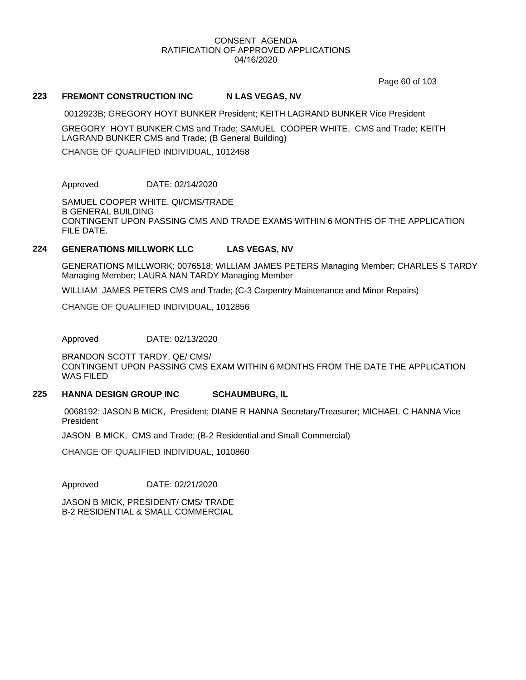Page 60 of 103

### 223 **FREMONT CONSTRUCTION INC N LAS VEGAS, NV**

0012923B; GREGORY HOYT BUNKER President; KEITH LAGRAND BUNKER Vice President

GREGORY HOYT BUNKER CMS and Trade; SAMUEL COOPER WHITE, CMS and Trade; KEITH LAGRAND BUNKER CMS and Trade; (B General Building)

CHANGE OF QUALIFIED INDIVIDUAL, 1012458

Approved DATE: 02/14/2020

SAMUEL COOPER WHITE, QI/CMS/TRADE B GENERAL BUILDING CONTINGENT UPON PASSING CMS AND TRADE EXAMS WITHIN 6 MONTHS OF THE APPLICATION FILE DATE.

### **224 GENERATIONS MILLWORK LLC LAS VEGAS, NV**

GENERATIONS MILLWORK; 0076518; WILLIAM JAMES PETERS Managing Member; CHARLES S TARDY Managing Member; LAURA NAN TARDY Managing Member

WILLIAM JAMES PETERS CMS and Trade; (C-3 Carpentry Maintenance and Minor Repairs)

CHANGE OF QUALIFIED INDIVIDUAL, 1012856

Approved DATE: 02/13/2020

BRANDON SCOTT TARDY, QE/ CMS/ CONTINGENT UPON PASSING CMS EXAM WITHIN 6 MONTHS FROM THE DATE THE APPLICATION WAS FILED

# **225 HANNA DESIGN GROUP INC SCHAUMBURG, IL**

 0068192; JASON B MICK, President; DIANE R HANNA Secretary/Treasurer; MICHAEL C HANNA Vice President

JASON B MICK, CMS and Trade; (B-2 Residential and Small Commercial)

CHANGE OF QUALIFIED INDIVIDUAL, 1010860

Approved DATE: 02/21/2020

JASON B MICK, PRESIDENT/ CMS/ TRADE B-2 RESIDENTIAL & SMALL COMMERCIAL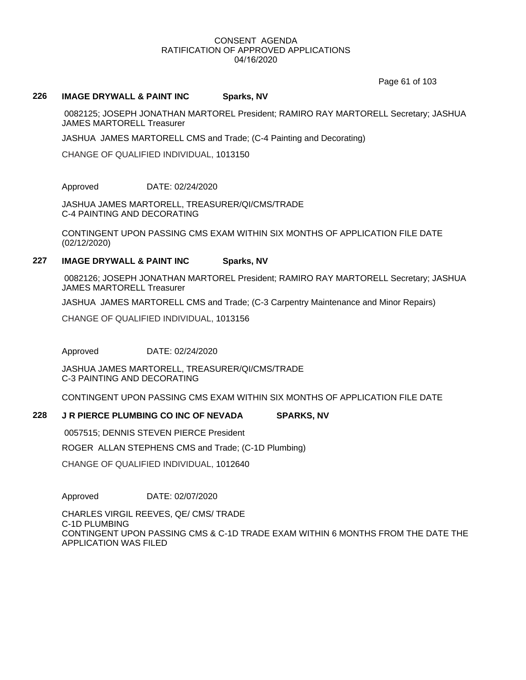Page 61 of 103

### **226 IMAGE DRYWALL & PAINT INC Sparks, NV**

 0082125; JOSEPH JONATHAN MARTOREL President; RAMIRO RAY MARTORELL Secretary; JASHUA JAMES MARTORELL Treasurer

JASHUA JAMES MARTORELL CMS and Trade; (C-4 Painting and Decorating)

CHANGE OF QUALIFIED INDIVIDUAL, 1013150

Approved DATE: 02/24/2020

JASHUA JAMES MARTORELL, TREASURER/QI/CMS/TRADE C-4 PAINTING AND DECORATING

CONTINGENT UPON PASSING CMS EXAM WITHIN SIX MONTHS OF APPLICATION FILE DATE (02/12/2020)

# **227 IMAGE DRYWALL & PAINT INC Sparks, NV**

 0082126; JOSEPH JONATHAN MARTOREL President; RAMIRO RAY MARTORELL Secretary; JASHUA JAMES MARTORELL Treasurer

JASHUA JAMES MARTORELL CMS and Trade; (C-3 Carpentry Maintenance and Minor Repairs)

CHANGE OF QUALIFIED INDIVIDUAL, 1013156

Approved DATE: 02/24/2020

JASHUA JAMES MARTORELL, TREASURER/QI/CMS/TRADE C-3 PAINTING AND DECORATING

CONTINGENT UPON PASSING CMS EXAM WITHIN SIX MONTHS OF APPLICATION FILE DATE

### **228 J R PIERCE PLUMBING CO INC OF NEVADA SPARKS, NV**

 0057515; DENNIS STEVEN PIERCE President ROGER ALLAN STEPHENS CMS and Trade; (C-1D Plumbing) CHANGE OF QUALIFIED INDIVIDUAL, 1012640

Approved DATE: 02/07/2020

CHARLES VIRGIL REEVES, QE/ CMS/ TRADE C-1D PLUMBING CONTINGENT UPON PASSING CMS & C-1D TRADE EXAM WITHIN 6 MONTHS FROM THE DATE THE APPLICATION WAS FILED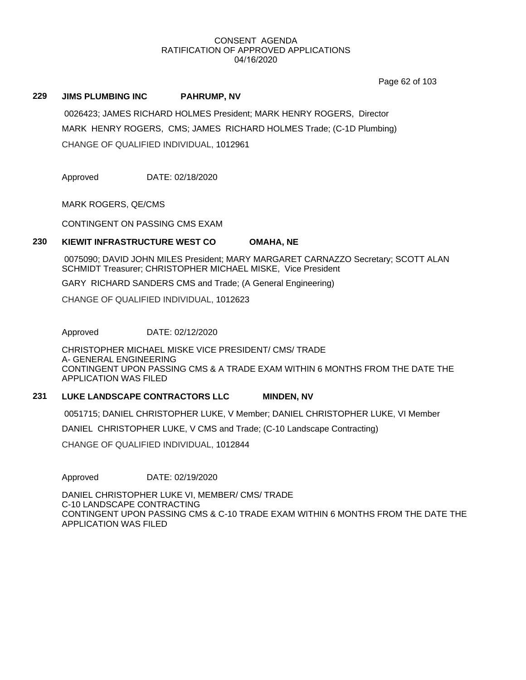Page 62 of 103

## **229 JIMS PLUMBING INC PAHRUMP, NV**

 0026423; JAMES RICHARD HOLMES President; MARK HENRY ROGERS, Director MARK HENRY ROGERS, CMS; JAMES RICHARD HOLMES Trade; (C-1D Plumbing) CHANGE OF QUALIFIED INDIVIDUAL, 1012961

Approved DATE: 02/18/2020

MARK ROGERS, QE/CMS

CONTINGENT ON PASSING CMS EXAM

# **230 KIEWIT INFRASTRUCTURE WEST CO OMAHA, NE**

 0075090; DAVID JOHN MILES President; MARY MARGARET CARNAZZO Secretary; SCOTT ALAN SCHMIDT Treasurer; CHRISTOPHER MICHAEL MISKE, Vice President

GARY RICHARD SANDERS CMS and Trade; (A General Engineering)

CHANGE OF QUALIFIED INDIVIDUAL, 1012623

Approved DATE: 02/12/2020

CHRISTOPHER MICHAEL MISKE VICE PRESIDENT/ CMS/ TRADE A- GENERAL ENGINEERING CONTINGENT UPON PASSING CMS & A TRADE EXAM WITHIN 6 MONTHS FROM THE DATE THE APPLICATION WAS FILED

# **231 LUKE LANDSCAPE CONTRACTORS LLC MINDEN, NV**

0051715; DANIEL CHRISTOPHER LUKE, V Member; DANIEL CHRISTOPHER LUKE, VI Member

DANIEL CHRISTOPHER LUKE, V CMS and Trade; (C-10 Landscape Contracting)

CHANGE OF QUALIFIED INDIVIDUAL, 1012844

Approved DATE: 02/19/2020

DANIEL CHRISTOPHER LUKE VI, MEMBER/ CMS/ TRADE C-10 LANDSCAPE CONTRACTING CONTINGENT UPON PASSING CMS & C-10 TRADE EXAM WITHIN 6 MONTHS FROM THE DATE THE APPLICATION WAS FILED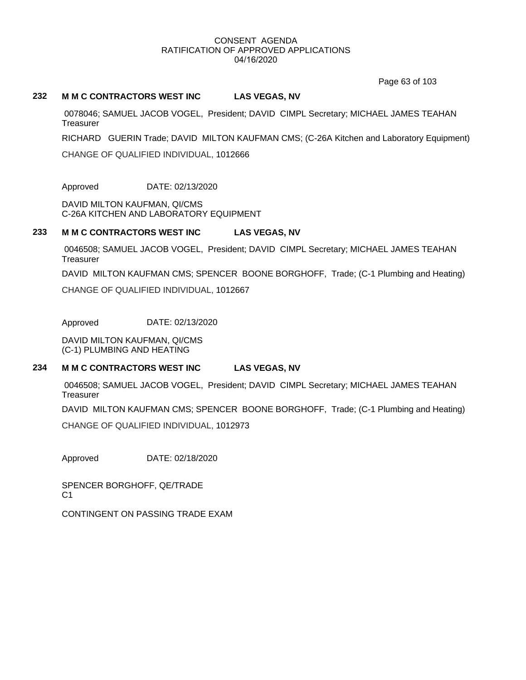Page 63 of 103

## **232 M M C CONTRACTORS WEST INC LAS VEGAS, NV**

 0078046; SAMUEL JACOB VOGEL, President; DAVID CIMPL Secretary; MICHAEL JAMES TEAHAN **Treasurer** 

RICHARD GUERIN Trade; DAVID MILTON KAUFMAN CMS; (C-26A Kitchen and Laboratory Equipment)

CHANGE OF QUALIFIED INDIVIDUAL, 1012666

Approved DATE: 02/13/2020

DAVID MILTON KAUFMAN, QI/CMS C-26A KITCHEN AND LABORATORY EQUIPMENT

### **233 M M C CONTRACTORS WEST INC LAS VEGAS, NV**

 0046508; SAMUEL JACOB VOGEL, President; DAVID CIMPL Secretary; MICHAEL JAMES TEAHAN **Treasurer** 

DAVID MILTON KAUFMAN CMS; SPENCER BOONE BORGHOFF, Trade; (C-1 Plumbing and Heating)

CHANGE OF QUALIFIED INDIVIDUAL, 1012667

Approved DATE: 02/13/2020

DAVID MILTON KAUFMAN, QI/CMS (C-1) PLUMBING AND HEATING

# **234 M M C CONTRACTORS WEST INC LAS VEGAS, NV**

 0046508; SAMUEL JACOB VOGEL, President; DAVID CIMPL Secretary; MICHAEL JAMES TEAHAN **Treasurer** 

DAVID MILTON KAUFMAN CMS; SPENCER BOONE BORGHOFF, Trade; (C-1 Plumbing and Heating)

CHANGE OF QUALIFIED INDIVIDUAL, 1012973

Approved DATE: 02/18/2020

SPENCER BORGHOFF, QE/TRADE  $C<sub>1</sub>$ 

CONTINGENT ON PASSING TRADE EXAM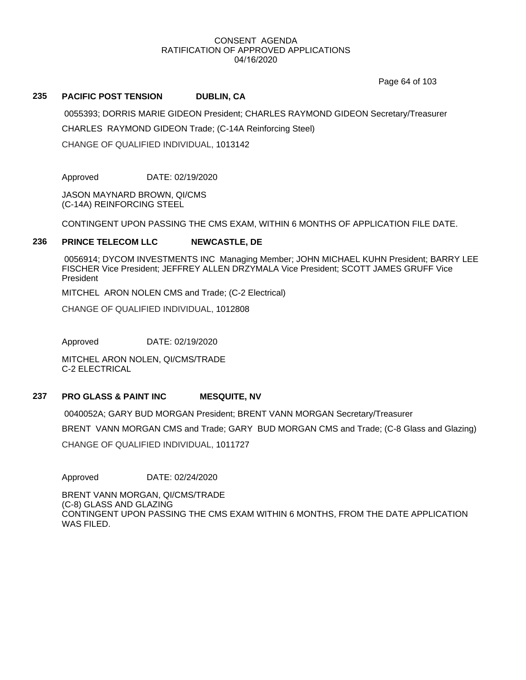Page 64 of 103

# **235 PACIFIC POST TENSION DUBLIN, CA**

0055393; DORRIS MARIE GIDEON President; CHARLES RAYMOND GIDEON Secretary/Treasurer

CHARLES RAYMOND GIDEON Trade; (C-14A Reinforcing Steel)

CHANGE OF QUALIFIED INDIVIDUAL, 1013142

Approved DATE: 02/19/2020

JASON MAYNARD BROWN, QI/CMS (C-14A) REINFORCING STEEL

CONTINGENT UPON PASSING THE CMS EXAM, WITHIN 6 MONTHS OF APPLICATION FILE DATE.

# **236 PRINCE TELECOM LLC NEWCASTLE, DE**

 0056914; DYCOM INVESTMENTS INC Managing Member; JOHN MICHAEL KUHN President; BARRY LEE FISCHER Vice President; JEFFREY ALLEN DRZYMALA Vice President; SCOTT JAMES GRUFF Vice President

MITCHEL ARON NOLEN CMS and Trade; (C-2 Electrical)

CHANGE OF QUALIFIED INDIVIDUAL, 1012808

Approved DATE: 02/19/2020

MITCHEL ARON NOLEN, QI/CMS/TRADE C-2 ELECTRICAL

# **237 PRO GLASS & PAINT INC MESQUITE, NV**

 0040052A; GARY BUD MORGAN President; BRENT VANN MORGAN Secretary/Treasurer BRENT VANN MORGAN CMS and Trade; GARY BUD MORGAN CMS and Trade; (C-8 Glass and Glazing) CHANGE OF QUALIFIED INDIVIDUAL, 1011727

Approved DATE: 02/24/2020

BRENT VANN MORGAN, QI/CMS/TRADE (C-8) GLASS AND GLAZING CONTINGENT UPON PASSING THE CMS EXAM WITHIN 6 MONTHS, FROM THE DATE APPLICATION WAS FILED.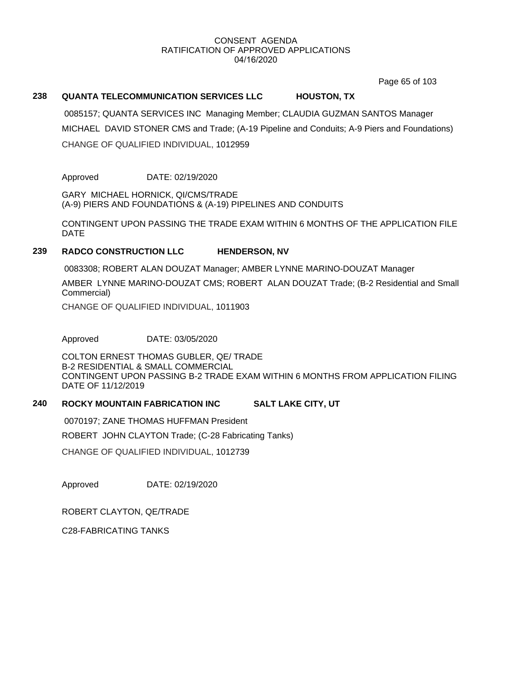Page 65 of 103

# **238 QUANTA TELECOMMUNICATION SERVICES LLC HOUSTON, TX**

 0085157; QUANTA SERVICES INC Managing Member; CLAUDIA GUZMAN SANTOS Manager MICHAEL DAVID STONER CMS and Trade; (A-19 Pipeline and Conduits; A-9 Piers and Foundations) CHANGE OF QUALIFIED INDIVIDUAL, 1012959

### Approved DATE: 02/19/2020

GARY MICHAEL HORNICK, QI/CMS/TRADE (A-9) PIERS AND FOUNDATIONS & (A-19) PIPELINES AND CONDUITS

CONTINGENT UPON PASSING THE TRADE EXAM WITHIN 6 MONTHS OF THE APPLICATION FILE DATE

#### **239 RADCO CONSTRUCTION LLC HENDERSON, NV**

0083308; ROBERT ALAN DOUZAT Manager; AMBER LYNNE MARINO-DOUZAT Manager

AMBER LYNNE MARINO-DOUZAT CMS; ROBERT ALAN DOUZAT Trade; (B-2 Residential and Small Commercial)

CHANGE OF QUALIFIED INDIVIDUAL, 1011903

Approved DATE: 03/05/2020

COLTON ERNEST THOMAS GUBLER, QE/ TRADE B-2 RESIDENTIAL & SMALL COMMERCIAL CONTINGENT UPON PASSING B-2 TRADE EXAM WITHIN 6 MONTHS FROM APPLICATION FILING DATE OF 11/12/2019

### **240 ROCKY MOUNTAIN FABRICATION INC SALT LAKE CITY, UT**

 0070197; ZANE THOMAS HUFFMAN President ROBERT JOHN CLAYTON Trade; (C-28 Fabricating Tanks)

CHANGE OF QUALIFIED INDIVIDUAL, 1012739

Approved DATE: 02/19/2020

ROBERT CLAYTON, QE/TRADE

C28-FABRICATING TANKS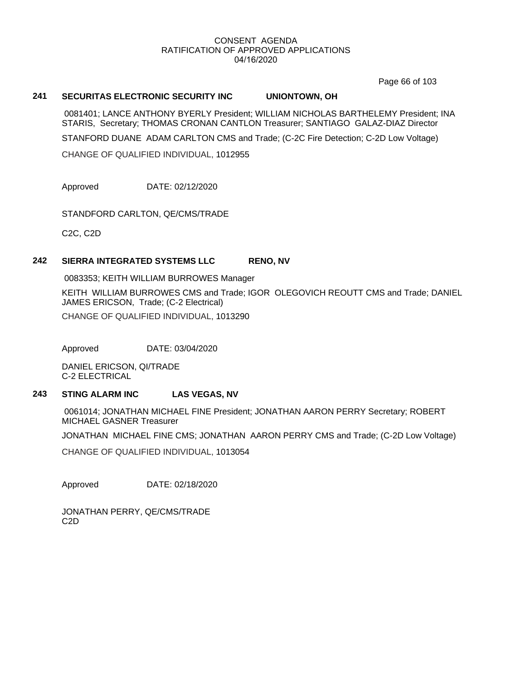Page 66 of 103

# **241 SECURITAS ELECTRONIC SECURITY INC UNIONTOWN, OH**

 0081401; LANCE ANTHONY BYERLY President; WILLIAM NICHOLAS BARTHELEMY President; INA STARIS, Secretary; THOMAS CRONAN CANTLON Treasurer; SANTIAGO GALAZ-DIAZ Director

STANFORD DUANE ADAM CARLTON CMS and Trade; (C-2C Fire Detection; C-2D Low Voltage)

CHANGE OF QUALIFIED INDIVIDUAL, 1012955

Approved DATE: 02/12/2020

STANDFORD CARLTON, QE/CMS/TRADE

C2C, C2D

### **242 SIERRA INTEGRATED SYSTEMS LLC RENO, NV**

0083353; KEITH WILLIAM BURROWES Manager

KEITH WILLIAM BURROWES CMS and Trade; IGOR OLEGOVICH REOUTT CMS and Trade; DANIEL JAMES ERICSON, Trade; (C-2 Electrical) CHANGE OF QUALIFIED INDIVIDUAL, 1013290

Approved DATE: 03/04/2020

DANIEL ERICSON, QI/TRADE C-2 ELECTRICAL

# **243 STING ALARM INC LAS VEGAS, NV**

 0061014; JONATHAN MICHAEL FINE President; JONATHAN AARON PERRY Secretary; ROBERT MICHAEL GASNER Treasurer

JONATHAN MICHAEL FINE CMS; JONATHAN AARON PERRY CMS and Trade; (C-2D Low Voltage)

CHANGE OF QUALIFIED INDIVIDUAL, 1013054

Approved DATE: 02/18/2020

JONATHAN PERRY, QE/CMS/TRADE C2D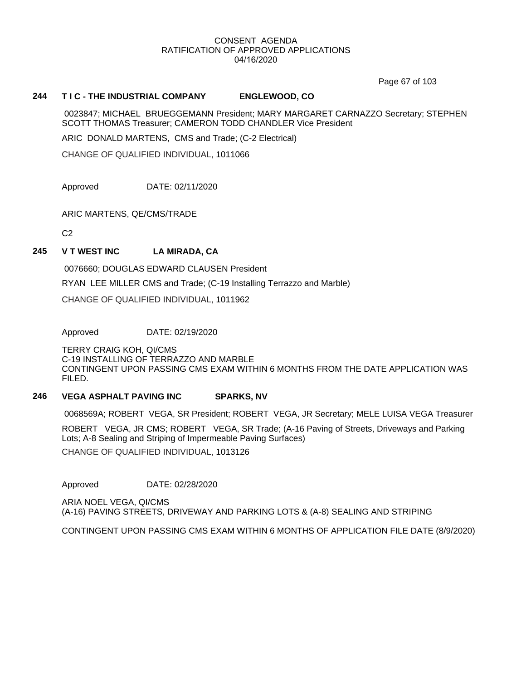Page 67 of 103

### **244 T I C - THE INDUSTRIAL COMPANY ENGLEWOOD, CO**

 0023847; MICHAEL BRUEGGEMANN President; MARY MARGARET CARNAZZO Secretary; STEPHEN SCOTT THOMAS Treasurer; CAMERON TODD CHANDLER Vice President

ARIC DONALD MARTENS, CMS and Trade; (C-2 Electrical)

CHANGE OF QUALIFIED INDIVIDUAL, 1011066

Approved DATE: 02/11/2020

ARIC MARTENS, QE/CMS/TRADE

 $C<sub>2</sub>$ 

### **245 V T WEST INC LA MIRADA, CA**

0076660; DOUGLAS EDWARD CLAUSEN President

RYAN LEE MILLER CMS and Trade; (C-19 Installing Terrazzo and Marble)

CHANGE OF QUALIFIED INDIVIDUAL, 1011962

Approved DATE: 02/19/2020

TERRY CRAIG KOH, QI/CMS C-19 INSTALLING OF TERRAZZO AND MARBLE CONTINGENT UPON PASSING CMS EXAM WITHIN 6 MONTHS FROM THE DATE APPLICATION WAS FILED.

### **246 VEGA ASPHALT PAVING INC SPARKS, NV**

0068569A; ROBERT VEGA, SR President; ROBERT VEGA, JR Secretary; MELE LUISA VEGA Treasurer

ROBERT VEGA, JR CMS; ROBERT VEGA, SR Trade; (A-16 Paving of Streets, Driveways and Parking Lots; A-8 Sealing and Striping of Impermeable Paving Surfaces)

CHANGE OF QUALIFIED INDIVIDUAL, 1013126

Approved DATE: 02/28/2020

ARIA NOEL VEGA, QI/CMS (A-16) PAVING STREETS, DRIVEWAY AND PARKING LOTS & (A-8) SEALING AND STRIPING

CONTINGENT UPON PASSING CMS EXAM WITHIN 6 MONTHS OF APPLICATION FILE DATE (8/9/2020)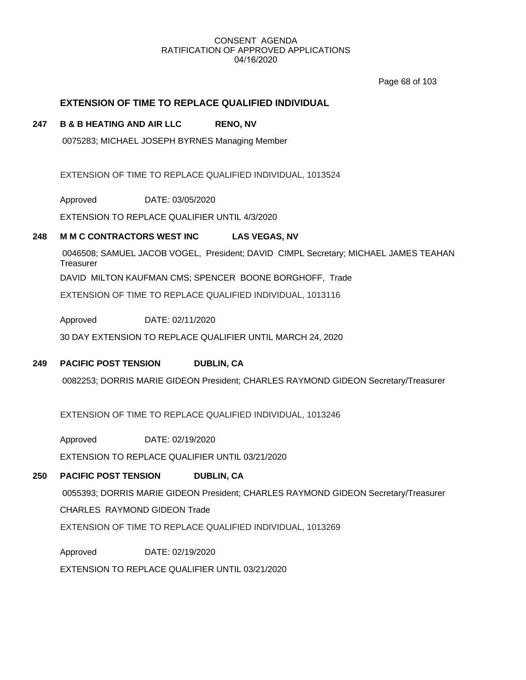Page 68 of 103

# **EXTENSION OF TIME TO REPLACE QUALIFIED INDIVIDUAL**

# **247 B & B HEATING AND AIR LLC RENO, NV**

0075283; MICHAEL JOSEPH BYRNES Managing Member

EXTENSION OF TIME TO REPLACE QUALIFIED INDIVIDUAL, 1013524

Approved DATE: 03/05/2020

EXTENSION TO REPLACE QUALIFIER UNTIL 4/3/2020

# **248 M M C CONTRACTORS WEST INC LAS VEGAS, NV**

 0046508; SAMUEL JACOB VOGEL, President; DAVID CIMPL Secretary; MICHAEL JAMES TEAHAN **Treasurer** 

DAVID MILTON KAUFMAN CMS; SPENCER BOONE BORGHOFF, Trade

EXTENSION OF TIME TO REPLACE QUALIFIED INDIVIDUAL, 1013116

Approved DATE: 02/11/2020

30 DAY EXTENSION TO REPLACE QUALIFIER UNTIL MARCH 24, 2020

# **249 PACIFIC POST TENSION DUBLIN, CA**

0082253; DORRIS MARIE GIDEON President; CHARLES RAYMOND GIDEON Secretary/Treasurer

EXTENSION OF TIME TO REPLACE QUALIFIED INDIVIDUAL, 1013246

Approved DATE: 02/19/2020

EXTENSION TO REPLACE QUALIFIER UNTIL 03/21/2020

# **250 PACIFIC POST TENSION DUBLIN, CA**

0055393; DORRIS MARIE GIDEON President; CHARLES RAYMOND GIDEON Secretary/Treasurer

CHARLES RAYMOND GIDEON Trade

EXTENSION OF TIME TO REPLACE QUALIFIED INDIVIDUAL, 1013269

Approved DATE: 02/19/2020

EXTENSION TO REPLACE QUALIFIER UNTIL 03/21/2020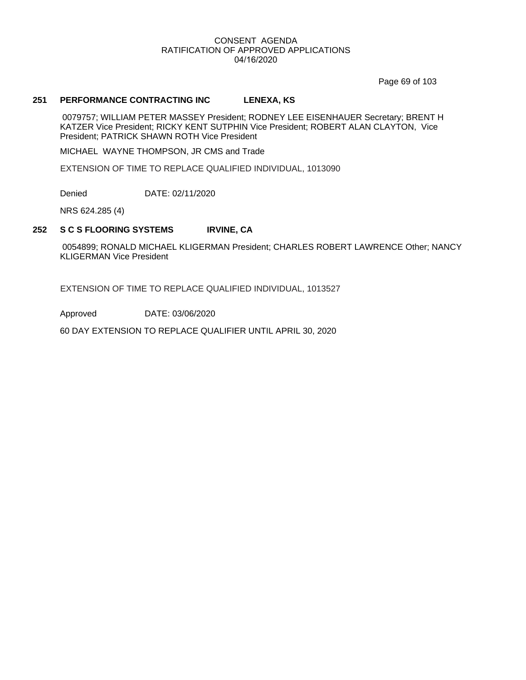Page 69 of 103

### **251 PERFORMANCE CONTRACTING INC LENEXA, KS**

 0079757; WILLIAM PETER MASSEY President; RODNEY LEE EISENHAUER Secretary; BRENT H KATZER Vice President; RICKY KENT SUTPHIN Vice President; ROBERT ALAN CLAYTON, Vice President; PATRICK SHAWN ROTH Vice President

MICHAEL WAYNE THOMPSON, JR CMS and Trade

EXTENSION OF TIME TO REPLACE QUALIFIED INDIVIDUAL, 1013090

Denied DATE: 02/11/2020

NRS 624.285 (4)

#### **252 S C S FLOORING SYSTEMS IRVINE, CA**

 0054899; RONALD MICHAEL KLIGERMAN President; CHARLES ROBERT LAWRENCE Other; NANCY KLIGERMAN Vice President

EXTENSION OF TIME TO REPLACE QUALIFIED INDIVIDUAL, 1013527

Approved DATE: 03/06/2020

60 DAY EXTENSION TO REPLACE QUALIFIER UNTIL APRIL 30, 2020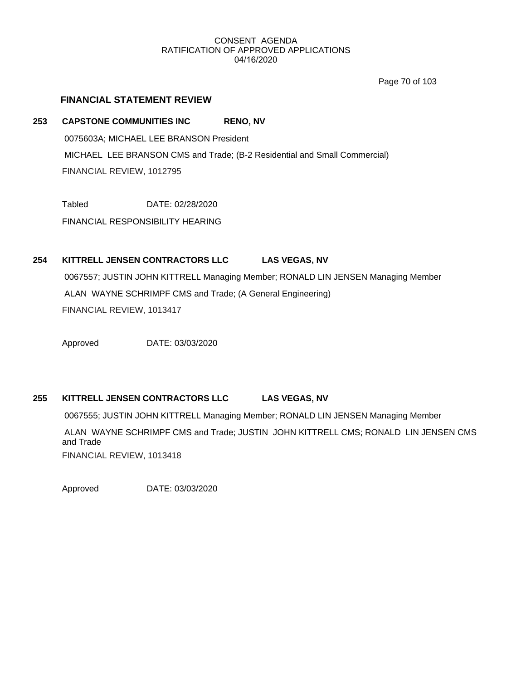Page 70 of 103

## **FINANCIAL STATEMENT REVIEW**

## **253 CAPSTONE COMMUNITIES INC RENO, NV**

 0075603A; MICHAEL LEE BRANSON President MICHAEL LEE BRANSON CMS and Trade; (B-2 Residential and Small Commercial) FINANCIAL REVIEW, 1012795

Tabled DATE: 02/28/2020

FINANCIAL RESPONSIBILITY HEARING

## **254 KITTRELL JENSEN CONTRACTORS LLC LAS VEGAS, NV**

 0067557; JUSTIN JOHN KITTRELL Managing Member; RONALD LIN JENSEN Managing Member ALAN WAYNE SCHRIMPF CMS and Trade; (A General Engineering) FINANCIAL REVIEW, 1013417

Approved DATE: 03/03/2020

## **255 KITTRELL JENSEN CONTRACTORS LLC LAS VEGAS, NV**

0067555; JUSTIN JOHN KITTRELL Managing Member; RONALD LIN JENSEN Managing Member

 ALAN WAYNE SCHRIMPF CMS and Trade; JUSTIN JOHN KITTRELL CMS; RONALD LIN JENSEN CMS and Trade FINANCIAL REVIEW, 1013418

Approved DATE: 03/03/2020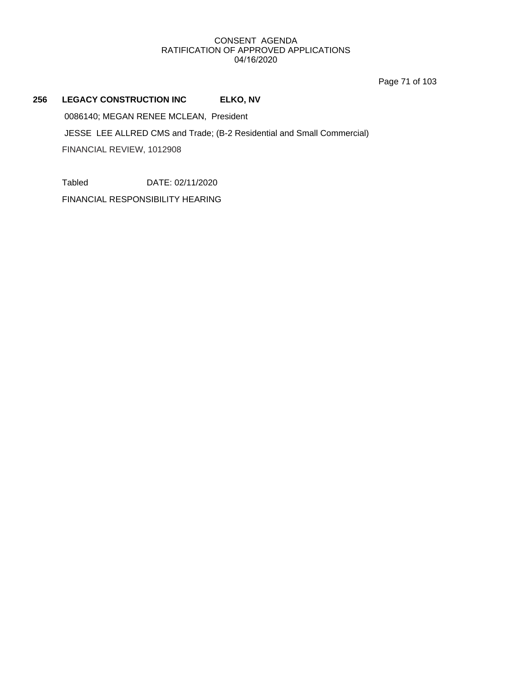Page 71 of 103

## **256 LEGACY CONSTRUCTION INC ELKO, NV**

0086140; MEGAN RENEE MCLEAN, President

 JESSE LEE ALLRED CMS and Trade; (B-2 Residential and Small Commercial) FINANCIAL REVIEW, 1012908

Tabled DATE: 02/11/2020

FINANCIAL RESPONSIBILITY HEARING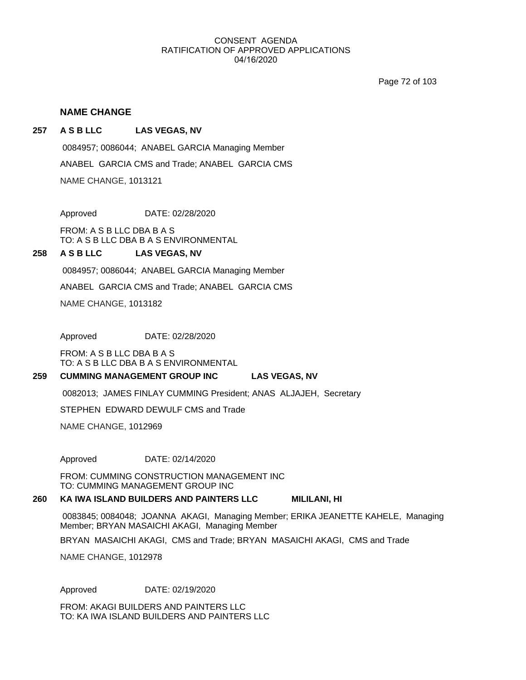Page 72 of 103

## **NAME CHANGE**

#### **257 A S B LLC LAS VEGAS, NV**

NAME CHANGE, 1013121 ANABEL GARCIA CMS and Trade; ANABEL GARCIA CMS 0084957; 0086044; ANABEL GARCIA Managing Member

Approved DATE: 02/28/2020

FROM: A S B LLC DBA B A S TO: A S B LLC DBA B A S ENVIRONMENTAL

#### **258 A S B LLC LAS VEGAS, NV**

0084957; 0086044; ANABEL GARCIA Managing Member

ANABEL GARCIA CMS and Trade; ANABEL GARCIA CMS

NAME CHANGE, 1013182

Approved DATE: 02/28/2020

FROM: A S B LLC DBA B A S TO: A S B LLC DBA B A S ENVIRONMENTAL

#### **259 CUMMING MANAGEMENT GROUP INC LAS VEGAS, NV**

0082013; JAMES FINLAY CUMMING President; ANAS ALJAJEH, Secretary

STEPHEN EDWARD DEWULF CMS and Trade

NAME CHANGE, 1012969

Approved DATE: 02/14/2020

FROM: CUMMING CONSTRUCTION MANAGEMENT INC TO: CUMMING MANAGEMENT GROUP INC

#### **260 KA IWA ISLAND BUILDERS AND PAINTERS LLC MILILANI, HI**

 0083845; 0084048; JOANNA AKAGI, Managing Member; ERIKA JEANETTE KAHELE, Managing Member; BRYAN MASAICHI AKAGI, Managing Member

BRYAN MASAICHI AKAGI, CMS and Trade; BRYAN MASAICHI AKAGI, CMS and Trade

NAME CHANGE, 1012978

Approved DATE: 02/19/2020

FROM: AKAGI BUILDERS AND PAINTERS LLC TO: KA IWA ISLAND BUILDERS AND PAINTERS LLC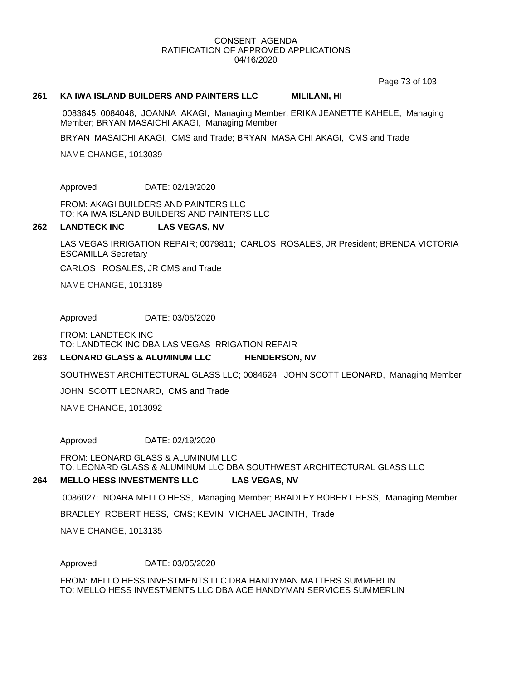Page 73 of 103

#### **261 KA IWA ISLAND BUILDERS AND PAINTERS LLC MILILANI, HI**

 0083845; 0084048; JOANNA AKAGI, Managing Member; ERIKA JEANETTE KAHELE, Managing Member; BRYAN MASAICHI AKAGI, Managing Member

BRYAN MASAICHI AKAGI, CMS and Trade; BRYAN MASAICHI AKAGI, CMS and Trade

NAME CHANGE, 1013039

Approved DATE: 02/19/2020

FROM: AKAGI BUILDERS AND PAINTERS LLC TO: KA IWA ISLAND BUILDERS AND PAINTERS LLC

#### **262 LANDTECK INC LAS VEGAS, NV**

LAS VEGAS IRRIGATION REPAIR; 0079811; CARLOS ROSALES, JR President; BRENDA VICTORIA ESCAMILLA Secretary

CARLOS ROSALES, JR CMS and Trade

NAME CHANGE, 1013189

Approved DATE: 03/05/2020

FROM: LANDTECK INC TO: LANDTECK INC DBA LAS VEGAS IRRIGATION REPAIR

#### **263 LEONARD GLASS & ALUMINUM LLC HENDERSON, NV**

SOUTHWEST ARCHITECTURAL GLASS LLC; 0084624; JOHN SCOTT LEONARD, Managing Member

JOHN SCOTT LEONARD, CMS and Trade

NAME CHANGE, 1013092

Approved DATE: 02/19/2020

FROM: LEONARD GLASS & ALUMINUM LLC TO: LEONARD GLASS & ALUMINUM LLC DBA SOUTHWEST ARCHITECTURAL GLASS LLC

#### **264 MELLO HESS INVESTMENTS LLC LAS VEGAS, NV**

0086027; NOARA MELLO HESS, Managing Member; BRADLEY ROBERT HESS, Managing Member

BRADLEY ROBERT HESS, CMS; KEVIN MICHAEL JACINTH, Trade

NAME CHANGE, 1013135

Approved DATE: 03/05/2020

FROM: MELLO HESS INVESTMENTS LLC DBA HANDYMAN MATTERS SUMMERLIN TO: MELLO HESS INVESTMENTS LLC DBA ACE HANDYMAN SERVICES SUMMERLIN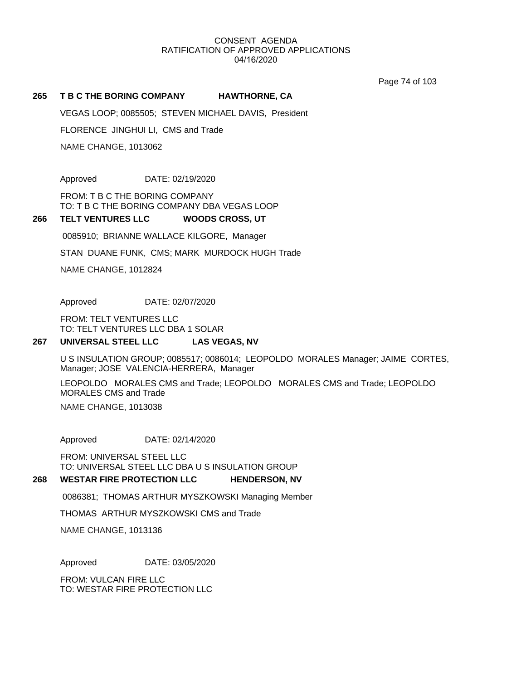Page 74 of 103

#### **265 T B C THE BORING COMPANY HAWTHORNE, CA**

VEGAS LOOP; 0085505; STEVEN MICHAEL DAVIS, President

FLORENCE JINGHUI LI, CMS and Trade

NAME CHANGE, 1013062

Approved DATE: 02/19/2020

FROM: T B C THE BORING COMPANY TO: T B C THE BORING COMPANY DBA VEGAS LOOP

#### **266 TELT VENTURES LLC WOODS CROSS, UT**

0085910; BRIANNE WALLACE KILGORE, Manager

STAN DUANE FUNK, CMS; MARK MURDOCK HUGH Trade

NAME CHANGE, 1012824

Approved DATE: 02/07/2020

FROM: TELT VENTURES LLC TO: TELT VENTURES LLC DBA 1 SOLAR

#### **267 UNIVERSAL STEEL LLC LAS VEGAS, NV**

U S INSULATION GROUP; 0085517; 0086014; LEOPOLDO MORALES Manager; JAIME CORTES, Manager; JOSE VALENCIA-HERRERA, Manager

LEOPOLDO MORALES CMS and Trade; LEOPOLDO MORALES CMS and Trade; LEOPOLDO MORALES CMS and Trade

NAME CHANGE, 1013038

Approved DATE: 02/14/2020

FROM: UNIVERSAL STEEL LLC TO: UNIVERSAL STEEL LLC DBA U S INSULATION GROUP

#### **268 WESTAR FIRE PROTECTION LLC HENDERSON, NV**

0086381; THOMAS ARTHUR MYSZKOWSKI Managing Member

THOMAS ARTHUR MYSZKOWSKI CMS and Trade

NAME CHANGE, 1013136

Approved DATE: 03/05/2020

FROM: VULCAN FIRE LLC TO: WESTAR FIRE PROTECTION LLC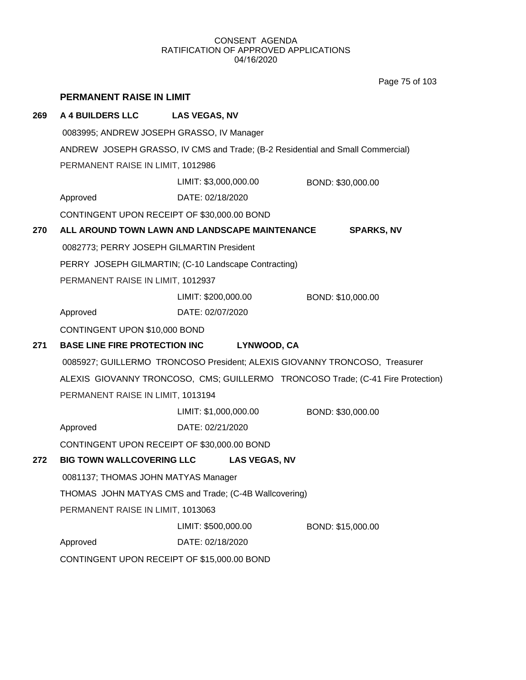Page 75 of 103

|     | <b>PERMANENT RAISE IN LIMIT</b>                                                 |                                                                                |                   |  |
|-----|---------------------------------------------------------------------------------|--------------------------------------------------------------------------------|-------------------|--|
| 269 | <b>A 4 BUILDERS LLC</b>                                                         | <b>LAS VEGAS, NV</b>                                                           |                   |  |
|     | 0083995; ANDREW JOSEPH GRASSO, IV Manager                                       |                                                                                |                   |  |
|     |                                                                                 | ANDREW JOSEPH GRASSO, IV CMS and Trade; (B-2 Residential and Small Commercial) |                   |  |
|     | PERMANENT RAISE IN LIMIT, 1012986                                               |                                                                                |                   |  |
|     |                                                                                 | LIMIT: \$3,000,000.00                                                          | BOND: \$30,000.00 |  |
|     | Approved                                                                        | DATE: 02/18/2020                                                               |                   |  |
|     | CONTINGENT UPON RECEIPT OF \$30,000.00 BOND                                     |                                                                                |                   |  |
| 270 |                                                                                 | ALL AROUND TOWN LAWN AND LANDSCAPE MAINTENANCE                                 | <b>SPARKS, NV</b> |  |
|     | 0082773; PERRY JOSEPH GILMARTIN President                                       |                                                                                |                   |  |
|     |                                                                                 | PERRY JOSEPH GILMARTIN; (C-10 Landscape Contracting)                           |                   |  |
|     | PERMANENT RAISE IN LIMIT, 1012937                                               |                                                                                |                   |  |
|     |                                                                                 | LIMIT: \$200,000.00                                                            | BOND: \$10,000.00 |  |
|     | Approved                                                                        | DATE: 02/07/2020                                                               |                   |  |
|     | CONTINGENT UPON \$10,000 BOND                                                   |                                                                                |                   |  |
| 271 | <b>BASE LINE FIRE PROTECTION INC</b><br>LYNWOOD, CA                             |                                                                                |                   |  |
|     | 0085927; GUILLERMO TRONCOSO President; ALEXIS GIOVANNY TRONCOSO, Treasurer      |                                                                                |                   |  |
|     | ALEXIS GIOVANNY TRONCOSO, CMS; GUILLERMO TRONCOSO Trade; (C-41 Fire Protection) |                                                                                |                   |  |
|     | PERMANENT RAISE IN LIMIT, 1013194                                               |                                                                                |                   |  |
|     |                                                                                 | LIMIT: \$1,000,000.00                                                          | BOND: \$30,000.00 |  |
|     | Approved                                                                        | DATE: 02/21/2020                                                               |                   |  |
|     | CONTINGENT UPON RECEIPT OF \$30,000.00 BOND                                     |                                                                                |                   |  |
| 272 | <b>BIG TOWN WALLCOVERING LLC</b>                                                | <b>LAS VEGAS, NV</b>                                                           |                   |  |
|     | 0081137; THOMAS JOHN MATYAS Manager                                             |                                                                                |                   |  |
|     |                                                                                 | THOMAS JOHN MATYAS CMS and Trade; (C-4B Wallcovering)                          |                   |  |
|     | PERMANENT RAISE IN LIMIT, 1013063                                               |                                                                                |                   |  |
|     |                                                                                 | LIMIT: \$500,000.00                                                            | BOND: \$15,000.00 |  |
|     | Approved                                                                        | DATE: 02/18/2020                                                               |                   |  |
|     | CONTINGENT UPON RECEIPT OF \$15,000.00 BOND                                     |                                                                                |                   |  |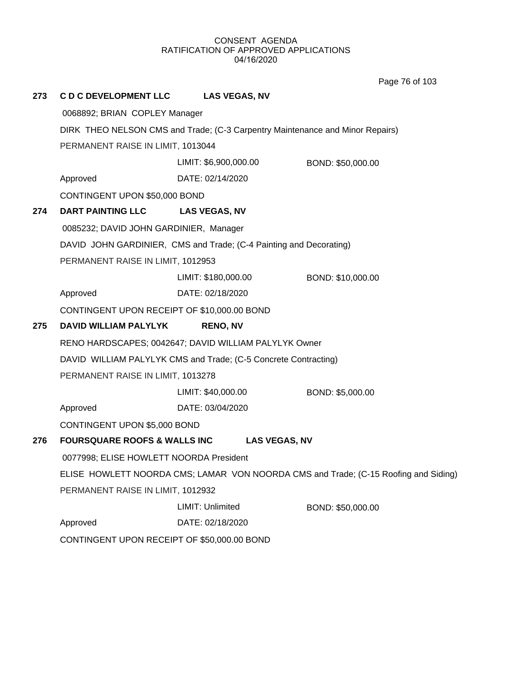Page 76 of 103

| 273 | <b>C D C DEVELOPMENT LLC</b>                                                  | <b>LAS VEGAS, NV</b>                                               |                                                                                     |
|-----|-------------------------------------------------------------------------------|--------------------------------------------------------------------|-------------------------------------------------------------------------------------|
|     | 0068892; BRIAN COPLEY Manager                                                 |                                                                    |                                                                                     |
|     | DIRK THEO NELSON CMS and Trade; (C-3 Carpentry Maintenance and Minor Repairs) |                                                                    |                                                                                     |
|     | PERMANENT RAISE IN LIMIT, 1013044                                             |                                                                    |                                                                                     |
|     |                                                                               | LIMIT: \$6,900,000.00                                              | BOND: \$50,000.00                                                                   |
|     | Approved                                                                      | DATE: 02/14/2020                                                   |                                                                                     |
|     | CONTINGENT UPON \$50,000 BOND                                                 |                                                                    |                                                                                     |
| 274 | DART PAINTING LLC                                                             | <b>LAS VEGAS, NV</b>                                               |                                                                                     |
|     | 0085232; DAVID JOHN GARDINIER, Manager                                        |                                                                    |                                                                                     |
|     |                                                                               | DAVID JOHN GARDINIER, CMS and Trade; (C-4 Painting and Decorating) |                                                                                     |
|     | PERMANENT RAISE IN LIMIT, 1012953                                             |                                                                    |                                                                                     |
|     |                                                                               | LIMIT: \$180,000.00                                                | BOND: \$10,000.00                                                                   |
|     | Approved                                                                      | DATE: 02/18/2020                                                   |                                                                                     |
|     | CONTINGENT UPON RECEIPT OF \$10,000.00 BOND                                   |                                                                    |                                                                                     |
| 275 | <b>DAVID WILLIAM PALYLYK</b>                                                  | <b>RENO, NV</b>                                                    |                                                                                     |
|     | RENO HARDSCAPES; 0042647; DAVID WILLIAM PALYLYK Owner                         |                                                                    |                                                                                     |
|     | DAVID WILLIAM PALYLYK CMS and Trade; (C-5 Concrete Contracting)               |                                                                    |                                                                                     |
|     | PERMANENT RAISE IN LIMIT, 1013278                                             |                                                                    |                                                                                     |
|     |                                                                               | LIMIT: \$40,000.00                                                 | BOND: \$5,000.00                                                                    |
|     | Approved                                                                      | DATE: 03/04/2020                                                   |                                                                                     |
|     | CONTINGENT UPON \$5,000 BOND                                                  |                                                                    |                                                                                     |
| 276 | <b>FOURSQUARE ROOFS &amp; WALLS INC</b>                                       | <b>LAS VEGAS, NV</b>                                               |                                                                                     |
|     | 0077998; ELISE HOWLETT NOORDA President                                       |                                                                    |                                                                                     |
|     |                                                                               |                                                                    | ELISE HOWLETT NOORDA CMS; LAMAR VON NOORDA CMS and Trade; (C-15 Roofing and Siding) |
|     | PERMANENT RAISE IN LIMIT, 1012932                                             |                                                                    |                                                                                     |
|     |                                                                               | LIMIT: Unlimited                                                   | BOND: \$50,000.00                                                                   |
|     | Approved                                                                      | DATE: 02/18/2020                                                   |                                                                                     |
|     | CONTINGENT UPON RECEIPT OF \$50,000.00 BOND                                   |                                                                    |                                                                                     |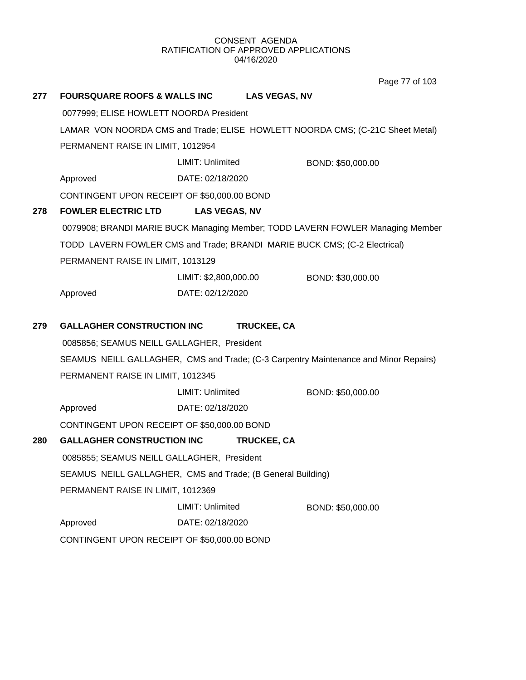Page 77 of 103

| 277 | <b>FOURSQUARE ROOFS &amp; WALLS INC</b>                                                                            |                         | <b>LAS VEGAS, NV</b>                                                                 |  |
|-----|--------------------------------------------------------------------------------------------------------------------|-------------------------|--------------------------------------------------------------------------------------|--|
|     | 0077999; ELISE HOWLETT NOORDA President                                                                            |                         |                                                                                      |  |
|     | LAMAR VON NOORDA CMS and Trade; ELISE HOWLETT NOORDA CMS; (C-21C Sheet Metal)<br>PERMANENT RAISE IN LIMIT, 1012954 |                         |                                                                                      |  |
|     |                                                                                                                    |                         |                                                                                      |  |
|     |                                                                                                                    | <b>LIMIT: Unlimited</b> | BOND: \$50,000.00                                                                    |  |
|     | Approved                                                                                                           | DATE: 02/18/2020        |                                                                                      |  |
|     | CONTINGENT UPON RECEIPT OF \$50,000.00 BOND                                                                        |                         |                                                                                      |  |
| 278 | <b>FOWLER ELECTRIC LTD</b>                                                                                         | <b>LAS VEGAS, NV</b>    |                                                                                      |  |
|     |                                                                                                                    |                         | 0079908; BRANDI MARIE BUCK Managing Member; TODD LAVERN FOWLER Managing Member       |  |
|     |                                                                                                                    |                         | TODD LAVERN FOWLER CMS and Trade; BRANDI MARIE BUCK CMS; (C-2 Electrical)            |  |
|     | PERMANENT RAISE IN LIMIT, 1013129                                                                                  |                         |                                                                                      |  |
|     |                                                                                                                    | LIMIT: \$2,800,000.00   | BOND: \$30,000.00                                                                    |  |
|     | Approved                                                                                                           | DATE: 02/12/2020        |                                                                                      |  |
|     |                                                                                                                    |                         |                                                                                      |  |
| 279 | <b>GALLAGHER CONSTRUCTION INC</b>                                                                                  |                         | <b>TRUCKEE, CA</b>                                                                   |  |
|     | 0085856; SEAMUS NEILL GALLAGHER, President                                                                         |                         |                                                                                      |  |
|     |                                                                                                                    |                         | SEAMUS NEILL GALLAGHER, CMS and Trade; (C-3 Carpentry Maintenance and Minor Repairs) |  |
|     | PERMANENT RAISE IN LIMIT, 1012345                                                                                  |                         |                                                                                      |  |
|     |                                                                                                                    | LIMIT: Unlimited        | BOND: \$50,000.00                                                                    |  |
|     | Approved                                                                                                           | DATE: 02/18/2020        |                                                                                      |  |
|     | CONTINGENT UPON RECEIPT OF \$50,000.00 BOND                                                                        |                         |                                                                                      |  |
| 280 | <b>GALLAGHER CONSTRUCTION INC</b>                                                                                  |                         | <b>TRUCKEE, CA</b>                                                                   |  |
|     | 0085855; SEAMUS NEILL GALLAGHER, President                                                                         |                         |                                                                                      |  |
|     | SEAMUS NEILL GALLAGHER, CMS and Trade; (B General Building)                                                        |                         |                                                                                      |  |
|     | PERMANENT RAISE IN LIMIT, 1012369                                                                                  |                         |                                                                                      |  |
|     |                                                                                                                    | LIMIT: Unlimited        | BOND: \$50,000.00                                                                    |  |
|     | Approved                                                                                                           | DATE: 02/18/2020        |                                                                                      |  |
|     | CONTINGENT UPON RECEIPT OF \$50,000.00 BOND                                                                        |                         |                                                                                      |  |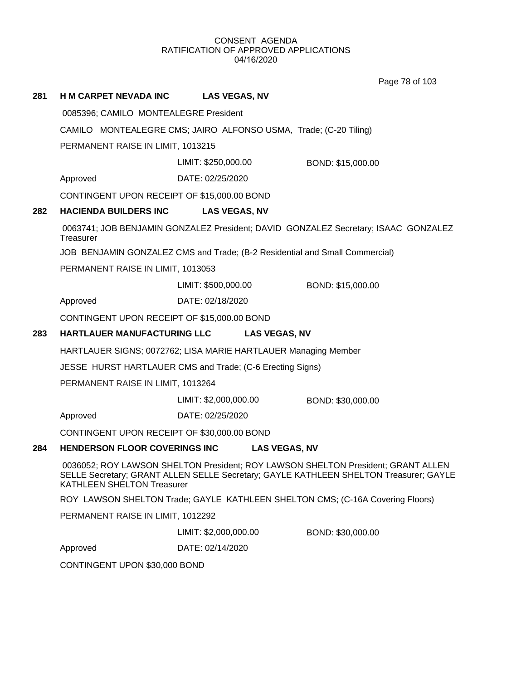Page 78 of 103

## **281 H M CARPET NEVADA INC LAS VEGAS, NV**

0085396; CAMILO MONTEALEGRE President

CAMILO MONTEALEGRE CMS; JAIRO ALFONSO USMA, Trade; (C-20 Tiling)

PERMANENT RAISE IN LIMIT, 1013215

LIMIT: \$250,000.00 BOND: \$15,000.00

Approved DATE: 02/25/2020

CONTINGENT UPON RECEIPT OF \$15,000.00 BOND

## **282 HACIENDA BUILDERS INC LAS VEGAS, NV**

 0063741; JOB BENJAMIN GONZALEZ President; DAVID GONZALEZ Secretary; ISAAC GONZALEZ **Treasurer** 

JOB BENJAMIN GONZALEZ CMS and Trade; (B-2 Residential and Small Commercial)

PERMANENT RAISE IN LIMIT, 1013053

LIMIT: \$500,000.00 BOND: \$15,000.00

Approved DATE: 02/18/2020

CONTINGENT UPON RECEIPT OF \$15,000.00 BOND

## **283 HARTLAUER MANUFACTURING LLC LAS VEGAS, NV**

HARTLAUER SIGNS; 0072762; LISA MARIE HARTLAUER Managing Member

JESSE HURST HARTLAUER CMS and Trade; (C-6 Erecting Signs)

PERMANENT RAISE IN LIMIT, 1013264

LIMIT: \$2,000,000.00 BOND: \$30,000.00

Approved DATE: 02/25/2020

CONTINGENT UPON RECEIPT OF \$30,000.00 BOND

## **284 HENDERSON FLOOR COVERINGS INC LAS VEGAS, NV**

 0036052; ROY LAWSON SHELTON President; ROY LAWSON SHELTON President; GRANT ALLEN SELLE Secretary; GRANT ALLEN SELLE Secretary; GAYLE KATHLEEN SHELTON Treasurer; GAYLE KATHLEEN SHELTON Treasurer

ROY LAWSON SHELTON Trade; GAYLE KATHLEEN SHELTON CMS; (C-16A Covering Floors)

PERMANENT RAISE IN LIMIT, 1012292

LIMIT: \$2,000,000.00 BOND: \$30,000.00

Approved DATE: 02/14/2020

CONTINGENT UPON \$30,000 BOND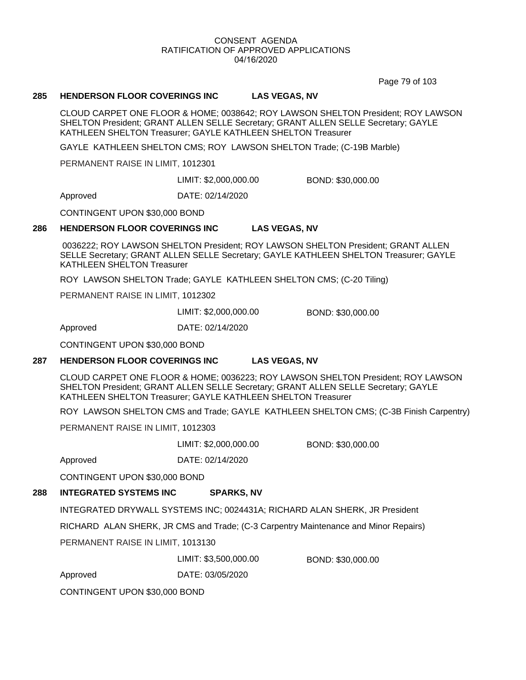Page 79 of 103

### **285 HENDERSON FLOOR COVERINGS INC LAS VEGAS, NV**

CLOUD CARPET ONE FLOOR & HOME; 0038642; ROY LAWSON SHELTON President; ROY LAWSON SHELTON President; GRANT ALLEN SELLE Secretary; GRANT ALLEN SELLE Secretary; GAYLE KATHLEEN SHELTON Treasurer; GAYLE KATHLEEN SHELTON Treasurer

GAYLE KATHLEEN SHELTON CMS; ROY LAWSON SHELTON Trade; (C-19B Marble)

PERMANENT RAISE IN LIMIT, 1012301

LIMIT: \$2,000,000.00 BOND: \$30,000.00

Approved DATE: 02/14/2020

CONTINGENT UPON \$30,000 BOND

#### **286 HENDERSON FLOOR COVERINGS INC LAS VEGAS, NV**

 0036222; ROY LAWSON SHELTON President; ROY LAWSON SHELTON President; GRANT ALLEN SELLE Secretary; GRANT ALLEN SELLE Secretary; GAYLE KATHLEEN SHELTON Treasurer; GAYLE KATHLEEN SHELTON Treasurer

ROY LAWSON SHELTON Trade; GAYLE KATHLEEN SHELTON CMS; (C-20 Tiling)

PERMANENT RAISE IN LIMIT, 1012302

LIMIT: \$2,000,000.00 BOND: \$30,000.00

Approved DATE: 02/14/2020

CONTINGENT UPON \$30,000 BOND

## **287 HENDERSON FLOOR COVERINGS INC LAS VEGAS, NV**

CLOUD CARPET ONE FLOOR & HOME; 0036223; ROY LAWSON SHELTON President; ROY LAWSON SHELTON President; GRANT ALLEN SELLE Secretary; GRANT ALLEN SELLE Secretary; GAYLE KATHLEEN SHELTON Treasurer; GAYLE KATHLEEN SHELTON Treasurer

ROY LAWSON SHELTON CMS and Trade; GAYLE KATHLEEN SHELTON CMS; (C-3B Finish Carpentry)

PERMANENT RAISE IN LIMIT, 1012303

LIMIT: \$2,000,000.00 BOND: \$30,000.00

Approved DATE: 02/14/2020

CONTINGENT UPON \$30,000 BOND

## **288 INTEGRATED SYSTEMS INC SPARKS, NV**

INTEGRATED DRYWALL SYSTEMS INC; 0024431A; RICHARD ALAN SHERK, JR President

RICHARD ALAN SHERK, JR CMS and Trade; (C-3 Carpentry Maintenance and Minor Repairs)

PERMANENT RAISE IN LIMIT, 1013130

LIMIT: \$3,500,000.00 BOND: \$30,000.00

Approved DATE: 03/05/2020

CONTINGENT UPON \$30,000 BOND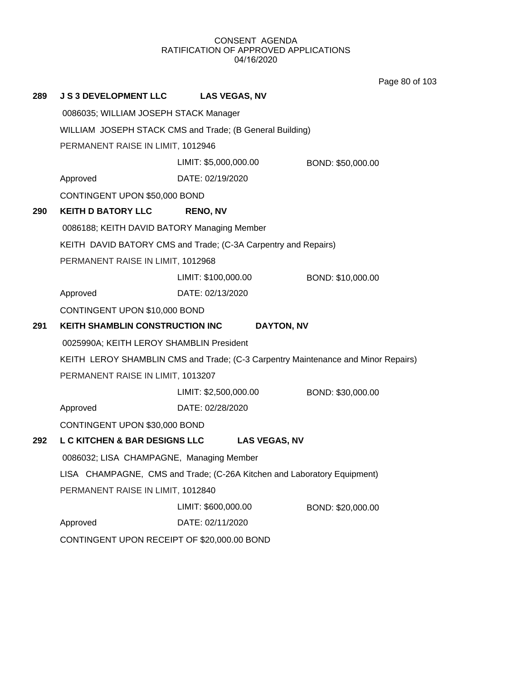Page 80 of 103

| 289 | <b>J S 3 DEVELOPMENT LLC</b>                             | <b>LAS VEGAS, NV</b>                                                              |                   |
|-----|----------------------------------------------------------|-----------------------------------------------------------------------------------|-------------------|
|     | 0086035; WILLIAM JOSEPH STACK Manager                    |                                                                                   |                   |
|     | WILLIAM JOSEPH STACK CMS and Trade; (B General Building) |                                                                                   |                   |
|     | PERMANENT RAISE IN LIMIT, 1012946                        |                                                                                   |                   |
|     |                                                          | LIMIT: \$5,000,000.00                                                             | BOND: \$50,000.00 |
|     | Approved                                                 | DATE: 02/19/2020                                                                  |                   |
|     | CONTINGENT UPON \$50,000 BOND                            |                                                                                   |                   |
| 290 | <b>KEITH D BATORY LLC</b>                                | <b>RENO, NV</b>                                                                   |                   |
|     | 0086188; KEITH DAVID BATORY Managing Member              |                                                                                   |                   |
|     |                                                          | KEITH DAVID BATORY CMS and Trade; (C-3A Carpentry and Repairs)                    |                   |
|     | PERMANENT RAISE IN LIMIT, 1012968                        |                                                                                   |                   |
|     |                                                          | LIMIT: \$100,000.00                                                               | BOND: \$10,000.00 |
|     | Approved                                                 | DATE: 02/13/2020                                                                  |                   |
|     | CONTINGENT UPON \$10,000 BOND                            |                                                                                   |                   |
|     | KEITH SHAMBLIN CONSTRUCTION INC<br>DAYTON, NV            |                                                                                   |                   |
| 291 |                                                          |                                                                                   |                   |
|     | 0025990A; KEITH LEROY SHAMBLIN President                 |                                                                                   |                   |
|     |                                                          | KEITH LEROY SHAMBLIN CMS and Trade; (C-3 Carpentry Maintenance and Minor Repairs) |                   |
|     | PERMANENT RAISE IN LIMIT, 1013207                        |                                                                                   |                   |
|     |                                                          | LIMIT: \$2,500,000.00                                                             | BOND: \$30,000.00 |
|     | Approved                                                 | DATE: 02/28/2020                                                                  |                   |
|     | CONTINGENT UPON \$30,000 BOND                            |                                                                                   |                   |
| 292 | <b>L C KITCHEN &amp; BAR DESIGNS LLC</b>                 | <b>LAS VEGAS, NV</b>                                                              |                   |
|     | 0086032; LISA CHAMPAGNE, Managing Member                 |                                                                                   |                   |
|     |                                                          | LISA CHAMPAGNE, CMS and Trade; (C-26A Kitchen and Laboratory Equipment)           |                   |
|     | PERMANENT RAISE IN LIMIT, 1012840                        |                                                                                   |                   |
|     |                                                          | LIMIT: \$600,000.00                                                               | BOND: \$20,000.00 |
|     | Approved<br>CONTINGENT UPON RECEIPT OF \$20,000.00 BOND  | DATE: 02/11/2020                                                                  |                   |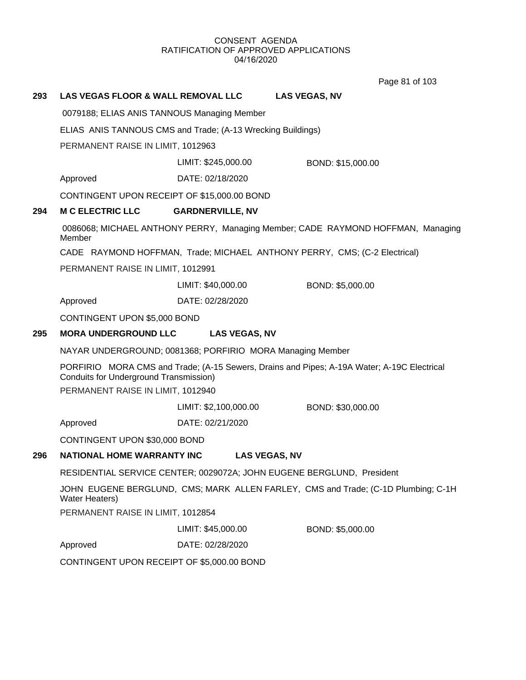Page 81 of 103

## **293 LAS VEGAS FLOOR & WALL REMOVAL LLC LAS VEGAS, NV**

0079188; ELIAS ANIS TANNOUS Managing Member

ELIAS ANIS TANNOUS CMS and Trade; (A-13 Wrecking Buildings)

PERMANENT RAISE IN LIMIT, 1012963

LIMIT: \$245,000.00 BOND: \$15,000.00

Approved DATE: 02/18/2020

CONTINGENT UPON RECEIPT OF \$15,000.00 BOND

## **294 M C ELECTRIC LLC GARDNERVILLE, NV**

 0086068; MICHAEL ANTHONY PERRY, Managing Member; CADE RAYMOND HOFFMAN, Managing Member

CADE RAYMOND HOFFMAN, Trade; MICHAEL ANTHONY PERRY, CMS; (C-2 Electrical)

PERMANENT RAISE IN LIMIT, 1012991

LIMIT: \$40,000.00 BOND: \$5,000.00

Approved DATE: 02/28/2020

CONTINGENT UPON \$5,000 BOND

## **295 MORA UNDERGROUND LLC LAS VEGAS, NV**

NAYAR UNDERGROUND; 0081368; PORFIRIO MORA Managing Member

PORFIRIO MORA CMS and Trade; (A-15 Sewers, Drains and Pipes; A-19A Water; A-19C Electrical Conduits for Underground Transmission)

PERMANENT RAISE IN LIMIT, 1012940

LIMIT: \$2,100,000.00 BOND: \$30,000.00

Approved DATE: 02/21/2020

CONTINGENT UPON \$30,000 BOND

## **296 NATIONAL HOME WARRANTY INC LAS VEGAS, NV**

RESIDENTIAL SERVICE CENTER; 0029072A; JOHN EUGENE BERGLUND, President

JOHN EUGENE BERGLUND, CMS; MARK ALLEN FARLEY, CMS and Trade; (C-1D Plumbing; C-1H Water Heaters)

PERMANENT RAISE IN LIMIT, 1012854

LIMIT: \$45,000.00 BOND: \$5,000.00

Approved DATE: 02/28/2020

CONTINGENT UPON RECEIPT OF \$5,000.00 BOND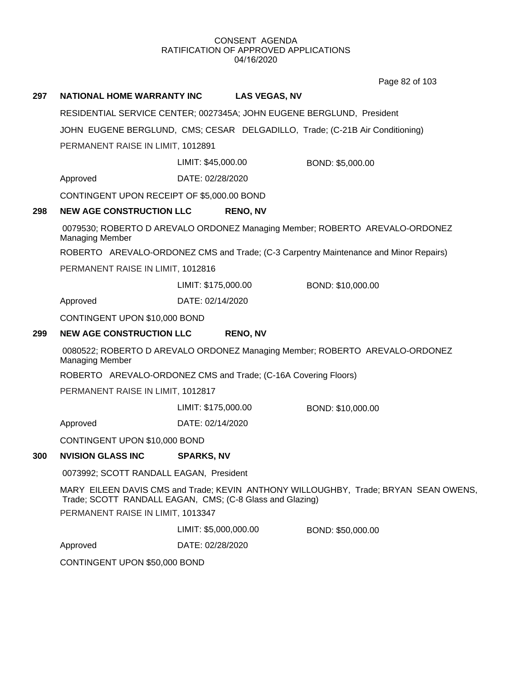Page 82 of 103

# **297 NATIONAL HOME WARRANTY INC LAS VEGAS, NV** RESIDENTIAL SERVICE CENTER; 0027345A; JOHN EUGENE BERGLUND, President JOHN EUGENE BERGLUND, CMS; CESAR DELGADILLO, Trade; (C-21B Air Conditioning) PERMANENT RAISE IN LIMIT, 1012891 Approved DATE: 02/28/2020 LIMIT: \$45,000.00 BOND: \$5,000.00 CONTINGENT UPON RECEIPT OF \$5,000.00 BOND **298 NEW AGE CONSTRUCTION LLC RENO, NV** 0079530; ROBERTO D AREVALO ORDONEZ Managing Member; ROBERTO AREVALO-ORDONEZ Managing Member ROBERTO AREVALO-ORDONEZ CMS and Trade; (C-3 Carpentry Maintenance and Minor Repairs) PERMANENT RAISE IN LIMIT, 1012816 Approved DATE: 02/14/2020 LIMIT: \$175,000.00 BOND: \$10,000.00 CONTINGENT UPON \$10,000 BOND **299 NEW AGE CONSTRUCTION LLC RENO, NV** 0080522; ROBERTO D AREVALO ORDONEZ Managing Member; ROBERTO AREVALO-ORDONEZ Managing Member ROBERTO AREVALO-ORDONEZ CMS and Trade; (C-16A Covering Floors) PERMANENT RAISE IN LIMIT, 1012817 Approved DATE: 02/14/2020 LIMIT: \$175,000.00 BOND: \$10,000.00 CONTINGENT UPON \$10,000 BOND **300 NVISION GLASS INC SPARKS, NV** 0073992; SCOTT RANDALL EAGAN, President MARY EILEEN DAVIS CMS and Trade; KEVIN ANTHONY WILLOUGHBY, Trade; BRYAN SEAN OWENS, Trade; SCOTT RANDALL EAGAN, CMS; (C-8 Glass and Glazing) PERMANENT RAISE IN LIMIT, 1013347 Approved DATE: 02/28/2020 LIMIT: \$5,000,000.00 BOND: \$50,000.00 CONTINGENT UPON \$50,000 BOND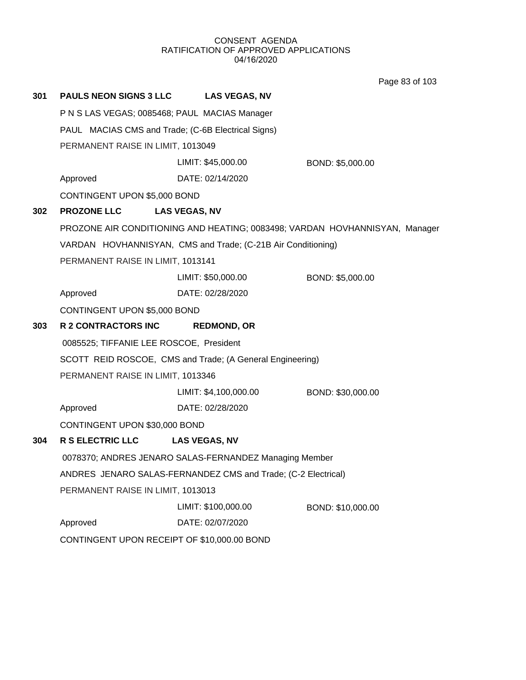Page 83 of 103

| 301 | <b>PAULS NEON SIGNS 3 LLC</b>                      | <b>LAS VEGAS, NV</b>                                          |                                                                             |  |
|-----|----------------------------------------------------|---------------------------------------------------------------|-----------------------------------------------------------------------------|--|
|     | P N S LAS VEGAS; 0085468; PAUL MACIAS Manager      |                                                               |                                                                             |  |
|     | PAUL MACIAS CMS and Trade; (C-6B Electrical Signs) |                                                               |                                                                             |  |
|     | PERMANENT RAISE IN LIMIT, 1013049                  |                                                               |                                                                             |  |
|     |                                                    | LIMIT: \$45,000.00                                            | BOND: \$5,000.00                                                            |  |
|     | Approved                                           | DATE: 02/14/2020                                              |                                                                             |  |
|     | CONTINGENT UPON \$5,000 BOND                       |                                                               |                                                                             |  |
| 302 | <b>PROZONE LLC</b>                                 | <b>LAS VEGAS, NV</b>                                          |                                                                             |  |
|     |                                                    |                                                               | PROZONE AIR CONDITIONING AND HEATING; 0083498; VARDAN HOVHANNISYAN, Manager |  |
|     |                                                    | VARDAN HOVHANNISYAN, CMS and Trade; (C-21B Air Conditioning)  |                                                                             |  |
|     | PERMANENT RAISE IN LIMIT, 1013141                  |                                                               |                                                                             |  |
|     |                                                    | LIMIT: \$50,000.00                                            | BOND: \$5,000.00                                                            |  |
|     | Approved                                           | DATE: 02/28/2020                                              |                                                                             |  |
|     | CONTINGENT UPON \$5,000 BOND                       |                                                               |                                                                             |  |
|     |                                                    |                                                               |                                                                             |  |
| 303 | R 2 CONTRACTORS INC                                | <b>REDMOND, OR</b>                                            |                                                                             |  |
|     | 0085525; TIFFANIE LEE ROSCOE, President            |                                                               |                                                                             |  |
|     |                                                    | SCOTT REID ROSCOE, CMS and Trade; (A General Engineering)     |                                                                             |  |
|     | PERMANENT RAISE IN LIMIT, 1013346                  |                                                               |                                                                             |  |
|     |                                                    | LIMIT: \$4,100,000.00                                         | BOND: \$30,000.00                                                           |  |
|     | Approved                                           | DATE: 02/28/2020                                              |                                                                             |  |
|     | CONTINGENT UPON \$30,000 BOND                      |                                                               |                                                                             |  |
| 304 | <b>R S ELECTRIC LLC</b>                            | <b>LAS VEGAS, NV</b>                                          |                                                                             |  |
|     |                                                    | 0078370; ANDRES JENARO SALAS-FERNANDEZ Managing Member        |                                                                             |  |
|     |                                                    | ANDRES JENARO SALAS-FERNANDEZ CMS and Trade; (C-2 Electrical) |                                                                             |  |
|     | PERMANENT RAISE IN LIMIT, 1013013                  |                                                               |                                                                             |  |
|     |                                                    | LIMIT: \$100,000.00                                           | BOND: \$10,000.00                                                           |  |
|     | Approved                                           | DATE: 02/07/2020                                              |                                                                             |  |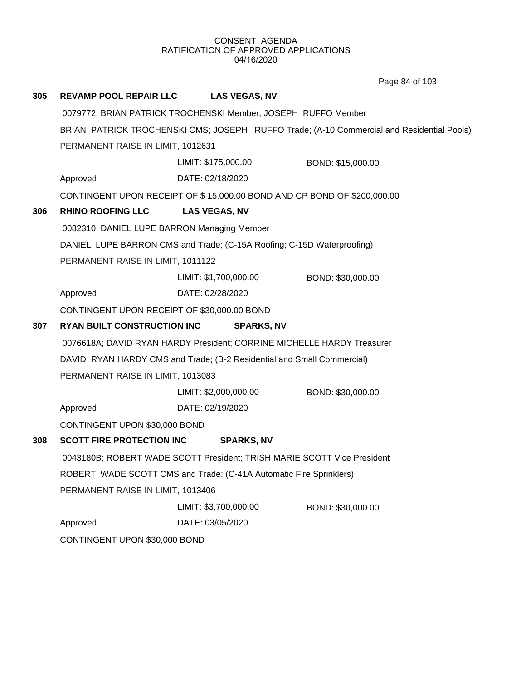Page 84 of 103

| 305 | <b>REVAMP POOL REPAIR LLC</b>                                 | <b>LAS VEGAS, NV</b>                                                                      |                   |  |  |
|-----|---------------------------------------------------------------|-------------------------------------------------------------------------------------------|-------------------|--|--|
|     | 0079772; BRIAN PATRICK TROCHENSKI Member; JOSEPH RUFFO Member |                                                                                           |                   |  |  |
|     |                                                               | BRIAN PATRICK TROCHENSKI CMS; JOSEPH RUFFO Trade; (A-10 Commercial and Residential Pools) |                   |  |  |
|     | PERMANENT RAISE IN LIMIT, 1012631                             |                                                                                           |                   |  |  |
|     |                                                               | LIMIT: \$175,000.00                                                                       | BOND: \$15,000.00 |  |  |
|     | Approved                                                      | DATE: 02/18/2020                                                                          |                   |  |  |
|     |                                                               | CONTINGENT UPON RECEIPT OF \$15,000.00 BOND AND CP BOND OF \$200,000.00                   |                   |  |  |
| 306 | <b>RHINO ROOFING LLC</b>                                      | <b>LAS VEGAS, NV</b>                                                                      |                   |  |  |
|     | 0082310; DANIEL LUPE BARRON Managing Member                   |                                                                                           |                   |  |  |
|     |                                                               | DANIEL LUPE BARRON CMS and Trade; (C-15A Roofing; C-15D Waterproofing)                    |                   |  |  |
|     | PERMANENT RAISE IN LIMIT, 1011122                             |                                                                                           |                   |  |  |
|     |                                                               | LIMIT: \$1,700,000.00                                                                     | BOND: \$30,000.00 |  |  |
|     | Approved                                                      | DATE: 02/28/2020                                                                          |                   |  |  |
|     | CONTINGENT UPON RECEIPT OF \$30,000.00 BOND                   |                                                                                           |                   |  |  |
| 307 | <b>RYAN BUILT CONSTRUCTION INC</b>                            | <b>SPARKS, NV</b>                                                                         |                   |  |  |
|     |                                                               | 0076618A; DAVID RYAN HARDY President; CORRINE MICHELLE HARDY Treasurer                    |                   |  |  |
|     |                                                               | DAVID RYAN HARDY CMS and Trade; (B-2 Residential and Small Commercial)                    |                   |  |  |
|     | PERMANENT RAISE IN LIMIT, 1013083                             |                                                                                           |                   |  |  |
|     |                                                               | LIMIT: \$2,000,000.00                                                                     | BOND: \$30,000.00 |  |  |
|     | Approved                                                      | DATE: 02/19/2020                                                                          |                   |  |  |
|     | CONTINGENT UPON \$30,000 BOND                                 |                                                                                           |                   |  |  |
| 308 | <b>SCOTT FIRE PROTECTION INC</b>                              | <b>SPARKS, NV</b>                                                                         |                   |  |  |
|     |                                                               | 0043180B; ROBERT WADE SCOTT President; TRISH MARIE SCOTT Vice President                   |                   |  |  |
|     |                                                               | ROBERT WADE SCOTT CMS and Trade; (C-41A Automatic Fire Sprinklers)                        |                   |  |  |
|     | PERMANENT RAISE IN LIMIT, 1013406                             |                                                                                           |                   |  |  |
|     |                                                               | LIMIT: \$3,700,000.00                                                                     | BOND: \$30,000.00 |  |  |
|     | Approved                                                      | DATE: 03/05/2020                                                                          |                   |  |  |
|     | CONTINGENT UPON \$30,000 BOND                                 |                                                                                           |                   |  |  |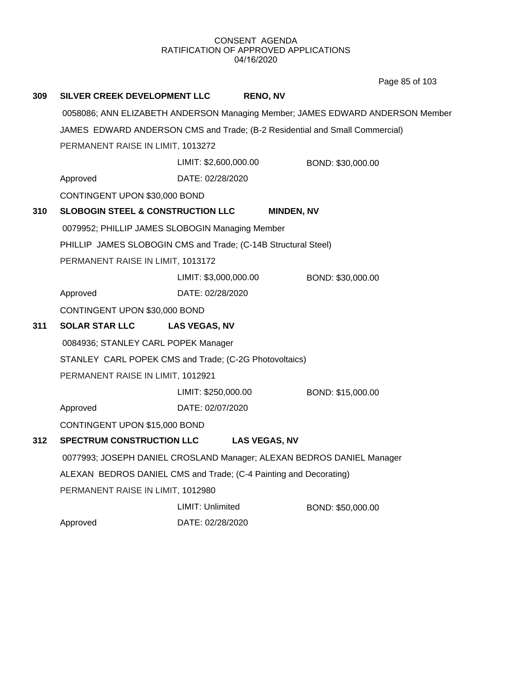Page 85 of 103

| 309 | SILVER CREEK DEVELOPMENT LLC                                                  |                       | <b>RENO, NV</b>      |                   |
|-----|-------------------------------------------------------------------------------|-----------------------|----------------------|-------------------|
|     | 0058086; ANN ELIZABETH ANDERSON Managing Member; JAMES EDWARD ANDERSON Member |                       |                      |                   |
|     | JAMES EDWARD ANDERSON CMS and Trade; (B-2 Residential and Small Commercial)   |                       |                      |                   |
|     | PERMANENT RAISE IN LIMIT, 1013272                                             |                       |                      |                   |
|     |                                                                               | LIMIT: \$2,600,000.00 |                      | BOND: \$30,000.00 |
|     | Approved                                                                      | DATE: 02/28/2020      |                      |                   |
|     | CONTINGENT UPON \$30,000 BOND                                                 |                       |                      |                   |
| 310 | <b>SLOBOGIN STEEL &amp; CONSTRUCTION LLC</b>                                  |                       | <b>MINDEN, NV</b>    |                   |
|     | 0079952; PHILLIP JAMES SLOBOGIN Managing Member                               |                       |                      |                   |
|     | PHILLIP JAMES SLOBOGIN CMS and Trade; (C-14B Structural Steel)                |                       |                      |                   |
|     | PERMANENT RAISE IN LIMIT, 1013172                                             |                       |                      |                   |
|     |                                                                               | LIMIT: \$3,000,000.00 |                      | BOND: \$30,000.00 |
|     | Approved                                                                      | DATE: 02/28/2020      |                      |                   |
|     | CONTINGENT UPON \$30,000 BOND                                                 |                       |                      |                   |
| 311 | <b>SOLAR STAR LLC</b>                                                         | <b>LAS VEGAS, NV</b>  |                      |                   |
|     | 0084936; STANLEY CARL POPEK Manager                                           |                       |                      |                   |
|     | STANLEY CARL POPEK CMS and Trade; (C-2G Photovoltaics)                        |                       |                      |                   |
|     | PERMANENT RAISE IN LIMIT, 1012921                                             |                       |                      |                   |
|     |                                                                               | LIMIT: \$250,000.00   |                      | BOND: \$15,000.00 |
|     | Approved                                                                      | DATE: 02/07/2020      |                      |                   |
|     | CONTINGENT UPON \$15,000 BOND                                                 |                       |                      |                   |
| 312 | <b>SPECTRUM CONSTRUCTION LLC</b>                                              |                       | <b>LAS VEGAS, NV</b> |                   |
|     | 0077993; JOSEPH DANIEL CROSLAND Manager; ALEXAN BEDROS DANIEL Manager         |                       |                      |                   |
|     | ALEXAN BEDROS DANIEL CMS and Trade; (C-4 Painting and Decorating)             |                       |                      |                   |
|     | PERMANENT RAISE IN LIMIT, 1012980                                             |                       |                      |                   |
|     |                                                                               | LIMIT: Unlimited      |                      | BOND: \$50,000.00 |
|     | Approved                                                                      | DATE: 02/28/2020      |                      |                   |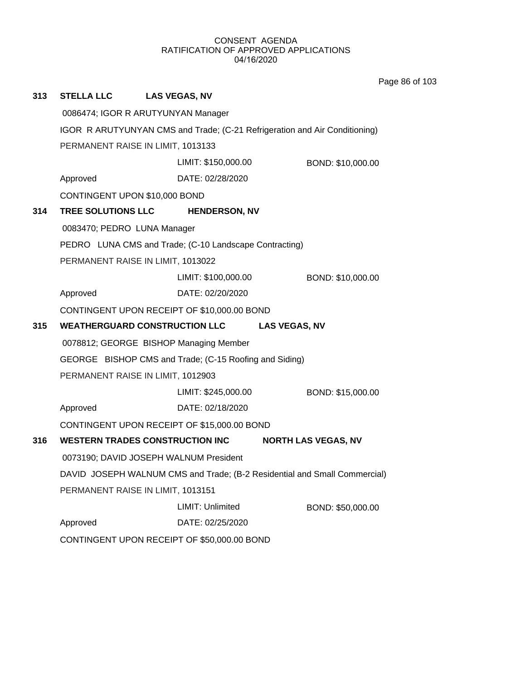Page 86 of 103

| 313 | STELLA LLC LAS VEGAS, NV                                                   |                                                        |                            |  |  |  |
|-----|----------------------------------------------------------------------------|--------------------------------------------------------|----------------------------|--|--|--|
|     | 0086474; IGOR R ARUTYUNYAN Manager                                         |                                                        |                            |  |  |  |
|     | IGOR R ARUTYUNYAN CMS and Trade; (C-21 Refrigeration and Air Conditioning) |                                                        |                            |  |  |  |
|     | PERMANENT RAISE IN LIMIT, 1013133                                          |                                                        |                            |  |  |  |
|     |                                                                            | LIMIT: \$150,000.00                                    | BOND: \$10,000.00          |  |  |  |
|     | Approved                                                                   | DATE: 02/28/2020                                       |                            |  |  |  |
|     | CONTINGENT UPON \$10,000 BOND                                              |                                                        |                            |  |  |  |
| 314 | <b>TREE SOLUTIONS LLC</b>                                                  | <b>HENDERSON, NV</b>                                   |                            |  |  |  |
|     | 0083470; PEDRO LUNA Manager                                                |                                                        |                            |  |  |  |
|     |                                                                            | PEDRO LUNA CMS and Trade; (C-10 Landscape Contracting) |                            |  |  |  |
|     | PERMANENT RAISE IN LIMIT, 1013022                                          |                                                        |                            |  |  |  |
|     |                                                                            | LIMIT: \$100,000.00                                    | BOND: \$10,000.00          |  |  |  |
|     | Approved                                                                   | DATE: 02/20/2020                                       |                            |  |  |  |
|     |                                                                            | CONTINGENT UPON RECEIPT OF \$10,000.00 BOND            |                            |  |  |  |
| 315 |                                                                            | <b>WEATHERGUARD CONSTRUCTION LLC</b>                   | <b>LAS VEGAS, NV</b>       |  |  |  |
|     |                                                                            | 0078812; GEORGE BISHOP Managing Member                 |                            |  |  |  |
|     |                                                                            | GEORGE BISHOP CMS and Trade; (C-15 Roofing and Siding) |                            |  |  |  |
|     | PERMANENT RAISE IN LIMIT, 1012903                                          |                                                        |                            |  |  |  |
|     |                                                                            | LIMIT: \$245,000.00                                    | BOND: \$15,000.00          |  |  |  |
|     | Approved                                                                   | DATE: 02/18/2020                                       |                            |  |  |  |
|     |                                                                            | CONTINGENT UPON RECEIPT OF \$15,000.00 BOND            |                            |  |  |  |
| 316 |                                                                            | <b>WESTERN TRADES CONSTRUCTION INC</b>                 | <b>NORTH LAS VEGAS, NV</b> |  |  |  |
|     | 0073190; DAVID JOSEPH WALNUM President                                     |                                                        |                            |  |  |  |
|     | DAVID JOSEPH WALNUM CMS and Trade; (B-2 Residential and Small Commercial)  |                                                        |                            |  |  |  |
|     | PERMANENT RAISE IN LIMIT, 1013151                                          |                                                        |                            |  |  |  |
|     |                                                                            | LIMIT: Unlimited                                       | BOND: \$50,000.00          |  |  |  |
|     | Approved                                                                   | DATE: 02/25/2020                                       |                            |  |  |  |
|     | CONTINGENT UPON RECEIPT OF \$50,000.00 BOND                                |                                                        |                            |  |  |  |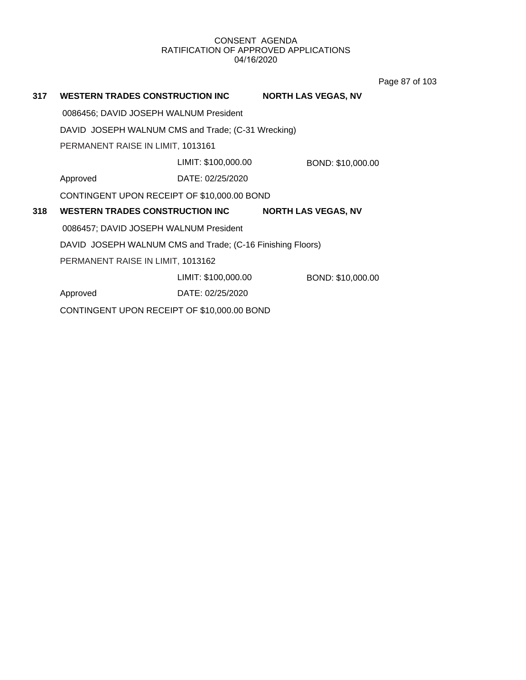Page 87 of 103

| 317 | <b>WESTERN TRADES CONSTRUCTION INC</b>                     |                     | <b>NORTH LAS VEGAS, NV</b> |
|-----|------------------------------------------------------------|---------------------|----------------------------|
|     | 0086456; DAVID JOSEPH WALNUM President                     |                     |                            |
|     | DAVID JOSEPH WALNUM CMS and Trade; (C-31 Wrecking)         |                     |                            |
|     | PERMANENT RAISE IN LIMIT, 1013161                          |                     |                            |
|     |                                                            | LIMIT: \$100,000.00 | BOND: \$10,000.00          |
|     | Approved                                                   | DATE: 02/25/2020    |                            |
|     | CONTINGENT UPON RECEIPT OF \$10,000.00 BOND                |                     |                            |
| 318 | <b>WESTERN TRADES CONSTRUCTION INC.</b>                    |                     | <b>NORTH LAS VEGAS, NV</b> |
|     | 0086457; DAVID JOSEPH WALNUM President                     |                     |                            |
|     | DAVID JOSEPH WALNUM CMS and Trade; (C-16 Finishing Floors) |                     |                            |
|     | PERMANENT RAISE IN LIMIT, 1013162                          |                     |                            |
|     |                                                            | LIMIT: \$100,000.00 | BOND: \$10,000.00          |
|     | Approved                                                   | DATE: 02/25/2020    |                            |
|     | CONTINGENT UPON RECEIPT OF \$10,000.00 BOND                |                     |                            |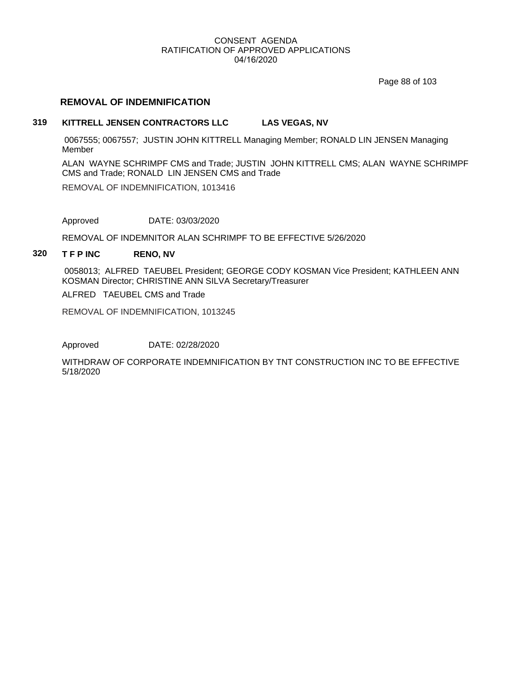Page 88 of 103

## **REMOVAL OF INDEMNIFICATION**

## **319 KITTRELL JENSEN CONTRACTORS LLC LAS VEGAS, NV**

 0067555; 0067557; JUSTIN JOHN KITTRELL Managing Member; RONALD LIN JENSEN Managing Member

ALAN WAYNE SCHRIMPF CMS and Trade; JUSTIN JOHN KITTRELL CMS; ALAN WAYNE SCHRIMPF CMS and Trade; RONALD LIN JENSEN CMS and Trade

REMOVAL OF INDEMNIFICATION, 1013416

Approved DATE: 03/03/2020

REMOVAL OF INDEMNITOR ALAN SCHRIMPF TO BE EFFECTIVE 5/26/2020

## **320 T F P INC RENO, NV**

 0058013; ALFRED TAEUBEL President; GEORGE CODY KOSMAN Vice President; KATHLEEN ANN KOSMAN Director; CHRISTINE ANN SILVA Secretary/Treasurer

ALFRED TAEUBEL CMS and Trade

REMOVAL OF INDEMNIFICATION, 1013245

Approved DATE: 02/28/2020

WITHDRAW OF CORPORATE INDEMNIFICATION BY TNT CONSTRUCTION INC TO BE EFFECTIVE 5/18/2020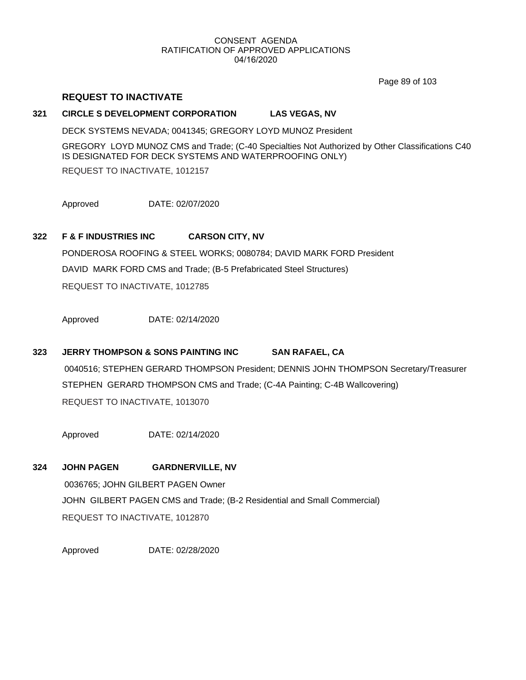Page 89 of 103

## **REQUEST TO INACTIVATE**

## **321 CIRCLE S DEVELOPMENT CORPORATION LAS VEGAS, NV**

DECK SYSTEMS NEVADA; 0041345; GREGORY LOYD MUNOZ President

GREGORY LOYD MUNOZ CMS and Trade; (C-40 Specialties Not Authorized by Other Classifications C40 IS DESIGNATED FOR DECK SYSTEMS AND WATERPROOFING ONLY)

REQUEST TO INACTIVATE, 1012157

Approved DATE: 02/07/2020

## **322 F & F INDUSTRIES INC CARSON CITY, NV**

PONDEROSA ROOFING & STEEL WORKS; 0080784; DAVID MARK FORD President DAVID MARK FORD CMS and Trade; (B-5 Prefabricated Steel Structures) REQUEST TO INACTIVATE, 1012785

Approved DATE: 02/14/2020

## **323 JERRY THOMPSON & SONS PAINTING INC SAN RAFAEL, CA**

 0040516; STEPHEN GERARD THOMPSON President; DENNIS JOHN THOMPSON Secretary/Treasurer STEPHEN GERARD THOMPSON CMS and Trade; (C-4A Painting; C-4B Wallcovering) REQUEST TO INACTIVATE, 1013070

Approved DATE: 02/14/2020

# **324 JOHN PAGEN GARDNERVILLE, NV** 0036765; JOHN GILBERT PAGEN Owner JOHN GILBERT PAGEN CMS and Trade; (B-2 Residential and Small Commercial) REQUEST TO INACTIVATE, 1012870

Approved DATE: 02/28/2020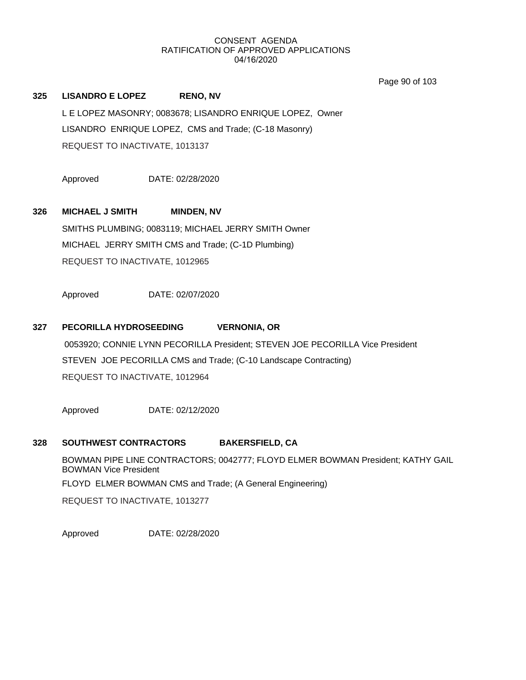Page 90 of 103

**325 LISANDRO E LOPEZ RENO, NV** L E LOPEZ MASONRY; 0083678; LISANDRO ENRIQUE LOPEZ, Owner LISANDRO ENRIQUE LOPEZ, CMS and Trade; (C-18 Masonry) REQUEST TO INACTIVATE, 1013137

Approved DATE: 02/28/2020

## **326 MICHAEL J SMITH MINDEN, NV**

SMITHS PLUMBING; 0083119; MICHAEL JERRY SMITH Owner MICHAEL JERRY SMITH CMS and Trade; (C-1D Plumbing) REQUEST TO INACTIVATE, 1012965

Approved DATE: 02/07/2020

## **327 PECORILLA HYDROSEEDING VERNONIA, OR**

 0053920; CONNIE LYNN PECORILLA President; STEVEN JOE PECORILLA Vice President STEVEN JOE PECORILLA CMS and Trade; (C-10 Landscape Contracting) REQUEST TO INACTIVATE, 1012964

Approved DATE: 02/12/2020

## **328 SOUTHWEST CONTRACTORS BAKERSFIELD, CA**

BOWMAN PIPE LINE CONTRACTORS; 0042777; FLOYD ELMER BOWMAN President; KATHY GAIL BOWMAN Vice President FLOYD ELMER BOWMAN CMS and Trade; (A General Engineering) REQUEST TO INACTIVATE, 1013277

Approved DATE: 02/28/2020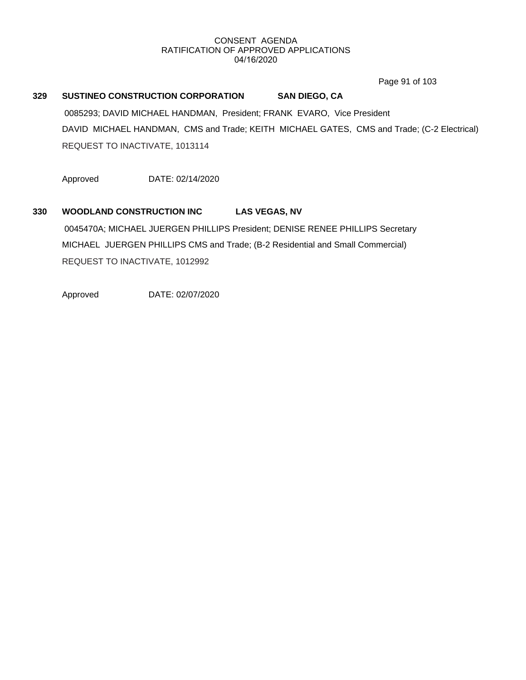Page 91 of 103

## **329 SUSTINEO CONSTRUCTION CORPORATION SAN DIEGO, CA**

 0085293; DAVID MICHAEL HANDMAN, President; FRANK EVARO, Vice President DAVID MICHAEL HANDMAN, CMS and Trade; KEITH MICHAEL GATES, CMS and Trade; (C-2 Electrical) REQUEST TO INACTIVATE, 1013114

Approved DATE: 02/14/2020

# **330 WOODLAND CONSTRUCTION INC LAS VEGAS, NV** 0045470A; MICHAEL JUERGEN PHILLIPS President; DENISE RENEE PHILLIPS Secretary MICHAEL JUERGEN PHILLIPS CMS and Trade; (B-2 Residential and Small Commercial) REQUEST TO INACTIVATE, 1012992

Approved DATE: 02/07/2020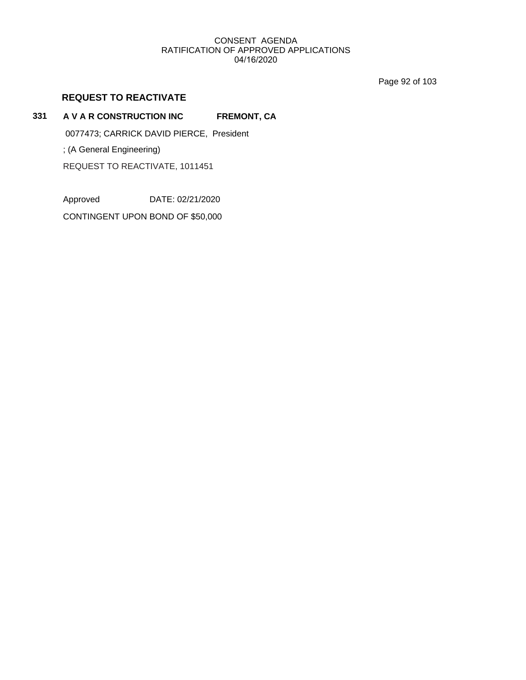Page 92 of 103

## **REQUEST TO REACTIVATE**

## **331 A V A R CONSTRUCTION INC FREMONT, CA**

0077473; CARRICK DAVID PIERCE, President

; (A General Engineering)

REQUEST TO REACTIVATE, 1011451

Approved DATE: 02/21/2020

CONTINGENT UPON BOND OF \$50,000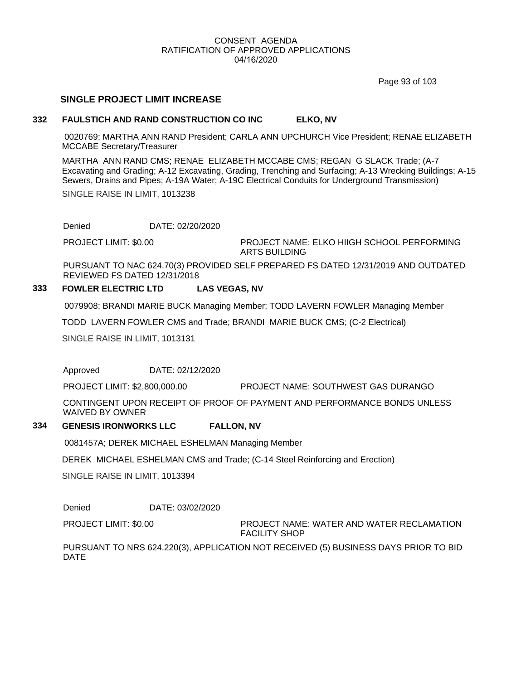Page 93 of 103

## **SINGLE PROJECT LIMIT INCREASE**

## **332 FAULSTICH AND RAND CONSTRUCTION CO INC ELKO, NV**

 0020769; MARTHA ANN RAND President; CARLA ANN UPCHURCH Vice President; RENAE ELIZABETH MCCABE Secretary/Treasurer

MARTHA ANN RAND CMS; RENAE ELIZABETH MCCABE CMS; REGAN G SLACK Trade; (A-7 Excavating and Grading; A-12 Excavating, Grading, Trenching and Surfacing; A-13 Wrecking Buildings; A-15 Sewers, Drains and Pipes; A-19A Water; A-19C Electrical Conduits for Underground Transmission)

SINGLE RAISE IN LIMIT, 1013238

Denied DATE: 02/20/2020

PROJECT LIMIT: \$0.00

PROJECT NAME: ELKO HIIGH SCHOOL PERFORMING ARTS BUILDING

PURSUANT TO NAC 624.70(3) PROVIDED SELF PREPARED FS DATED 12/31/2019 AND OUTDATED REVIEWED FS DATED 12/31/2018

## **333 FOWLER ELECTRIC LTD LAS VEGAS, NV**

0079908; BRANDI MARIE BUCK Managing Member; TODD LAVERN FOWLER Managing Member

TODD LAVERN FOWLER CMS and Trade; BRANDI MARIE BUCK CMS; (C-2 Electrical)

SINGLE RAISE IN LIMIT, 1013131

Approved DATE: 02/12/2020

PROJECT LIMIT: \$2,800,000.00 PROJECT NAME: SOUTHWEST GAS DURANGO

CONTINGENT UPON RECEIPT OF PROOF OF PAYMENT AND PERFORMANCE BONDS UNLESS WAIVED BY OWNER

## **334 GENESIS IRONWORKS LLC FALLON, NV**

0081457A; DEREK MICHAEL ESHELMAN Managing Member

DEREK MICHAEL ESHELMAN CMS and Trade; (C-14 Steel Reinforcing and Erection)

SINGLE RAISE IN LIMIT, 1013394

Denied DATE: 03/02/2020

PROJECT LIMIT: \$0.00

PROJECT NAME: WATER AND WATER RECLAMATION FACILITY SHOP

PURSUANT TO NRS 624.220(3), APPLICATION NOT RECEIVED (5) BUSINESS DAYS PRIOR TO BID DATE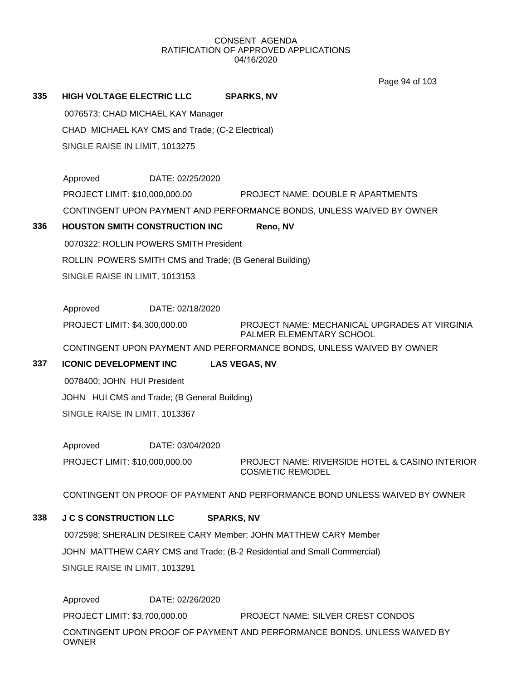Page 94 of 103

## **335 HIGH VOLTAGE ELECTRIC LLC SPARKS, NV**

 0076573; CHAD MICHAEL KAY Manager CHAD MICHAEL KAY CMS and Trade; (C-2 Electrical) SINGLE RAISE IN LIMIT, 1013275

| Approved                       | DATE: 02/25/2020 |                                                                       |
|--------------------------------|------------------|-----------------------------------------------------------------------|
| PROJECT LIMIT: \$10,000,000.00 |                  | <b>PROJECT NAME: DOUBLE R APARTMENTS</b>                              |
|                                |                  | CONTINGENT UPON PAYMENT AND PERFORMANCE BONDS. UNLESS WAIVED BY OWNER |

## **336 HOUSTON SMITH CONSTRUCTION INC Reno, NV**

 0070322; ROLLIN POWERS SMITH President ROLLIN POWERS SMITH CMS and Trade; (B General Building) SINGLE RAISE IN LIMIT, 1013153

Approved DATE: 02/18/2020

PROJECT LIMIT: \$4,300,000.00

PROJECT NAME: MECHANICAL UPGRADES AT VIRGINIA PALMER ELEMENTARY SCHOOL

CONTINGENT UPON PAYMENT AND PERFORMANCE BONDS, UNLESS WAIVED BY OWNER

**337 ICONIC DEVELOPMENT INC LAS VEGAS, NV**

 0078400; JOHN HUI President JOHN HUI CMS and Trade; (B General Building) SINGLE RAISE IN LIMIT, 1013367

Approved DATE: 03/04/2020 PROJECT LIMIT: \$10,000,000.00

PROJECT NAME: RIVERSIDE HOTEL & CASINO INTERIOR COSMETIC REMODEL

CONTINGENT ON PROOF OF PAYMENT AND PERFORMANCE BOND UNLESS WAIVED BY OWNER

## **338 J C S CONSTRUCTION LLC SPARKS, NV**

 0072598; SHERALIN DESIREE CARY Member; JOHN MATTHEW CARY Member JOHN MATTHEW CARY CMS and Trade; (B-2 Residential and Small Commercial) SINGLE RAISE IN LIMIT, 1013291

Approved DATE: 02/26/2020 PROJECT LIMIT: \$3,700,000.00 PROJECT NAME: SILVER CREST CONDOS CONTINGENT UPON PROOF OF PAYMENT AND PERFORMANCE BONDS, UNLESS WAIVED BY OWNER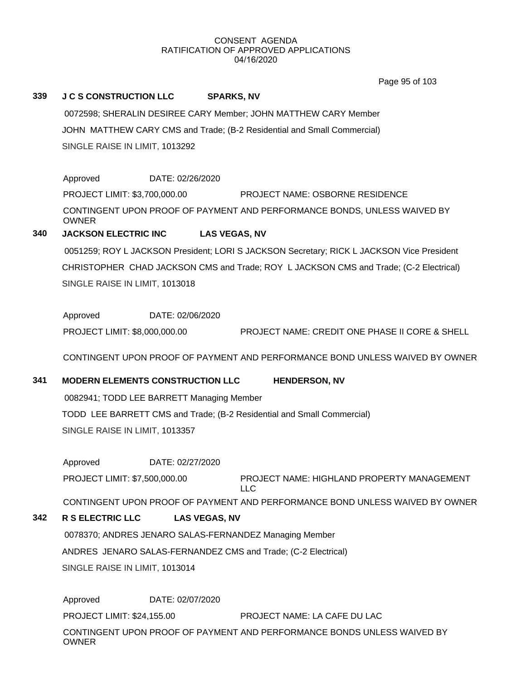Page 95 of 103

## **339 J C S CONSTRUCTION LLC SPARKS, NV**

 0072598; SHERALIN DESIREE CARY Member; JOHN MATTHEW CARY Member JOHN MATTHEW CARY CMS and Trade; (B-2 Residential and Small Commercial) SINGLE RAISE IN LIMIT, 1013292

Approved DATE: 02/26/2020 PROJECT LIMIT: \$3,700,000.00 PROJECT NAME: OSBORNE RESIDENCE CONTINGENT UPON PROOF OF PAYMENT AND PERFORMANCE BONDS, UNLESS WAIVED BY OWNER

## **340 JACKSON ELECTRIC INC LAS VEGAS, NV**

 0051259; ROY L JACKSON President; LORI S JACKSON Secretary; RICK L JACKSON Vice President CHRISTOPHER CHAD JACKSON CMS and Trade; ROY L JACKSON CMS and Trade; (C-2 Electrical) SINGLE RAISE IN LIMIT, 1013018

Approved DATE: 02/06/2020 PROJECT LIMIT: \$8,000,000.00 PROJECT NAME: CREDIT ONE PHASE II CORE & SHELL

CONTINGENT UPON PROOF OF PAYMENT AND PERFORMANCE BOND UNLESS WAIVED BY OWNER

## **341 MODERN ELEMENTS CONSTRUCTION LLC HENDERSON, NV**

 0082941; TODD LEE BARRETT Managing Member TODD LEE BARRETT CMS and Trade; (B-2 Residential and Small Commercial)

SINGLE RAISE IN LIMIT, 1013357

Approved DATE: 02/27/2020

PROJECT NAME: HIGHLAND PROPERTY MANAGEMENT LLC PROJECT LIMIT: \$7,500,000.00

CONTINGENT UPON PROOF OF PAYMENT AND PERFORMANCE BOND UNLESS WAIVED BY OWNER

## **342 R S ELECTRIC LLC LAS VEGAS, NV**

 0078370; ANDRES JENARO SALAS-FERNANDEZ Managing Member ANDRES JENARO SALAS-FERNANDEZ CMS and Trade; (C-2 Electrical) SINGLE RAISE IN LIMIT, 1013014

Approved DATE: 02/07/2020 PROJECT LIMIT: \$24,155.00 PROJECT NAME: LA CAFE DU LAC CONTINGENT UPON PROOF OF PAYMENT AND PERFORMANCE BONDS UNLESS WAIVED BY

OWNER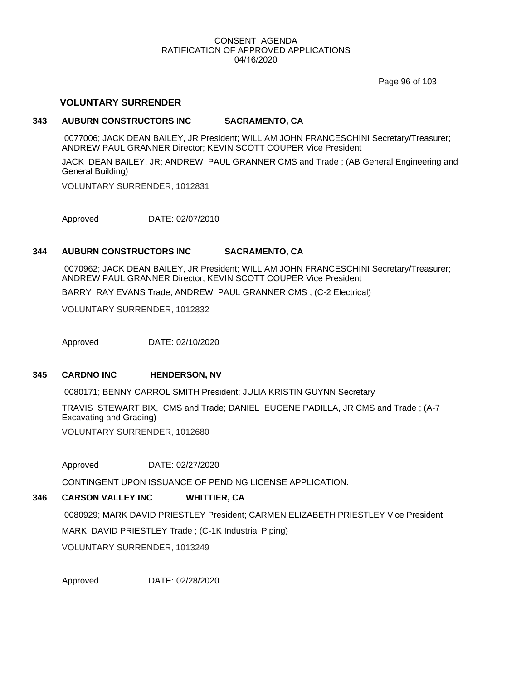Page 96 of 103

## **VOLUNTARY SURRENDER**

## **343 AUBURN CONSTRUCTORS INC SACRAMENTO, CA**

 0077006; JACK DEAN BAILEY, JR President; WILLIAM JOHN FRANCESCHINI Secretary/Treasurer; ANDREW PAUL GRANNER Director; KEVIN SCOTT COUPER Vice President

JACK DEAN BAILEY, JR; ANDREW PAUL GRANNER CMS and Trade ; (AB General Engineering and General Building)

VOLUNTARY SURRENDER, 1012831

Approved DATE: 02/07/2010

## **344 AUBURN CONSTRUCTORS INC SACRAMENTO, CA**

 0070962; JACK DEAN BAILEY, JR President; WILLIAM JOHN FRANCESCHINI Secretary/Treasurer; ANDREW PAUL GRANNER Director; KEVIN SCOTT COUPER Vice President

BARRY RAY EVANS Trade; ANDREW PAUL GRANNER CMS ; (C-2 Electrical)

VOLUNTARY SURRENDER, 1012832

Approved DATE: 02/10/2020

## **345 CARDNO INC HENDERSON, NV**

0080171; BENNY CARROL SMITH President; JULIA KRISTIN GUYNN Secretary

TRAVIS STEWART BIX, CMS and Trade; DANIEL EUGENE PADILLA, JR CMS and Trade ; (A-7 Excavating and Grading)

VOLUNTARY SURRENDER, 1012680

Approved DATE: 02/27/2020

CONTINGENT UPON ISSUANCE OF PENDING LICENSE APPLICATION.

## **346 CARSON VALLEY INC WHITTIER, CA**

 0080929; MARK DAVID PRIESTLEY President; CARMEN ELIZABETH PRIESTLEY Vice President MARK DAVID PRIESTLEY Trade ; (C-1K Industrial Piping) VOLUNTARY SURRENDER, 1013249

Approved DATE: 02/28/2020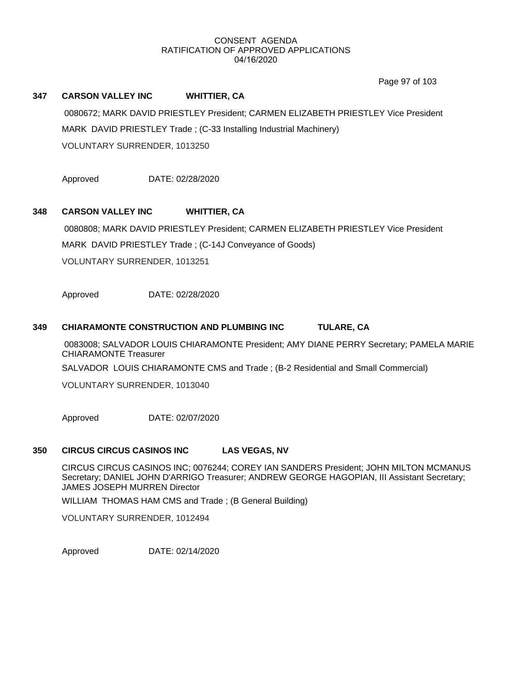Page 97 of 103

## **347 CARSON VALLEY INC WHITTIER, CA**

 0080672; MARK DAVID PRIESTLEY President; CARMEN ELIZABETH PRIESTLEY Vice President MARK DAVID PRIESTLEY Trade ; (C-33 Installing Industrial Machinery) VOLUNTARY SURRENDER, 1013250

Approved DATE: 02/28/2020

## **348 CARSON VALLEY INC WHITTIER, CA**

 0080808; MARK DAVID PRIESTLEY President; CARMEN ELIZABETH PRIESTLEY Vice President MARK DAVID PRIESTLEY Trade ; (C-14J Conveyance of Goods) VOLUNTARY SURRENDER, 1013251

Approved DATE: 02/28/2020

## **349 CHIARAMONTE CONSTRUCTION AND PLUMBING INC TULARE, CA**

 0083008; SALVADOR LOUIS CHIARAMONTE President; AMY DIANE PERRY Secretary; PAMELA MARIE CHIARAMONTE Treasurer

SALVADOR LOUIS CHIARAMONTE CMS and Trade ; (B-2 Residential and Small Commercial)

VOLUNTARY SURRENDER, 1013040

Approved DATE: 02/07/2020

## **350 CIRCUS CIRCUS CASINOS INC LAS VEGAS, NV**

CIRCUS CIRCUS CASINOS INC; 0076244; COREY IAN SANDERS President; JOHN MILTON MCMANUS Secretary; DANIEL JOHN D'ARRIGO Treasurer; ANDREW GEORGE HAGOPIAN, III Assistant Secretary; JAMES JOSEPH MURREN Director

WILLIAM THOMAS HAM CMS and Trade ; (B General Building)

VOLUNTARY SURRENDER, 1012494

Approved DATE: 02/14/2020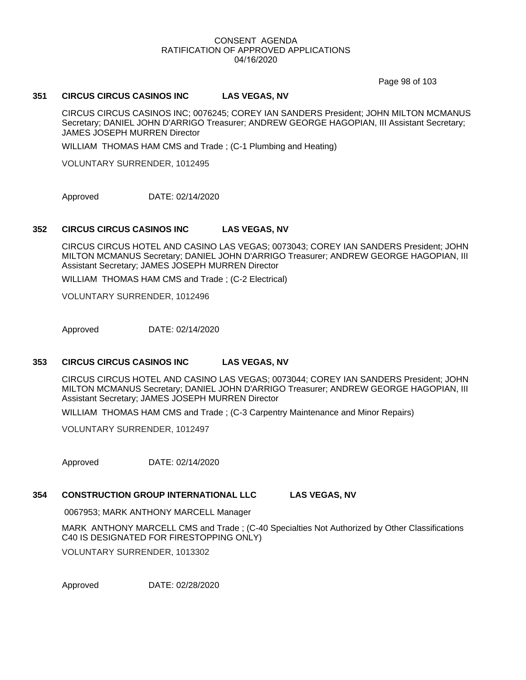Page 98 of 103

## **351 CIRCUS CIRCUS CASINOS INC LAS VEGAS, NV**

CIRCUS CIRCUS CASINOS INC; 0076245; COREY IAN SANDERS President; JOHN MILTON MCMANUS Secretary; DANIEL JOHN D'ARRIGO Treasurer; ANDREW GEORGE HAGOPIAN, III Assistant Secretary; JAMES JOSEPH MURREN Director

WILLIAM THOMAS HAM CMS and Trade ; (C-1 Plumbing and Heating)

VOLUNTARY SURRENDER, 1012495

Approved DATE: 02/14/2020

## **352 CIRCUS CIRCUS CASINOS INC LAS VEGAS, NV**

CIRCUS CIRCUS HOTEL AND CASINO LAS VEGAS; 0073043; COREY IAN SANDERS President; JOHN MILTON MCMANUS Secretary; DANIEL JOHN D'ARRIGO Treasurer; ANDREW GEORGE HAGOPIAN, III Assistant Secretary; JAMES JOSEPH MURREN Director

WILLIAM THOMAS HAM CMS and Trade ; (C-2 Electrical)

VOLUNTARY SURRENDER, 1012496

Approved DATE: 02/14/2020

## **353 CIRCUS CIRCUS CASINOS INC LAS VEGAS, NV**

CIRCUS CIRCUS HOTEL AND CASINO LAS VEGAS; 0073044; COREY IAN SANDERS President; JOHN MILTON MCMANUS Secretary; DANIEL JOHN D'ARRIGO Treasurer; ANDREW GEORGE HAGOPIAN, III Assistant Secretary; JAMES JOSEPH MURREN Director

WILLIAM THOMAS HAM CMS and Trade ; (C-3 Carpentry Maintenance and Minor Repairs)

VOLUNTARY SURRENDER, 1012497

Approved DATE: 02/14/2020

## **354 CONSTRUCTION GROUP INTERNATIONAL LLC LAS VEGAS, NV**

0067953; MARK ANTHONY MARCELL Manager

MARK ANTHONY MARCELL CMS and Trade ; (C-40 Specialties Not Authorized by Other Classifications C40 IS DESIGNATED FOR FIRESTOPPING ONLY)

VOLUNTARY SURRENDER, 1013302

Approved DATE: 02/28/2020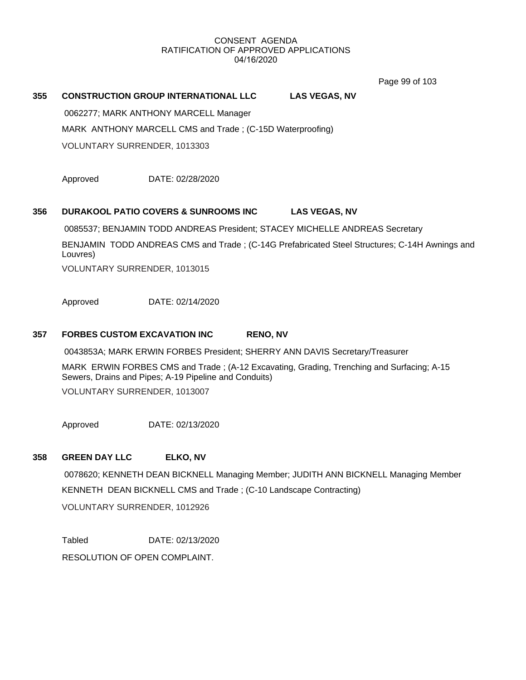Page 99 of 103

## **355 CONSTRUCTION GROUP INTERNATIONAL LLC LAS VEGAS, NV**

0062277; MARK ANTHONY MARCELL Manager

MARK ANTHONY MARCELL CMS and Trade ; (C-15D Waterproofing)

VOLUNTARY SURRENDER, 1013303

Approved DATE: 02/28/2020

## **356 DURAKOOL PATIO COVERS & SUNROOMS INC LAS VEGAS, NV**

0085537; BENJAMIN TODD ANDREAS President; STACEY MICHELLE ANDREAS Secretary

BENJAMIN TODD ANDREAS CMS and Trade ; (C-14G Prefabricated Steel Structures; C-14H Awnings and Louvres)

VOLUNTARY SURRENDER, 1013015

Approved DATE: 02/14/2020

## **357 FORBES CUSTOM EXCAVATION INC RENO, NV**

0043853A; MARK ERWIN FORBES President; SHERRY ANN DAVIS Secretary/Treasurer

MARK ERWIN FORBES CMS and Trade ; (A-12 Excavating, Grading, Trenching and Surfacing; A-15 Sewers, Drains and Pipes; A-19 Pipeline and Conduits)

VOLUNTARY SURRENDER, 1013007

Approved DATE: 02/13/2020

## **358 GREEN DAY LLC ELKO, NV**

 0078620; KENNETH DEAN BICKNELL Managing Member; JUDITH ANN BICKNELL Managing Member KENNETH DEAN BICKNELL CMS and Trade ; (C-10 Landscape Contracting) VOLUNTARY SURRENDER, 1012926

Tabled DATE: 02/13/2020 RESOLUTION OF OPEN COMPLAINT.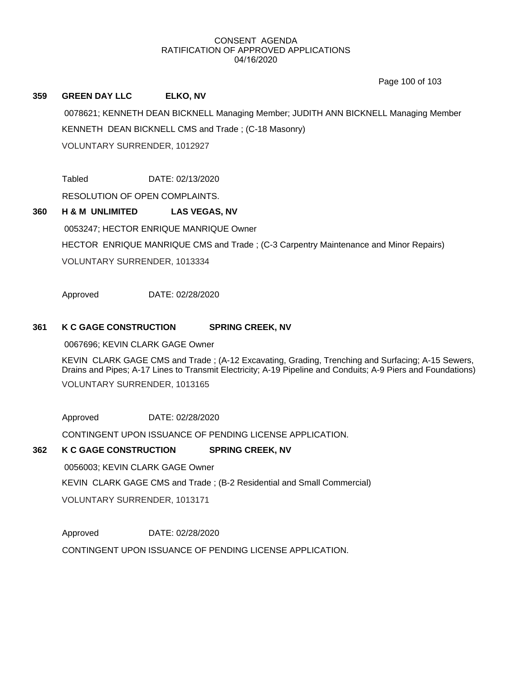Page 100 of 103

## **359 GREEN DAY LLC ELKO, NV**

 0078621; KENNETH DEAN BICKNELL Managing Member; JUDITH ANN BICKNELL Managing Member KENNETH DEAN BICKNELL CMS and Trade ; (C-18 Masonry) VOLUNTARY SURRENDER, 1012927

Tabled DATE: 02/13/2020

RESOLUTION OF OPEN COMPLAINTS.

# **360 H & M UNLIMITED LAS VEGAS, NV** 0053247; HECTOR ENRIQUE MANRIQUE Owner HECTOR ENRIQUE MANRIQUE CMS and Trade ; (C-3 Carpentry Maintenance and Minor Repairs) VOLUNTARY SURRENDER, 1013334

Approved DATE: 02/28/2020

## **361 K C GAGE CONSTRUCTION SPRING CREEK, NV**

0067696; KEVIN CLARK GAGE Owner

KEVIN CLARK GAGE CMS and Trade ; (A-12 Excavating, Grading, Trenching and Surfacing; A-15 Sewers, Drains and Pipes; A-17 Lines to Transmit Electricity; A-19 Pipeline and Conduits; A-9 Piers and Foundations) VOLUNTARY SURRENDER, 1013165

Approved DATE: 02/28/2020

CONTINGENT UPON ISSUANCE OF PENDING LICENSE APPLICATION.

## **362 K C GAGE CONSTRUCTION SPRING CREEK, NV**

 0056003; KEVIN CLARK GAGE Owner KEVIN CLARK GAGE CMS and Trade ; (B-2 Residential and Small Commercial) VOLUNTARY SURRENDER, 1013171

Approved DATE: 02/28/2020 CONTINGENT UPON ISSUANCE OF PENDING LICENSE APPLICATION.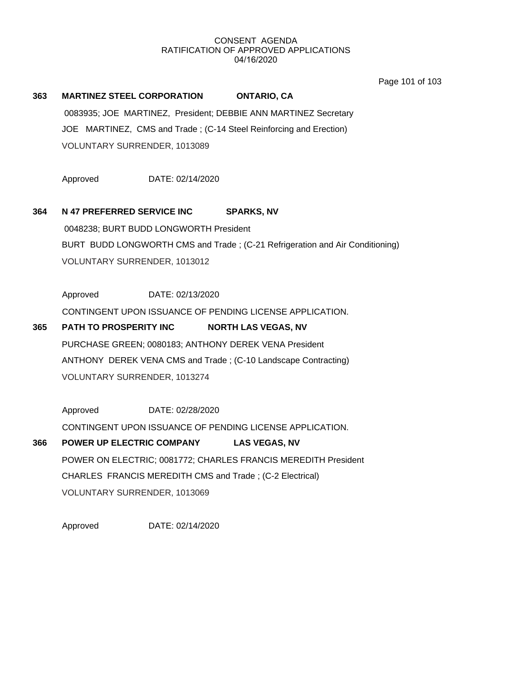Page 101 of 103

## **363 MARTINEZ STEEL CORPORATION ONTARIO, CA**

 0083935; JOE MARTINEZ, President; DEBBIE ANN MARTINEZ Secretary JOE MARTINEZ, CMS and Trade ; (C-14 Steel Reinforcing and Erection) VOLUNTARY SURRENDER, 1013089

Approved DATE: 02/14/2020

## **364 N 47 PREFERRED SERVICE INC SPARKS, NV**

 0048238; BURT BUDD LONGWORTH President BURT BUDD LONGWORTH CMS and Trade ; (C-21 Refrigeration and Air Conditioning) VOLUNTARY SURRENDER, 1013012

Approved DATE: 02/13/2020

CONTINGENT UPON ISSUANCE OF PENDING LICENSE APPLICATION.

## **365 PATH TO PROSPERITY INC NORTH LAS VEGAS, NV**

PURCHASE GREEN; 0080183; ANTHONY DEREK VENA President ANTHONY DEREK VENA CMS and Trade ; (C-10 Landscape Contracting) VOLUNTARY SURRENDER, 1013274

Approved DATE: 02/28/2020 CONTINGENT UPON ISSUANCE OF PENDING LICENSE APPLICATION.

# **366 POWER UP ELECTRIC COMPANY LAS VEGAS, NV** POWER ON ELECTRIC; 0081772; CHARLES FRANCIS MEREDITH President CHARLES FRANCIS MEREDITH CMS and Trade ; (C-2 Electrical) VOLUNTARY SURRENDER, 1013069

Approved DATE: 02/14/2020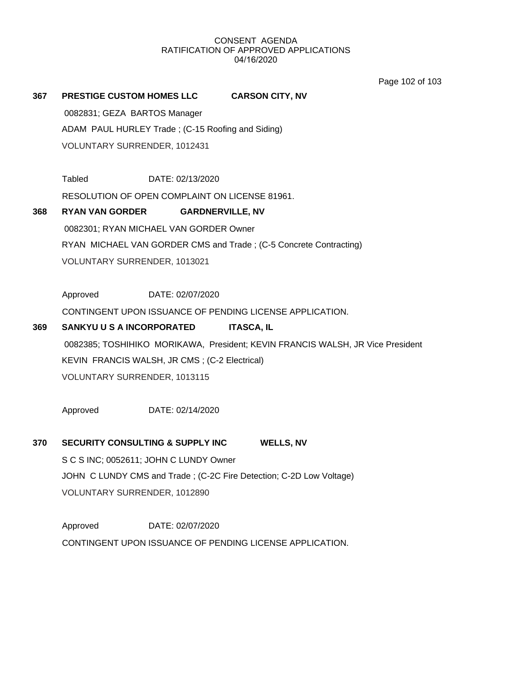Page 102 of 103

## **367 PRESTIGE CUSTOM HOMES LLC CARSON CITY, NV**

 0082831; GEZA BARTOS Manager ADAM PAUL HURLEY Trade ; (C-15 Roofing and Siding) VOLUNTARY SURRENDER, 1012431

Tabled DATE: 02/13/2020

RESOLUTION OF OPEN COMPLAINT ON LICENSE 81961.

## **368 RYAN VAN GORDER GARDNERVILLE, NV**

0082301; RYAN MICHAEL VAN GORDER Owner

RYAN MICHAEL VAN GORDER CMS and Trade ; (C-5 Concrete Contracting)

VOLUNTARY SURRENDER, 1013021

Approved DATE: 02/07/2020

CONTINGENT UPON ISSUANCE OF PENDING LICENSE APPLICATION.

# **369 SANKYU U S A INCORPORATED ITASCA, IL** 0082385; TOSHIHIKO MORIKAWA, President; KEVIN FRANCIS WALSH, JR Vice President KEVIN FRANCIS WALSH, JR CMS ; (C-2 Electrical) VOLUNTARY SURRENDER, 1013115

Approved DATE: 02/14/2020

## **370 SECURITY CONSULTING & SUPPLY INC WELLS, NV** S C S INC; 0052611; JOHN C LUNDY Owner

JOHN C LUNDY CMS and Trade ; (C-2C Fire Detection; C-2D Low Voltage) VOLUNTARY SURRENDER, 1012890

Approved DATE: 02/07/2020 CONTINGENT UPON ISSUANCE OF PENDING LICENSE APPLICATION.